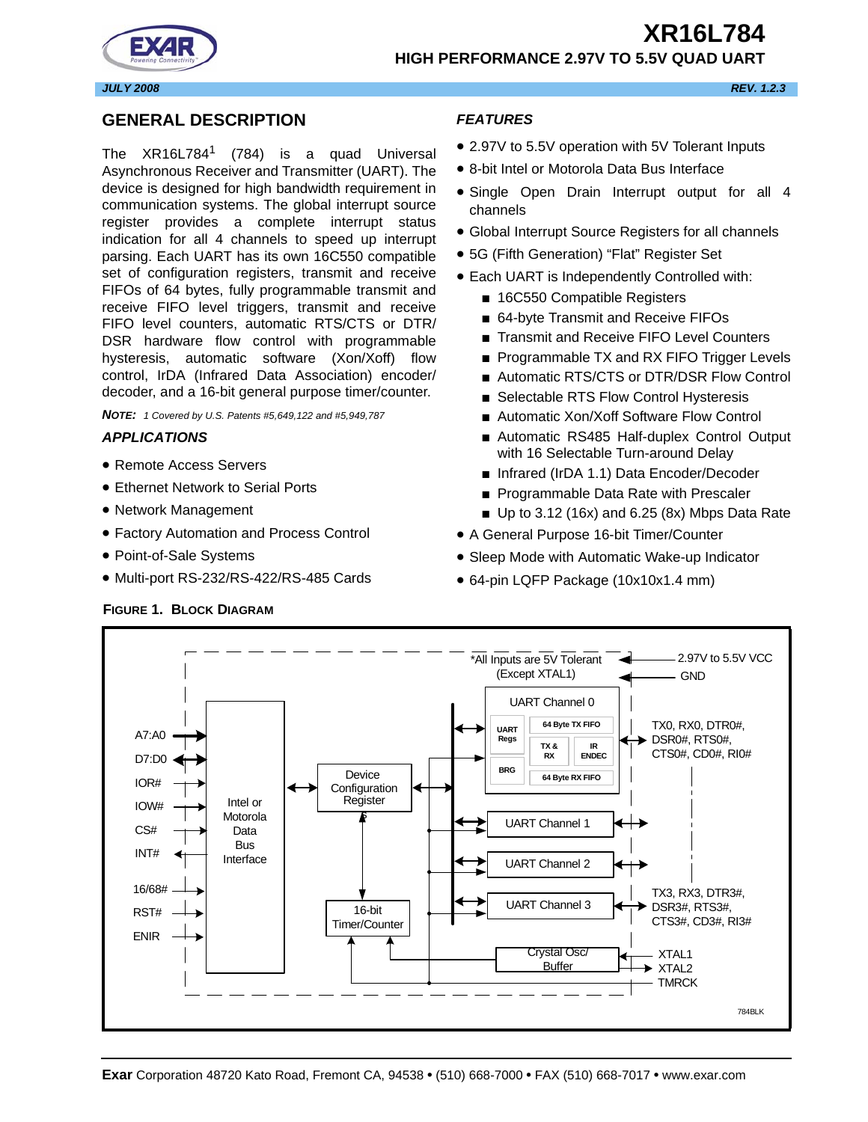**HIGH PERFORMANCE 2.97V TO 5.5V QUAD UART**



*JULY 2008 REV. 1.2.3*

# <span id="page-0-0"></span>**GENERAL DESCRIPTION**

The  $XR16L784$ <sup>1</sup> (784) is a quad Universal Asynchronous Receiver and Transmitter (UART). The device is designed for high bandwidth requirement in communication systems. The global interrupt source register provides a complete interrupt status indication for all 4 channels to speed up interrupt parsing. Each UART has its own 16C550 compatible set of configuration registers, transmit and receive FIFOs of 64 bytes, fully programmable transmit and receive FIFO level triggers, transmit and receive FIFO level counters, automatic RTS/CTS or DTR/ DSR hardware flow control with programmable hysteresis, automatic software (Xon/Xoff) flow control, IrDA (Infrared Data Association) encoder/ decoder, and a 16-bit general purpose timer/counter.

*NOTE: 1 Covered by U.S. Patents #5,649,122 and #5,949,787*

# <span id="page-0-1"></span>*APPLICATIONS*

- Remote Access Servers
- Ethernet Network to Serial Ports
- Network Management
- Factory Automation and Process Control
- Point-of-Sale Systems
- Multi-port RS-232/RS-422/RS-485 Cards

# <span id="page-0-3"></span>**FIGURE 1. BLOCK DIAGRAM**

# <span id="page-0-2"></span>*FEATURES*

- 2.97V to 5.5V operation with 5V Tolerant Inputs
- 8-bit Intel or Motorola Data Bus Interface
- Single Open Drain Interrupt output for all 4 channels
- Global Interrupt Source Registers for all channels
- 5G (Fifth Generation) "Flat" Register Set
- Each UART is Independently Controlled with:
	- 16C550 Compatible Registers
	- 64-byte Transmit and Receive FIFOs
	- Transmit and Receive FIFO Level Counters
	- Programmable TX and RX FIFO Trigger Levels
	- Automatic RTS/CTS or DTR/DSR Flow Control
	- Selectable RTS Flow Control Hysteresis
	- Automatic Xon/Xoff Software Flow Control
	- Automatic RS485 Half-duplex Control Output with 16 Selectable Turn-around Delay
	- Infrared (IrDA 1.1) Data Encoder/Decoder
	- Programmable Data Rate with Prescaler
	- $\blacksquare$  Up to 3.12 (16x) and 6.25 (8x) Mbps Data Rate
- A General Purpose 16-bit Timer/Counter
- Sleep Mode with Automatic Wake-up Indicator
- 64-pin LQFP Package (10x10x1.4 mm)

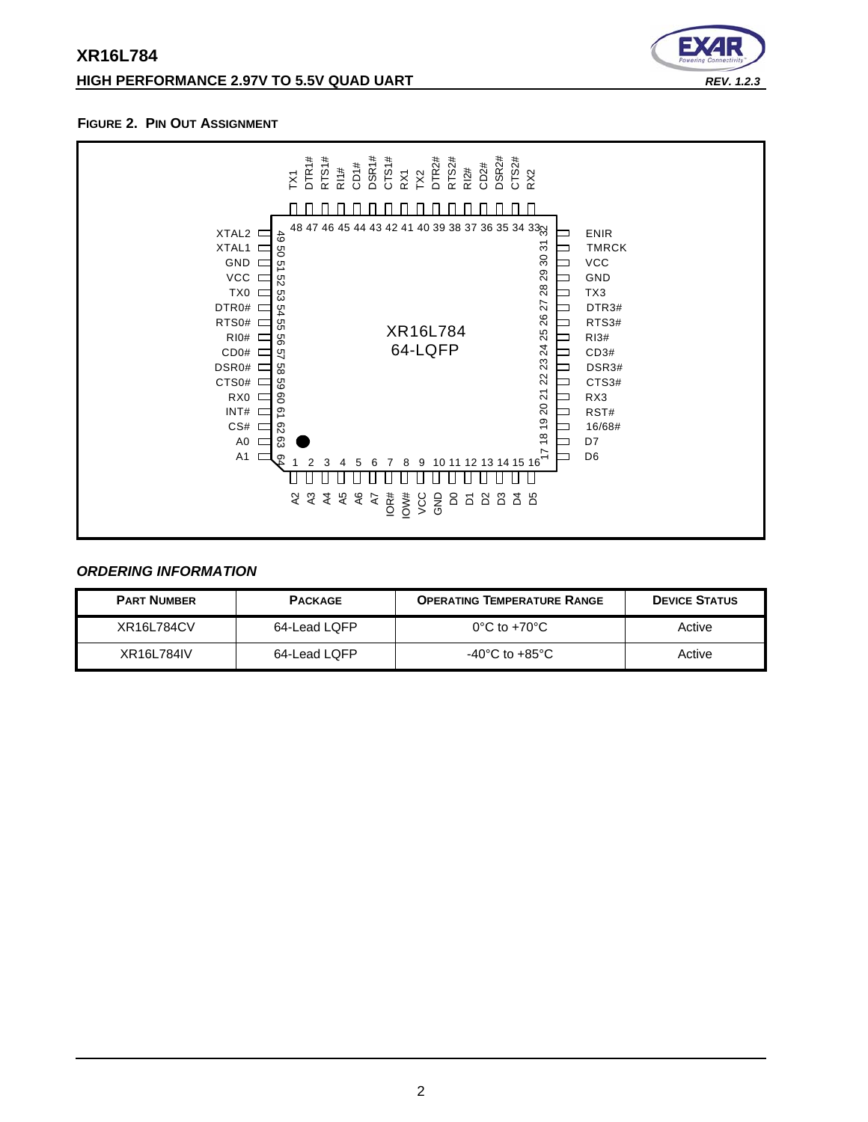# **XR16L784 HIGH PERFORMANCE 2.97V TO 5.5V QUAD UART** *REV. 1.2.3*



#### <span id="page-1-0"></span>**FIGURE 2. PIN OUT ASSIGNMENT**



# <span id="page-1-1"></span>*ORDERING INFORMATION*

| <b>PART NUMBER</b> | <b>PACKAGE</b> | <b>OPERATING TEMPERATURE RANGE</b> | <b>DEVICE STATUS</b> |
|--------------------|----------------|------------------------------------|----------------------|
| XR16L784CV         | 64-Lead LQFP   | $0^{\circ}$ C to +70 $^{\circ}$ C  | Active               |
| XR16L784IV         | 64-Lead LQFP   | -40°C to +85°C                     | Active               |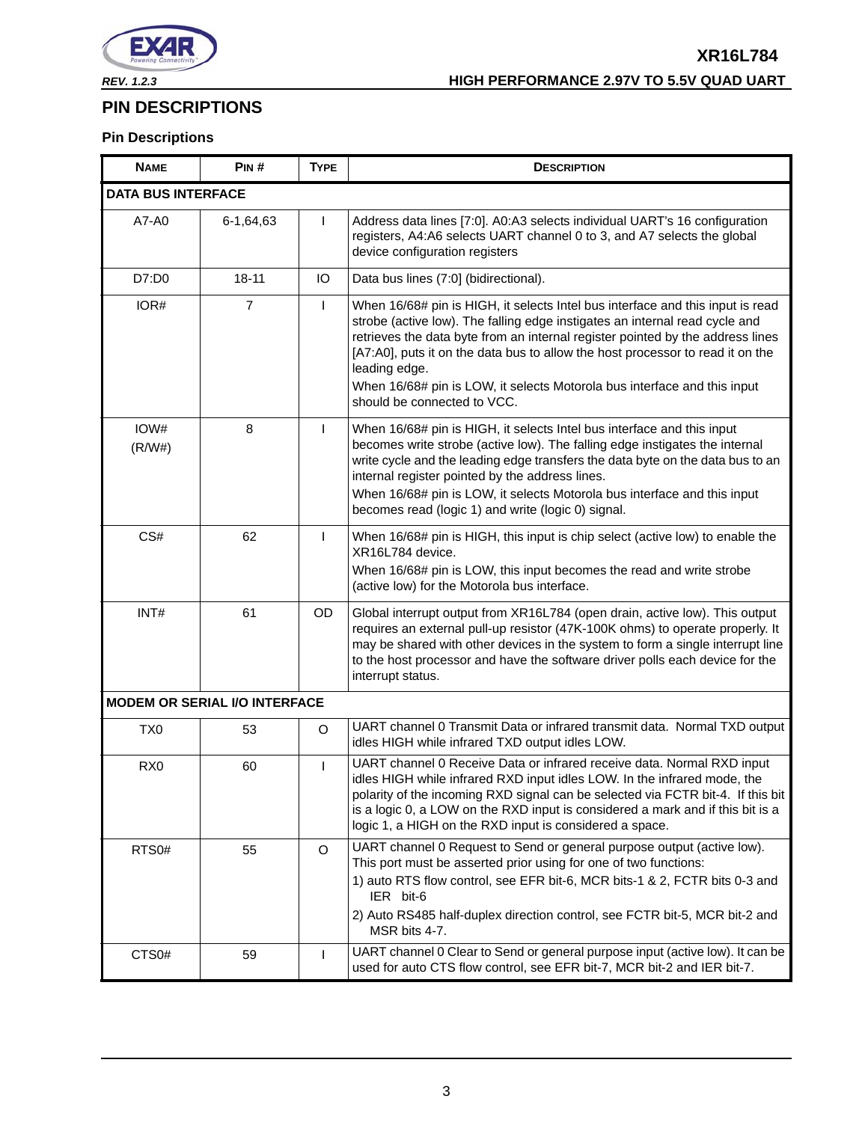

# <span id="page-2-0"></span>**PIN DESCRIPTIONS**

# **Pin Descriptions**

| <b>NAME</b>               | PIN#                                 | <b>TYPE</b>    | <b>DESCRIPTION</b>                                                                                                                                                                                                                                                                                                                                                                                                                                            |
|---------------------------|--------------------------------------|----------------|---------------------------------------------------------------------------------------------------------------------------------------------------------------------------------------------------------------------------------------------------------------------------------------------------------------------------------------------------------------------------------------------------------------------------------------------------------------|
| <b>DATA BUS INTERFACE</b> |                                      |                |                                                                                                                                                                                                                                                                                                                                                                                                                                                               |
| A7-A0                     | 6-1,64,63                            | T              | Address data lines [7:0]. A0:A3 selects individual UART's 16 configuration<br>registers, A4:A6 selects UART channel 0 to 3, and A7 selects the global<br>device configuration registers                                                                                                                                                                                                                                                                       |
| D7:D0                     | $18 - 11$                            | IO             | Data bus lines (7:0] (bidirectional).                                                                                                                                                                                                                                                                                                                                                                                                                         |
| IOR#                      | $\overline{7}$                       | L              | When 16/68# pin is HIGH, it selects Intel bus interface and this input is read<br>strobe (active low). The falling edge instigates an internal read cycle and<br>retrieves the data byte from an internal register pointed by the address lines<br>[A7:A0], puts it on the data bus to allow the host processor to read it on the<br>leading edge.<br>When 16/68# pin is LOW, it selects Motorola bus interface and this input<br>should be connected to VCC. |
| IOW#<br>(R/W#)            | 8                                    | L              | When 16/68# pin is HIGH, it selects Intel bus interface and this input<br>becomes write strobe (active low). The falling edge instigates the internal<br>write cycle and the leading edge transfers the data byte on the data bus to an<br>internal register pointed by the address lines.<br>When 16/68# pin is LOW, it selects Motorola bus interface and this input<br>becomes read (logic 1) and write (logic 0) signal.                                  |
| CS#                       | 62                                   | L              | When 16/68# pin is HIGH, this input is chip select (active low) to enable the<br>XR16L784 device.<br>When 16/68# pin is LOW, this input becomes the read and write strobe<br>(active low) for the Motorola bus interface.                                                                                                                                                                                                                                     |
| INT#                      | 61                                   | OD             | Global interrupt output from XR16L784 (open drain, active low). This output<br>requires an external pull-up resistor (47K-100K ohms) to operate properly. It<br>may be shared with other devices in the system to form a single interrupt line<br>to the host processor and have the software driver polls each device for the<br>interrupt status.                                                                                                           |
|                           | <b>MODEM OR SERIAL I/O INTERFACE</b> |                |                                                                                                                                                                                                                                                                                                                                                                                                                                                               |
| TX <sub>0</sub>           | 53                                   | O              | UART channel 0 Transmit Data or infrared transmit data. Normal TXD output<br>idles HIGH while infrared TXD output idles LOW.                                                                                                                                                                                                                                                                                                                                  |
| RX <sub>0</sub>           | 60                                   | $\overline{1}$ | UART channel 0 Receive Data or infrared receive data. Normal RXD input<br>idles HIGH while infrared RXD input idles LOW. In the infrared mode, the<br>polarity of the incoming RXD signal can be selected via FCTR bit-4. If this bit<br>is a logic 0, a LOW on the RXD input is considered a mark and if this bit is a<br>logic 1, a HIGH on the RXD input is considered a space.                                                                            |
| RTS <sub>0#</sub>         | 55                                   | $\circ$        | UART channel 0 Request to Send or general purpose output (active low).<br>This port must be asserted prior using for one of two functions:<br>1) auto RTS flow control, see EFR bit-6, MCR bits-1 & 2, FCTR bits 0-3 and<br>IER bit-6<br>2) Auto RS485 half-duplex direction control, see FCTR bit-5, MCR bit-2 and<br>MSR bits 4-7.                                                                                                                          |
| CTS <sub>0</sub> #        | 59                                   |                | UART channel 0 Clear to Send or general purpose input (active low). It can be<br>used for auto CTS flow control, see EFR bit-7, MCR bit-2 and IER bit-7.                                                                                                                                                                                                                                                                                                      |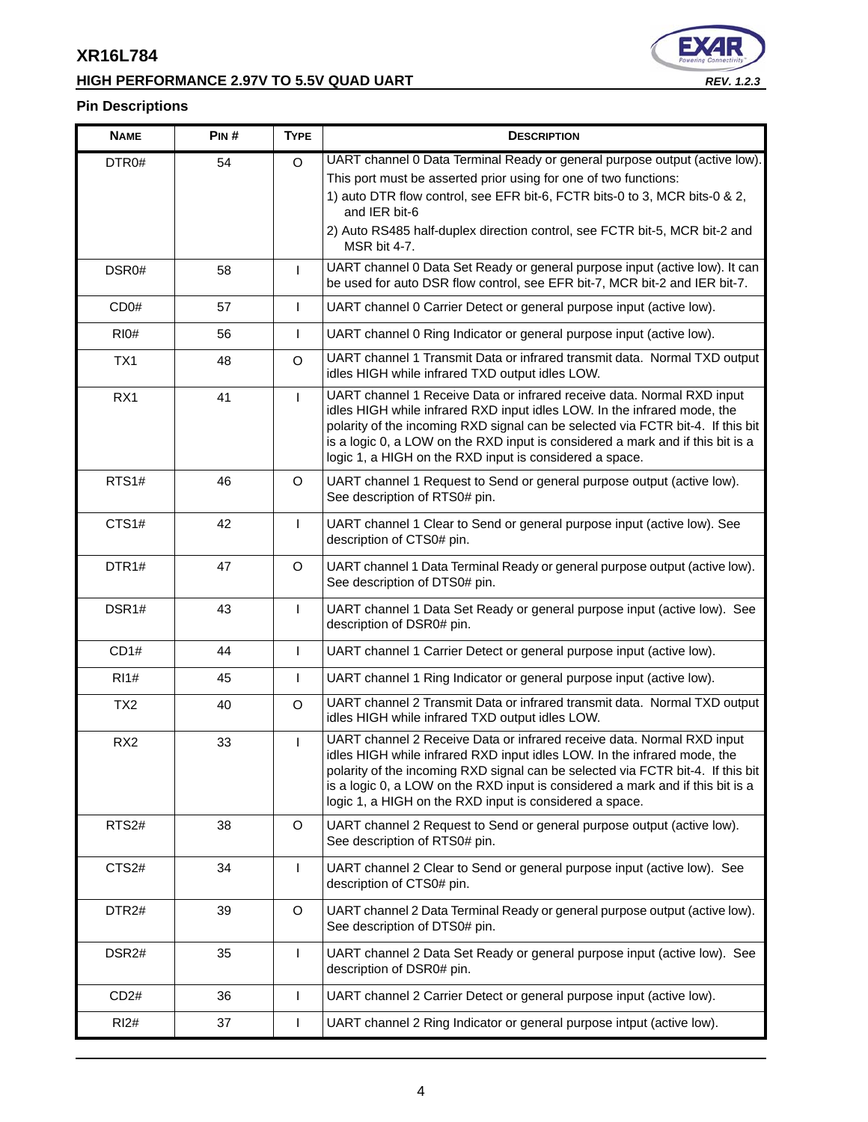# **HIGH PERFORMANCE 2.97V TO 5.5V QUAD UART** *REV. 1.2.3*



# **Pin Descriptions**

| <b>NAME</b>       | PIN# | <b>TYPE</b>  | <b>DESCRIPTION</b>                                                                                                                                                                                                                                                                                                                                                                 |
|-------------------|------|--------------|------------------------------------------------------------------------------------------------------------------------------------------------------------------------------------------------------------------------------------------------------------------------------------------------------------------------------------------------------------------------------------|
| DTR0#             | 54   | $\circ$      | UART channel 0 Data Terminal Ready or general purpose output (active low).<br>This port must be asserted prior using for one of two functions:<br>1) auto DTR flow control, see EFR bit-6, FCTR bits-0 to 3, MCR bits-0 & 2,                                                                                                                                                       |
|                   |      |              | and IER bit-6<br>2) Auto RS485 half-duplex direction control, see FCTR bit-5, MCR bit-2 and<br>MSR bit 4-7.                                                                                                                                                                                                                                                                        |
| DSR0#             | 58   | $\mathbf{I}$ | UART channel 0 Data Set Ready or general purpose input (active low). It can<br>be used for auto DSR flow control, see EFR bit-7, MCR bit-2 and IER bit-7.                                                                                                                                                                                                                          |
| CD0#              | 57   | $\mathbf{I}$ | UART channel 0 Carrier Detect or general purpose input (active low).                                                                                                                                                                                                                                                                                                               |
| R10#              | 56   | T            | UART channel 0 Ring Indicator or general purpose input (active low).                                                                                                                                                                                                                                                                                                               |
| TX1               | 48   | O            | UART channel 1 Transmit Data or infrared transmit data. Normal TXD output<br>idles HIGH while infrared TXD output idles LOW.                                                                                                                                                                                                                                                       |
| RX1               | 41   | $\mathbf{L}$ | UART channel 1 Receive Data or infrared receive data. Normal RXD input<br>idles HIGH while infrared RXD input idles LOW. In the infrared mode, the<br>polarity of the incoming RXD signal can be selected via FCTR bit-4. If this bit<br>is a logic 0, a LOW on the RXD input is considered a mark and if this bit is a<br>logic 1, a HIGH on the RXD input is considered a space. |
| RTS1#             | 46   | O            | UART channel 1 Request to Send or general purpose output (active low).<br>See description of RTS0# pin.                                                                                                                                                                                                                                                                            |
| CTS1#             | 42   | T            | UART channel 1 Clear to Send or general purpose input (active low). See<br>description of CTS0# pin.                                                                                                                                                                                                                                                                               |
| DTR <sub>1#</sub> | 47   | O            | UART channel 1 Data Terminal Ready or general purpose output (active low).<br>See description of DTS0# pin.                                                                                                                                                                                                                                                                        |
| DSR1#             | 43   | $\mathbf{I}$ | UART channel 1 Data Set Ready or general purpose input (active low). See<br>description of DSR0# pin.                                                                                                                                                                                                                                                                              |
| CD1#              | 44   | T            | UART channel 1 Carrier Detect or general purpose input (active low).                                                                                                                                                                                                                                                                                                               |
| <b>RI1#</b>       | 45   | $\mathsf{I}$ | UART channel 1 Ring Indicator or general purpose input (active low).                                                                                                                                                                                                                                                                                                               |
| TX <sub>2</sub>   | 40   | O            | UART channel 2 Transmit Data or infrared transmit data. Normal TXD output<br>idles HIGH while infrared TXD output idles LOW.                                                                                                                                                                                                                                                       |
| RX <sub>2</sub>   | 33   | T            | UART channel 2 Receive Data or infrared receive data. Normal RXD input<br>idles HIGH while infrared RXD input idles LOW. In the infrared mode, the<br>polarity of the incoming RXD signal can be selected via FCTR bit-4. If this bit<br>is a logic 0, a LOW on the RXD input is considered a mark and if this bit is a<br>logic 1, a HIGH on the RXD input is considered a space. |
| RTS <sub>2#</sub> | 38   | O            | UART channel 2 Request to Send or general purpose output (active low).<br>See description of RTS0# pin.                                                                                                                                                                                                                                                                            |
| CTS <sub>2#</sub> | 34   | $\mathbf{I}$ | UART channel 2 Clear to Send or general purpose input (active low). See<br>description of CTS0# pin.                                                                                                                                                                                                                                                                               |
| DTR <sub>2#</sub> | 39   | O            | UART channel 2 Data Terminal Ready or general purpose output (active low).<br>See description of DTS0# pin.                                                                                                                                                                                                                                                                        |
| DSR <sub>2#</sub> | 35   | $\mathbf{I}$ | UART channel 2 Data Set Ready or general purpose input (active low). See<br>description of DSR0# pin.                                                                                                                                                                                                                                                                              |
| CD2#              | 36   | $\mathbf{I}$ | UART channel 2 Carrier Detect or general purpose input (active low).                                                                                                                                                                                                                                                                                                               |
| R12#              | 37   | $\mathbf{I}$ | UART channel 2 Ring Indicator or general purpose intput (active low).                                                                                                                                                                                                                                                                                                              |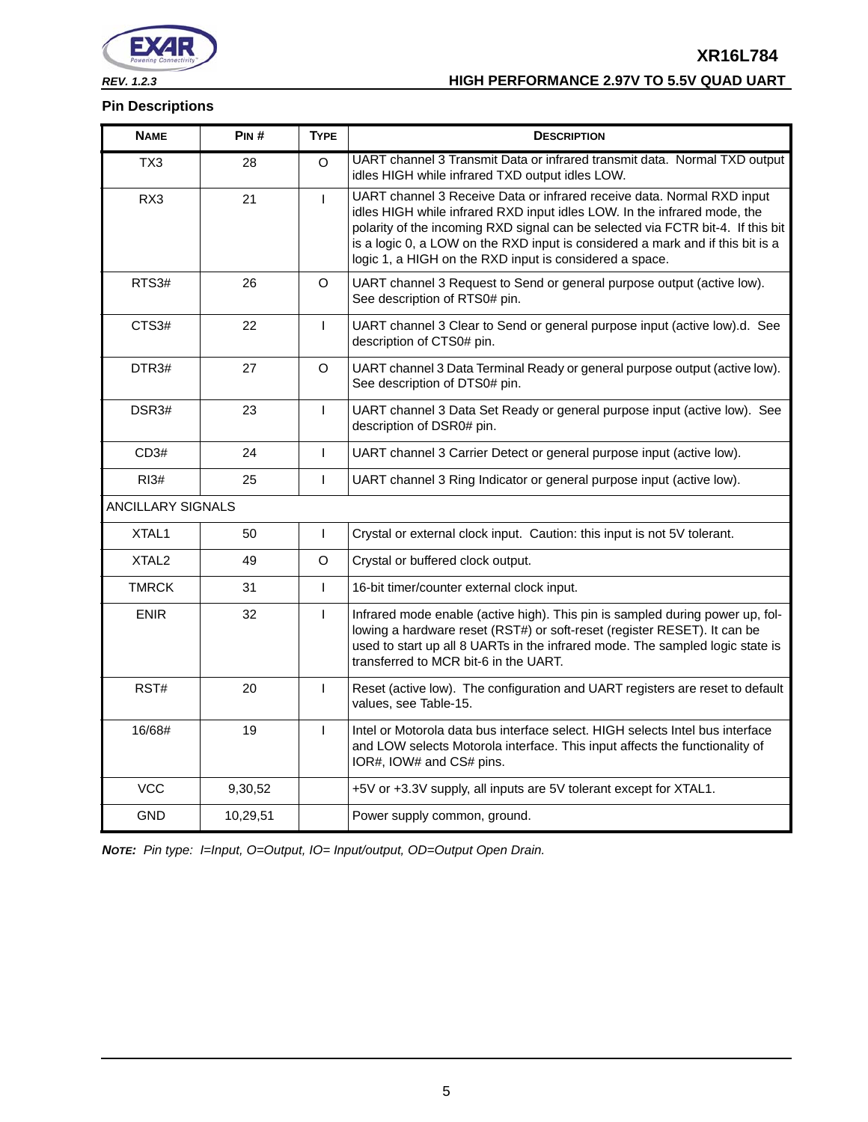

# **Pin Descriptions**

| <b>NAME</b>              | PIN#     | <b>TYPE</b>  | <b>DESCRIPTION</b>                                                                                                                                                                                                                                                                                                                                                                 |
|--------------------------|----------|--------------|------------------------------------------------------------------------------------------------------------------------------------------------------------------------------------------------------------------------------------------------------------------------------------------------------------------------------------------------------------------------------------|
| TX3                      | 28       | $\circ$      | UART channel 3 Transmit Data or infrared transmit data. Normal TXD output<br>idles HIGH while infrared TXD output idles LOW.                                                                                                                                                                                                                                                       |
| RX3                      | 21       | $\mathbf{I}$ | UART channel 3 Receive Data or infrared receive data. Normal RXD input<br>idles HIGH while infrared RXD input idles LOW. In the infrared mode, the<br>polarity of the incoming RXD signal can be selected via FCTR bit-4. If this bit<br>is a logic 0, a LOW on the RXD input is considered a mark and if this bit is a<br>logic 1, a HIGH on the RXD input is considered a space. |
| RTS3#                    | 26       | $\circ$      | UART channel 3 Request to Send or general purpose output (active low).<br>See description of RTS0# pin.                                                                                                                                                                                                                                                                            |
| CTS3#                    | 22       | L            | UART channel 3 Clear to Send or general purpose input (active low).d. See<br>description of CTS0# pin.                                                                                                                                                                                                                                                                             |
| DTR <sub>3#</sub>        | 27       | $\Omega$     | UART channel 3 Data Terminal Ready or general purpose output (active low).<br>See description of DTS0# pin.                                                                                                                                                                                                                                                                        |
| DSR3#                    | 23       | T            | UART channel 3 Data Set Ready or general purpose input (active low). See<br>description of DSR0# pin.                                                                                                                                                                                                                                                                              |
| CD3#                     | 24       | $\mathbf{I}$ | UART channel 3 Carrier Detect or general purpose input (active low).                                                                                                                                                                                                                                                                                                               |
| R13#                     | 25       | $\mathbf{I}$ | UART channel 3 Ring Indicator or general purpose input (active low).                                                                                                                                                                                                                                                                                                               |
| <b>ANCILLARY SIGNALS</b> |          |              |                                                                                                                                                                                                                                                                                                                                                                                    |
| XTAL <sub>1</sub>        | 50       | T            | Crystal or external clock input. Caution: this input is not 5V tolerant.                                                                                                                                                                                                                                                                                                           |
| XTAL <sub>2</sub>        | 49       | O            | Crystal or buffered clock output.                                                                                                                                                                                                                                                                                                                                                  |
| <b>TMRCK</b>             | 31       | L            | 16-bit timer/counter external clock input.                                                                                                                                                                                                                                                                                                                                         |
| <b>ENIR</b>              | 32       | $\mathbf{I}$ | Infrared mode enable (active high). This pin is sampled during power up, fol-<br>lowing a hardware reset (RST#) or soft-reset (register RESET). It can be<br>used to start up all 8 UARTs in the infrared mode. The sampled logic state is<br>transferred to MCR bit-6 in the UART.                                                                                                |
| RST#                     | 20       | T            | Reset (active low). The configuration and UART registers are reset to default<br>values, see Table-15.                                                                                                                                                                                                                                                                             |
| 16/68#                   | 19       | T            | Intel or Motorola data bus interface select. HIGH selects Intel bus interface<br>and LOW selects Motorola interface. This input affects the functionality of<br>IOR#, IOW# and CS# pins.                                                                                                                                                                                           |
| <b>VCC</b>               | 9,30,52  |              | +5V or +3.3V supply, all inputs are 5V tolerant except for XTAL1.                                                                                                                                                                                                                                                                                                                  |
| <b>GND</b>               | 10,29,51 |              | Power supply common, ground.                                                                                                                                                                                                                                                                                                                                                       |

*NOTE: Pin type: I=Input, O=Output, IO= Input/output, OD=Output Open Drain.*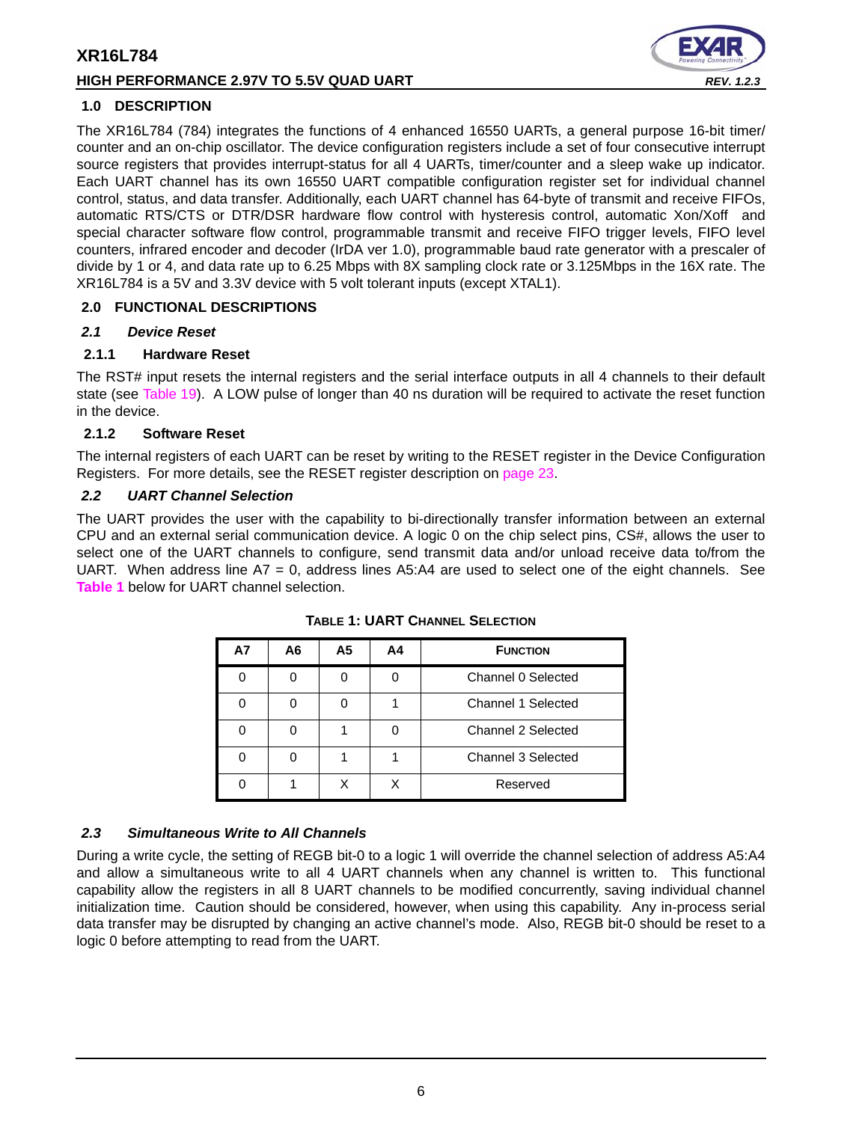# **HIGH PERFORMANCE 2.97V TO 5.5V QUAD UART** *REV. 1.2.3*



# <span id="page-5-1"></span>**1.0 DESCRIPTION**

The XR16L784 (784) integrates the functions of 4 enhanced 16550 UARTs, a general purpose 16-bit timer/ counter and an on-chip oscillator. The device configuration registers include a set of four consecutive interrupt source registers that provides interrupt-status for all 4 UARTs, timer/counter and a sleep wake up indicator. Each UART channel has its own 16550 UART compatible configuration register set for individual channel control, status, and data transfer. Additionally, each UART channel has 64-byte of transmit and receive FIFOs, automatic RTS/CTS or DTR/DSR hardware flow control with hysteresis control, automatic Xon/Xoff and special character software flow control, programmable transmit and receive FIFO trigger levels, FIFO level counters, infrared encoder and decoder (IrDA ver 1.0), programmable baud rate generator with a prescaler of divide by 1 or 4, and data rate up to 6.25 Mbps with 8X sampling clock rate or 3.125Mbps in the 16X rate. The XR16L784 is a 5V and 3.3V device with 5 volt tolerant inputs (except XTAL1).

# <span id="page-5-2"></span>**2.0 FUNCTIONAL DESCRIPTIONS**

# <span id="page-5-3"></span>*2.1 Device Reset*

# **2.1.1 Hardware Reset**

The RST# input resets the internal registers and the serial interface outputs in all 4 channels to their default state (see [Table](#page-39-0) 19). A LOW pulse of longer than 40 ns duration will be required to activate the reset function in the device.

# <span id="page-5-4"></span>**2.1.2 Software Reset**

The internal registers of each UART can be reset by writing to the RESET register in the Device Configuration Registers. For more details, see the RESET register description on [page](#page-22-0) 23.

# <span id="page-5-5"></span>*2.2 UART Channel Selection*

<span id="page-5-0"></span>The UART provides the user with the capability to bi-directionally transfer information between an external CPU and an external serial communication device. A logic 0 on the chip select pins, CS#, allows the user to select one of the UART channels to configure, send transmit data and/or unload receive data to/from the UART. When address line  $A7 = 0$ , address lines  $A5:A4$  are used to select one of the eight channels. See **[Table](#page-5-0) 1** below for UART channel selection.

| <b>A7</b> | A6 | A5 | A4 | <b>FUNCTION</b>    |
|-----------|----|----|----|--------------------|
|           |    |    |    | Channel 0 Selected |
|           |    |    |    | Channel 1 Selected |
|           |    |    |    | Channel 2 Selected |
|           |    |    |    | Channel 3 Selected |
|           |    |    |    | Reserved           |

**TABLE 1: UART CHANNEL SELECTION**

# <span id="page-5-6"></span>*2.3 Simultaneous Write to All Channels*

During a write cycle, the setting of REGB bit-0 to a logic 1 will override the channel selection of address A5:A4 and allow a simultaneous write to all 4 UART channels when any channel is written to. This functional capability allow the registers in all 8 UART channels to be modified concurrently, saving individual channel initialization time. Caution should be considered, however, when using this capability. Any in-process serial data transfer may be disrupted by changing an active channel's mode. Also, REGB bit-0 should be reset to a logic 0 before attempting to read from the UART.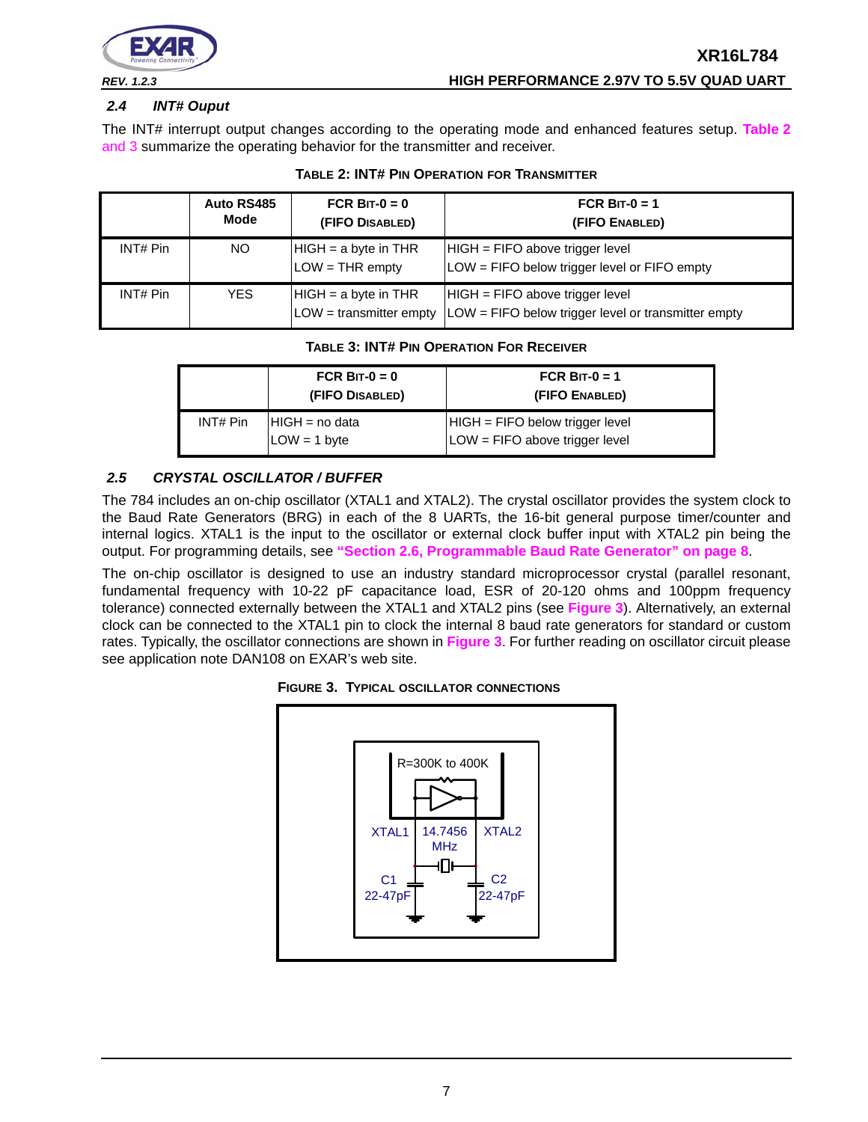

# <span id="page-6-3"></span>*2.4 INT# Ouput*

The INT# interrupt output changes according to the operating mode and enhanced features setup. **[Table](#page-6-1) 2** [and](#page-6-2) 3 summarize the operating behavior for the transmitter and receiver.

<span id="page-6-1"></span>

|          | Auto RS485<br>Mode | FCR BIT- $0 = 0$<br>(FIFO DISABLED)                 | FCR BIT-0 = 1<br>(FIFO ENABLED)                                                          |
|----------|--------------------|-----------------------------------------------------|------------------------------------------------------------------------------------------|
| INT# Pin | NO.                | $HIGH = a byte in THR$<br>$LOW = THR$ empty         | HIGH = FIFO above trigger level<br>LOW = FIFO below trigger level or FIFO empty          |
| INT# Pin | <b>YES</b>         | $HIGH = a byte in THR$<br>$LOW =$ transmitter empty | $HIGH = FIFO above trigger level$<br>LOW = FIFO below trigger level or transmitter empty |

#### **TABLE 2: INT# PIN OPERATION FOR TRANSMITTER**

# **TABLE 3: INT# PIN OPERATION FOR RECEIVER**

<span id="page-6-2"></span>

|          | FCR BIT- $0 = 0$<br>(FIFO DISABLED) | FCR BIT-0 = 1<br>(FIFO ENABLED)                                       |
|----------|-------------------------------------|-----------------------------------------------------------------------|
| INT# Pin | $HIGH = no data$<br>$LOW = 1 byte$  | $HIGH = FIFO below trigger level$<br>$LOW = FIFO$ above trigger level |

# <span id="page-6-4"></span>*2.5 CRYSTAL OSCILLATOR / BUFFER*

The 784 includes an on-chip oscillator (XTAL1 and XTAL2). The crystal oscillator provides the system clock to the Baud Rate Generators (BRG) in each of the 8 UARTs, the 16-bit general purpose timer/counter and internal logics. XTAL1 is the input to the oscillator or external clock buffer input with XTAL2 pin being the output. For programming details, see **["Section 2.6, Programmable Baud Rate Generator" on page](#page-7-0) 8**.

The on-chip oscillator is designed to use an industry standard microprocessor crystal (parallel resonant, fundamental frequency with 10-22 pF capacitance load, ESR of 20-120 ohms and 100ppm frequency tolerance) connected externally between the XTAL1 and XTAL2 pins (see **[Figure](#page-6-0) 3**). Alternatively, an external clock can be connected to the XTAL1 pin to clock the internal 8 baud rate generators for standard or custom rates. Typically, the oscillator connections are shown in **[Figure](#page-6-0) 3**. For further reading on oscillator circuit please see application note DAN108 on EXAR's web site.

<span id="page-6-0"></span>

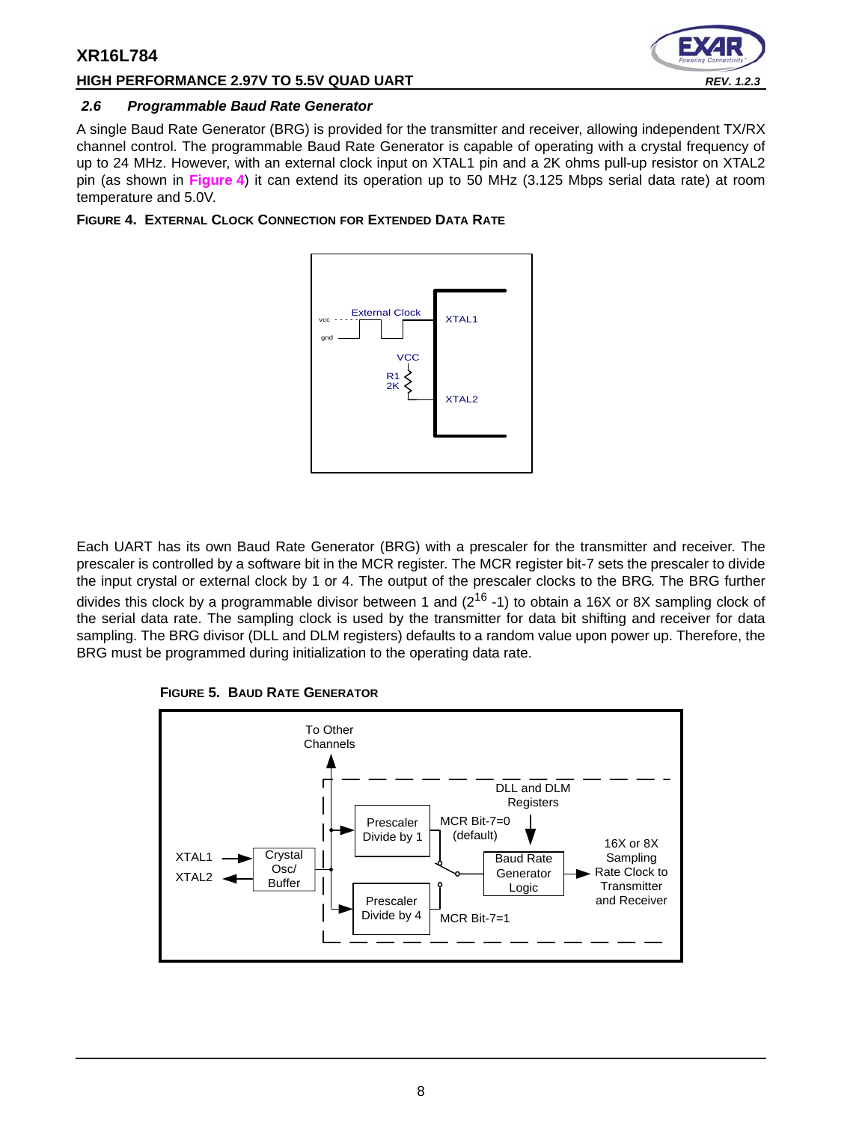# **HIGH PERFORMANCE 2.97V TO 5.5V QUAD UART** *REV. 1.2.3*



# <span id="page-7-0"></span>*2.6 Programmable Baud Rate Generator*

A single Baud Rate Generator (BRG) is provided for the transmitter and receiver, allowing independent TX/RX channel control. The programmable Baud Rate Generator is capable of operating with a crystal frequency of up to 24 MHz. However, with an external clock input on XTAL1 pin and a 2K ohms pull-up resistor on XTAL2 pin (as shown in **[Figure](#page-7-1) 4**) it can extend its operation up to 50 MHz (3.125 Mbps serial data rate) at room temperature and 5.0V.

<span id="page-7-1"></span>**FIGURE 4. EXTERNAL CLOCK CONNECTION FOR EXTENDED DATA RATE**



Each UART has its own Baud Rate Generator (BRG) with a prescaler for the transmitter and receiver. The prescaler is controlled by a software bit in the MCR register. The MCR register bit-7 sets the prescaler to divide the input crystal or external clock by 1 or 4. The output of the prescaler clocks to the BRG. The BRG further divides this clock by a programmable divisor between 1 and  $(2^{16} - 1)$  to obtain a 16X or 8X sampling clock of the serial data rate. The sampling clock is used by the transmitter for data bit shifting and receiver for data sampling. The BRG divisor (DLL and DLM registers) defaults to a random value upon power up. Therefore, the BRG must be programmed during initialization to the operating data rate.

<span id="page-7-2"></span>

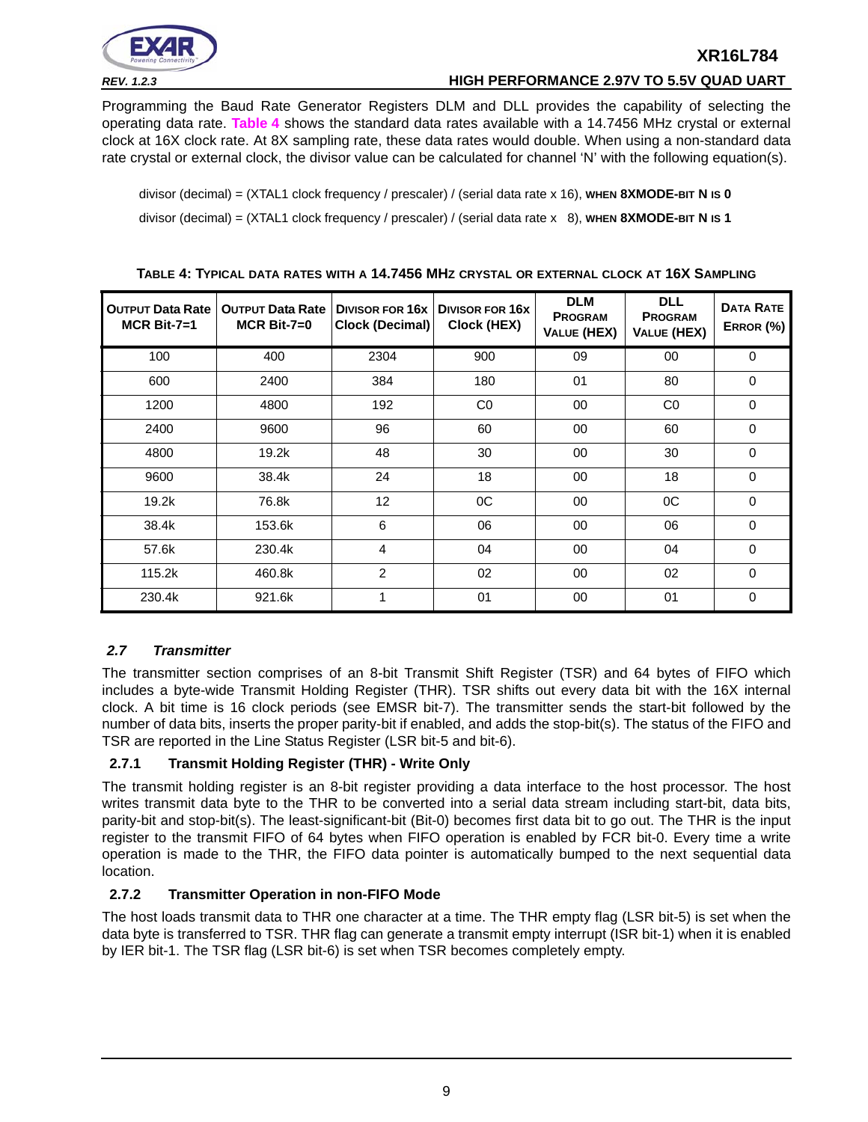

*REV. 1.2.3* **HIGH PERFORMANCE 2.97V TO 5.5V QUAD UART**

Programming the Baud Rate Generator Registers DLM and DLL provides the capability of selecting the operating data rate. **[Table](#page-8-0) 4** shows the standard data rates available with a 14.7456 MHz crystal or external clock at 16X clock rate. At 8X sampling rate, these data rates would double. When using a non-standard data rate crystal or external clock, the divisor value can be calculated for channel 'N' with the following equation(s).

divisor (decimal) = (XTAL1 clock frequency / prescaler) / (serial data rate x 16), **WHEN 8XMODE-BIT N IS 0**  divisor (decimal) = (XTAL1 clock frequency / prescaler) / (serial data rate x 8), **WHEN 8XMODE-BIT N IS 1**

<span id="page-8-0"></span>

| <b>OUTPUT Data Rate</b><br>$MCR$ Bit-7=1 | <b>OUTPUT Data Rate</b><br>$MCR$ Bit-7=0 | Clock (Decimal) | DIVISOR FOR 16x DIVISOR FOR 16X<br>Clock (HEX) | <b>DLM</b><br><b>PROGRAM</b><br><b>VALUE (HEX)</b> | <b>DLL</b><br><b>PROGRAM</b><br><b>VALUE (HEX)</b> | <b>DATA RATE</b><br>ERROR (%) |
|------------------------------------------|------------------------------------------|-----------------|------------------------------------------------|----------------------------------------------------|----------------------------------------------------|-------------------------------|
| 100                                      | 400                                      | 2304            | 900                                            | 09                                                 | 00                                                 | 0                             |
| 600                                      | 2400                                     | 384             | 180                                            | 01                                                 | 80                                                 | $\Omega$                      |
| 1200                                     | 4800                                     | 192             | C <sub>0</sub>                                 | 00                                                 | CO                                                 | $\Omega$                      |
| 2400                                     | 9600                                     | 96              | 60                                             | 00                                                 | 60                                                 | $\Omega$                      |
| 4800                                     | 19.2k                                    | 48              | 30                                             | 00                                                 | 30                                                 | $\mathbf 0$                   |
| 9600                                     | 38.4k                                    | 24              | 18                                             | 00                                                 | 18                                                 | $\Omega$                      |
| 19.2k                                    | 76.8k                                    | 12              | 0C                                             | 00                                                 | OC                                                 | $\Omega$                      |
| 38.4k                                    | 153.6k                                   | 6               | 06                                             | 00                                                 | 06                                                 | $\Omega$                      |
| 57.6k                                    | 230.4k                                   | $\overline{4}$  | 04                                             | 00                                                 | 04                                                 | $\Omega$                      |
| 115.2k                                   | 460.8k                                   | $\overline{2}$  | 02                                             | 00                                                 | 02                                                 | $\Omega$                      |
| 230.4k                                   | 921.6k                                   | 1               | 01                                             | 00                                                 | 01                                                 | $\Omega$                      |

#### **TABLE 4: TYPICAL DATA RATES WITH A 14.7456 MHZ CRYSTAL OR EXTERNAL CLOCK AT 16X SAMPLING**

# <span id="page-8-1"></span>*2.7 Transmitter*

The transmitter section comprises of an 8-bit Transmit Shift Register (TSR) and 64 bytes of FIFO which includes a byte-wide Transmit Holding Register (THR). TSR shifts out every data bit with the 16X internal clock. A bit time is 16 clock periods (see EMSR bit-7). The transmitter sends the start-bit followed by the number of data bits, inserts the proper parity-bit if enabled, and adds the stop-bit(s). The status of the FIFO and TSR are reported in the Line Status Register (LSR bit-5 and bit-6).

# **2.7.1 Transmit Holding Register (THR) - Write Only**

The transmit holding register is an 8-bit register providing a data interface to the host processor. The host writes transmit data byte to the THR to be converted into a serial data stream including start-bit, data bits, parity-bit and stop-bit(s). The least-significant-bit (Bit-0) becomes first data bit to go out. The THR is the input register to the transmit FIFO of 64 bytes when FIFO operation is enabled by FCR bit-0. Every time a write operation is made to the THR, the FIFO data pointer is automatically bumped to the next sequential data location.

# <span id="page-8-2"></span>**2.7.2 Transmitter Operation in non-FIFO Mode**

The host loads transmit data to THR one character at a time. The THR empty flag (LSR bit-5) is set when the data byte is transferred to TSR. THR flag can generate a transmit empty interrupt (ISR bit-1) when it is enabled by IER bit-1. The TSR flag (LSR bit-6) is set when TSR becomes completely empty.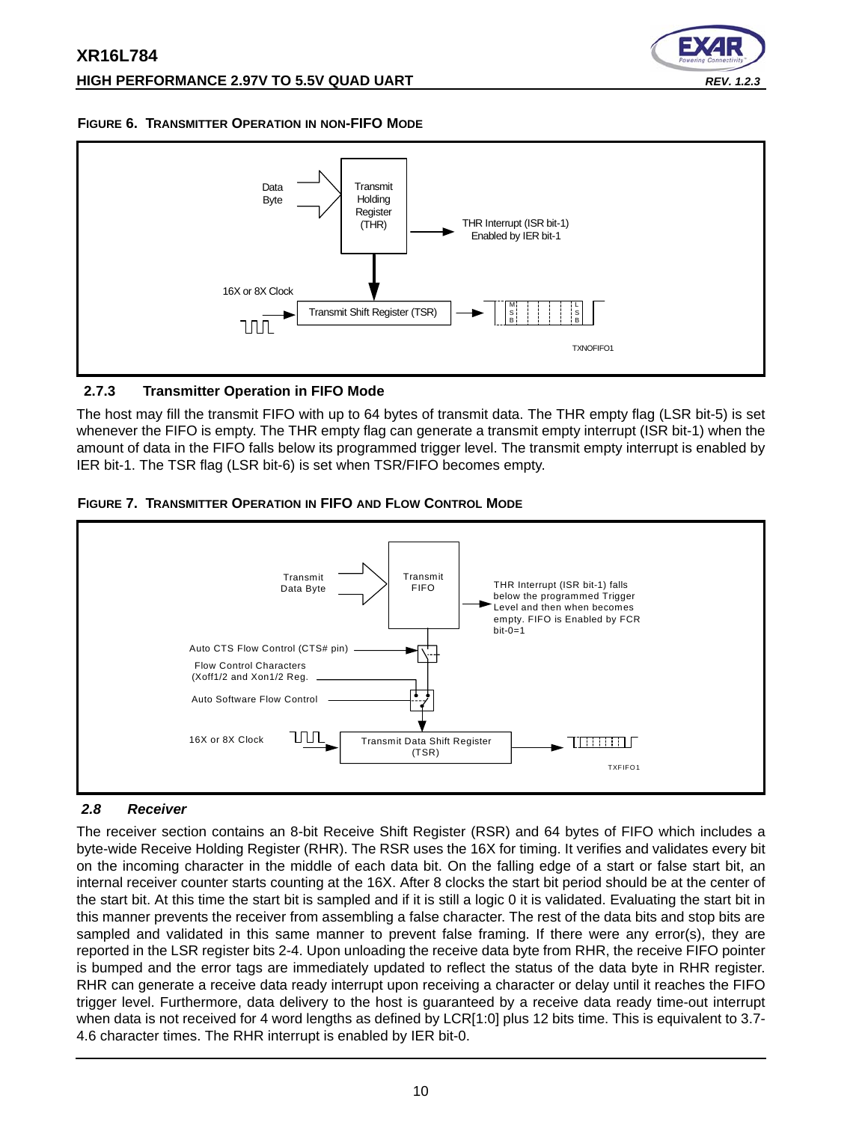

#### <span id="page-9-1"></span>**FIGURE 6. TRANSMITTER OPERATION IN NON-FIFO MODE**



# <span id="page-9-2"></span>**2.7.3 Transmitter Operation in FIFO Mode**

The host may fill the transmit FIFO with up to 64 bytes of transmit data. The THR empty flag (LSR bit-5) is set whenever the FIFO is empty. The THR empty flag can generate a transmit empty interrupt (ISR bit-1) when the amount of data in the FIFO falls below its programmed trigger level. The transmit empty interrupt is enabled by IER bit-1. The TSR flag (LSR bit-6) is set when TSR/FIFO becomes empty.

<span id="page-9-3"></span>



# <span id="page-9-0"></span>*2.8 Receiver*

The receiver section contains an 8-bit Receive Shift Register (RSR) and 64 bytes of FIFO which includes a byte-wide Receive Holding Register (RHR). The RSR uses the 16X for timing. It verifies and validates every bit on the incoming character in the middle of each data bit. On the falling edge of a start or false start bit, an internal receiver counter starts counting at the 16X. After 8 clocks the start bit period should be at the center of the start bit. At this time the start bit is sampled and if it is still a logic 0 it is validated. Evaluating the start bit in this manner prevents the receiver from assembling a false character. The rest of the data bits and stop bits are sampled and validated in this same manner to prevent false framing. If there were any error(s), they are reported in the LSR register bits 2-4. Upon unloading the receive data byte from RHR, the receive FIFO pointer is bumped and the error tags are immediately updated to reflect the status of the data byte in RHR register. RHR can generate a receive data ready interrupt upon receiving a character or delay until it reaches the FIFO trigger level. Furthermore, data delivery to the host is guaranteed by a receive data ready time-out interrupt when data is not received for 4 word lengths as defined by LCR[1:0] plus 12 bits time. This is equivalent to 3.7-4.6 character times. The RHR interrupt is enabled by IER bit-0.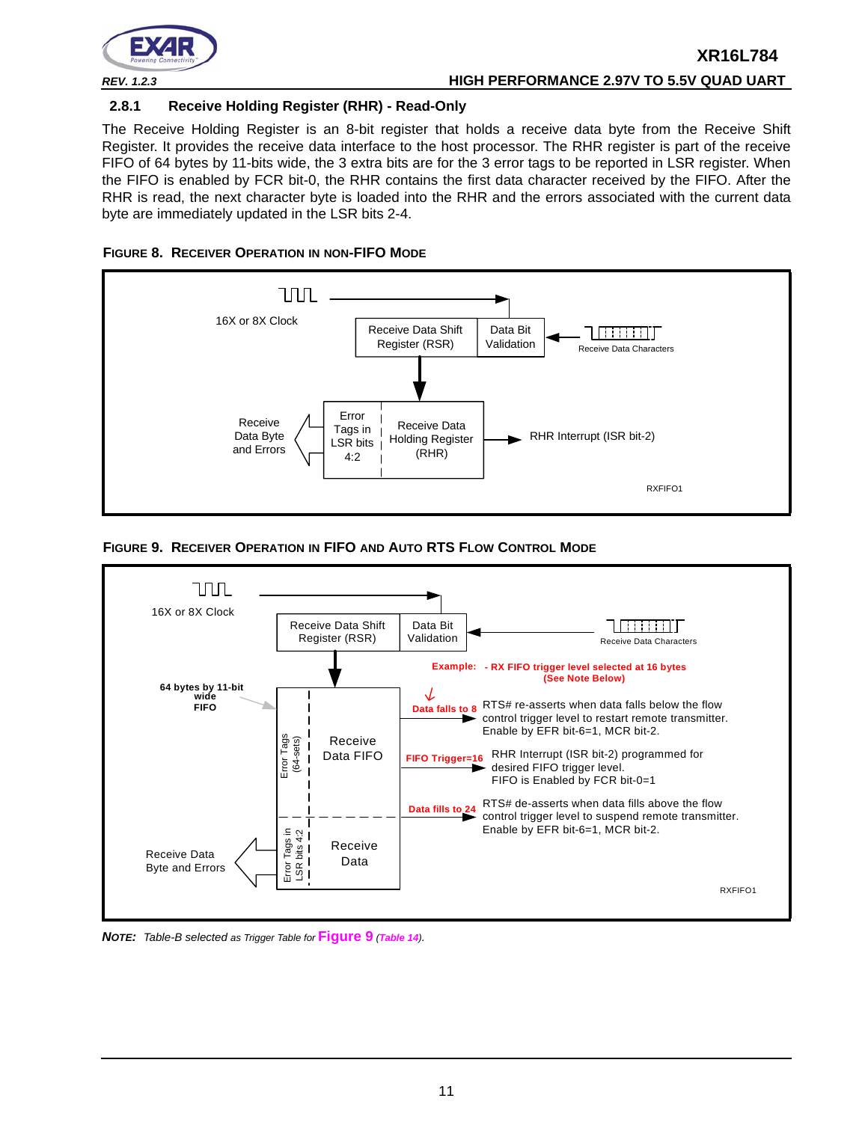

# **2.8.1 Receive Holding Register (RHR) - Read-Only**

The Receive Holding Register is an 8-bit register that holds a receive data byte from the Receive Shift Register. It provides the receive data interface to the host processor. The RHR register is part of the receive FIFO of 64 bytes by 11-bits wide, the 3 extra bits are for the 3 error tags to be reported in LSR register. When the FIFO is enabled by FCR bit-0, the RHR contains the first data character received by the FIFO. After the RHR is read, the next character byte is loaded into the RHR and the errors associated with the current data byte are immediately updated in the LSR bits 2-4.

<span id="page-10-1"></span>



<span id="page-10-0"></span>



*NOTE: Table-B selected as Trigger Table for* **[Figure](#page-10-0) 9** *([Table](#page-30-0) <sup>14</sup>).*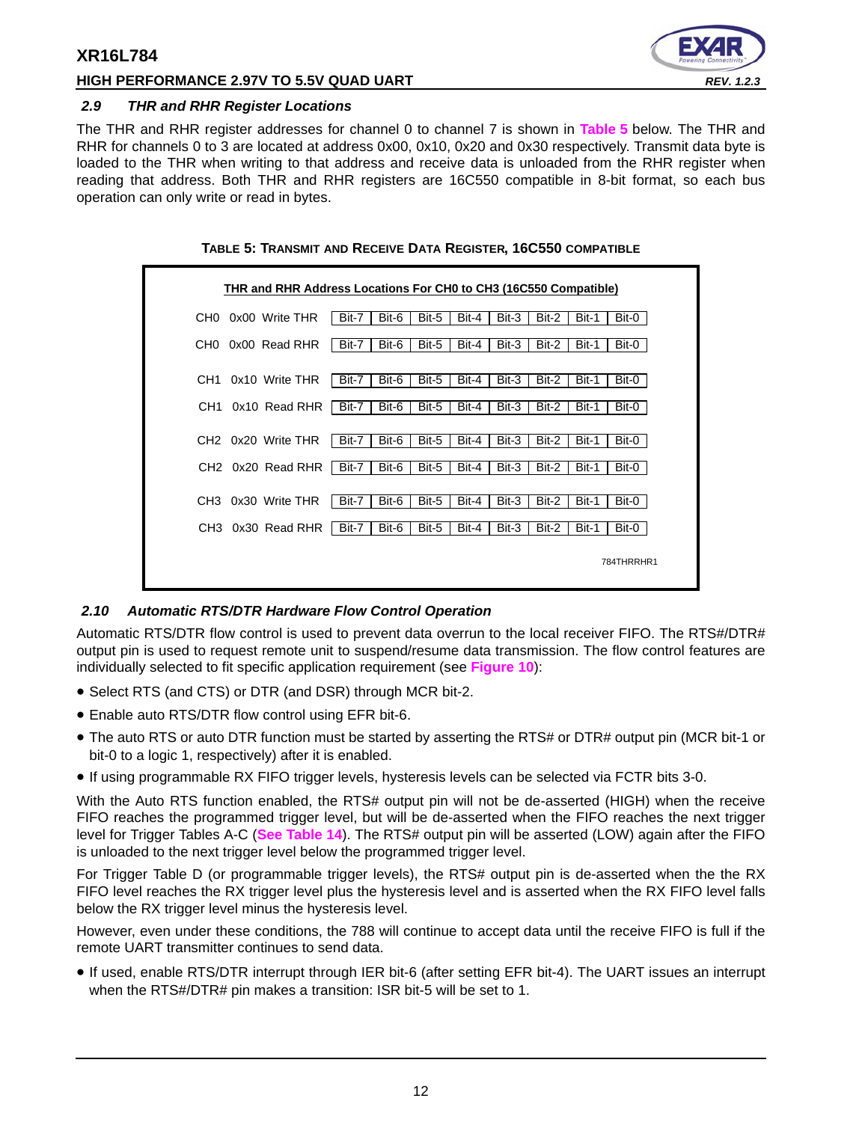# **HIGH PERFORMANCE 2.97V TO 5.5V QUAD UART** *REV. 1.2.3*



#### <span id="page-11-1"></span>*2.9 THR and RHR Register Locations*

The THR and RHR register addresses for channel 0 to channel 7 is shown in **[Table](#page-11-0) 5** below. The THR and RHR for channels 0 to 3 are located at address 0x00, 0x10, 0x20 and 0x30 respectively. Transmit data byte is loaded to the THR when writing to that address and receive data is unloaded from the RHR register when reading that address. Both THR and RHR registers are 16C550 compatible in 8-bit format, so each bus operation can only write or read in bytes.

<span id="page-11-0"></span>

| CH0. | 0x00 Write THR                 | Bit-7 | Bit-6 | Bit-5 | Bit-4 | Bit-3 | Bit-2 | Bit-1 | Bit-0 |
|------|--------------------------------|-------|-------|-------|-------|-------|-------|-------|-------|
| CH0  | 0x00 Read RHR                  | Bit-7 | Bit-6 | Bit-5 | Bit-4 | Bit-3 | Bit-2 | Bit-1 | Bit-0 |
|      |                                |       |       |       |       |       |       |       |       |
| CH1  | 0x10 Write THR                 | Bit-7 | Bit-6 | Bit-5 | Bit-4 | Bit-3 | Bit-2 | Bit-1 | Bit-0 |
| CH1  | 0x10 Read RHR                  | Bit-7 | Bit-6 | Bit-5 | Bit-4 | Bit-3 | Bit-2 | Bit-1 | Bit-0 |
|      | CH <sub>2</sub> 0x20 Write THR | Bit-7 | Bit-6 | Bit-5 | Bit-4 | Bit-3 | Bit-2 | Bit-1 | Bit-0 |
|      | CH <sub>2</sub> 0x20 Read RHR  | Bit-7 | Bit-6 | Bit-5 | Bit-4 | Bit-3 | Bit-2 | Bit-1 | Bit-0 |
|      | CH3 0x30 Write THR             | Bit-7 | Bit-6 | Bit-5 | Bit-4 | Bit-3 | Bit-2 | Bit-1 | Bit-0 |
|      | CH3 0x30 Read RHR              | Bit-7 | Bit-6 | Bit-5 | Bit-4 | Bit-3 | Bit-2 | Bit-1 | Bit-0 |

#### **TABLE 5: TRANSMIT AND RECEIVE DATA REGISTER, 16C550 COMPATIBLE**

#### <span id="page-11-2"></span>*2.10 Automatic RTS/DTR Hardware Flow Control Operation*

Automatic RTS/DTR flow control is used to prevent data overrun to the local receiver FIFO. The RTS#/DTR# output pin is used to request remote unit to suspend/resume data transmission. The flow control features are individually selected to fit specific application requirement (see **[Figure](#page-12-0) 10**):

- Select RTS (and CTS) or DTR (and DSR) through MCR bit-2.
- Enable auto RTS/DTR flow control using EFR bit-6.
- The auto RTS or auto DTR function must be started by asserting the RTS# or DTR# output pin (MCR bit-1 or bit-0 to a logic 1, respectively) after it is enabled.
- If using programmable RX FIFO trigger levels, hysteresis levels can be selected via FCTR bits 3-0.

With the Auto RTS function enabled, the RTS# output pin will not be de-asserted (HIGH) when the receive FIFO reaches the programmed trigger level, but will be de-asserted when the FIFO reaches the next trigger level for Trigger Tables A-C (**[See Table](#page-30-0) 14**). The RTS# output pin will be asserted (LOW) again after the FIFO is unloaded to the next trigger level below the programmed trigger level.

For Trigger Table D (or programmable trigger levels), the RTS# output pin is de-asserted when the the RX FIFO level reaches the RX trigger level plus the hysteresis level and is asserted when the RX FIFO level falls below the RX trigger level minus the hysteresis level.

However, even under these conditions, the 788 will continue to accept data until the receive FIFO is full if the remote UART transmitter continues to send data.

• If used, enable RTS/DTR interrupt through IER bit-6 (after setting EFR bit-4). The UART issues an interrupt when the RTS#/DTR# pin makes a transition: ISR bit-5 will be set to 1.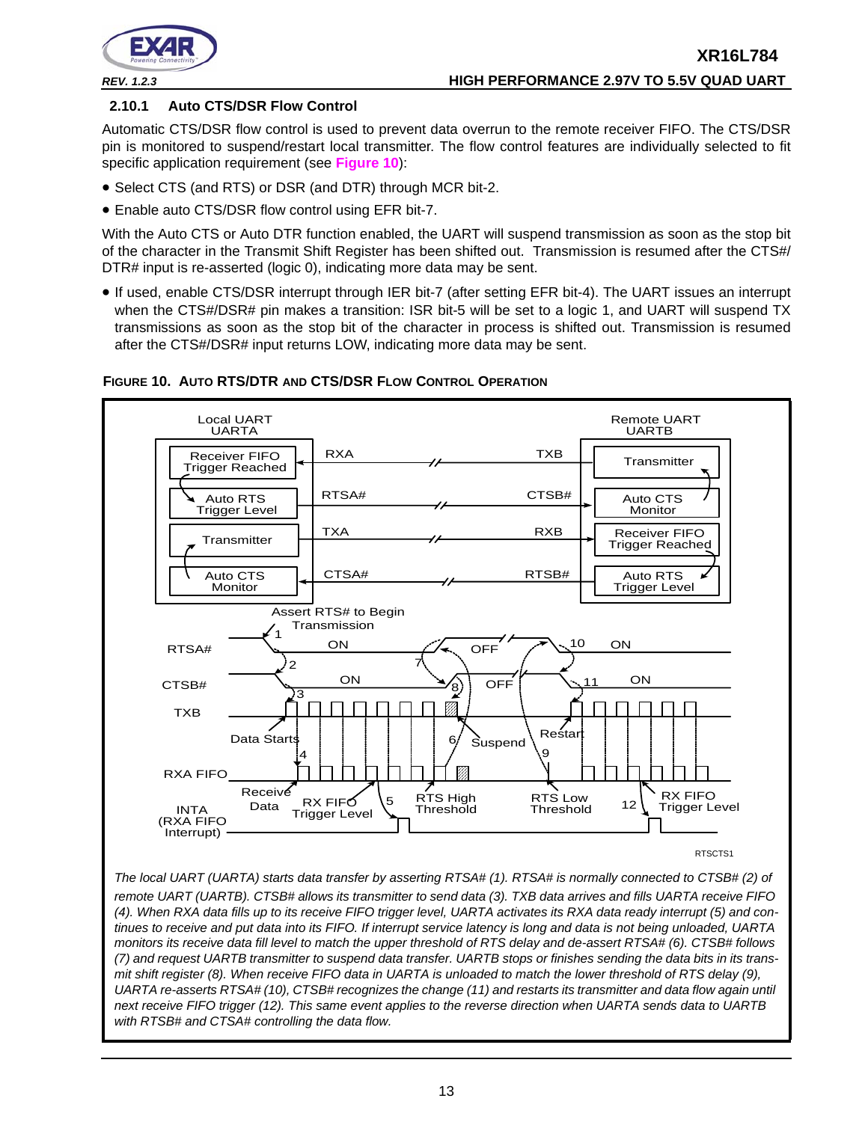

# **2.10.1 Auto CTS/DSR Flow Control**

Automatic CTS/DSR flow control is used to prevent data overrun to the remote receiver FIFO. The CTS/DSR pin is monitored to suspend/restart local transmitter. The flow control features are individually selected to fit specific application requirement (see **[Figure](#page-12-0) 10**):

- Select CTS (and RTS) or DSR (and DTR) through MCR bit-2.
- Enable auto CTS/DSR flow control using EFR bit-7.

With the Auto CTS or Auto DTR function enabled, the UART will suspend transmission as soon as the stop bit of the character in the Transmit Shift Register has been shifted out. Transmission is resumed after the CTS#/ DTR# input is re-asserted (logic 0), indicating more data may be sent.

• If used, enable CTS/DSR interrupt through IER bit-7 (after setting EFR bit-4). The UART issues an interrupt when the CTS#/DSR# pin makes a transition: ISR bit-5 will be set to a logic 1, and UART will suspend TX transmissions as soon as the stop bit of the character in process is shifted out. Transmission is resumed after the CTS#/DSR# input returns LOW, indicating more data may be sent.



# <span id="page-12-0"></span>**FIGURE 10. AUTO RTS/DTR AND CTS/DSR FLOW CONTROL OPERATION**

*(7) and request UARTB transmitter to suspend data transfer. UARTB stops or finishes sending the data bits in its transmit shift register (8). When receive FIFO data in UARTA is unloaded to match the lower threshold of RTS delay (9), UARTA re-asserts RTSA# (10), CTSB# recognizes the change (11) and restarts its transmitter and data flow again until next receive FIFO trigger (12). This same event applies to the reverse direction when UARTA sends data to UARTB with RTSB# and CTSA# controlling the data flow.*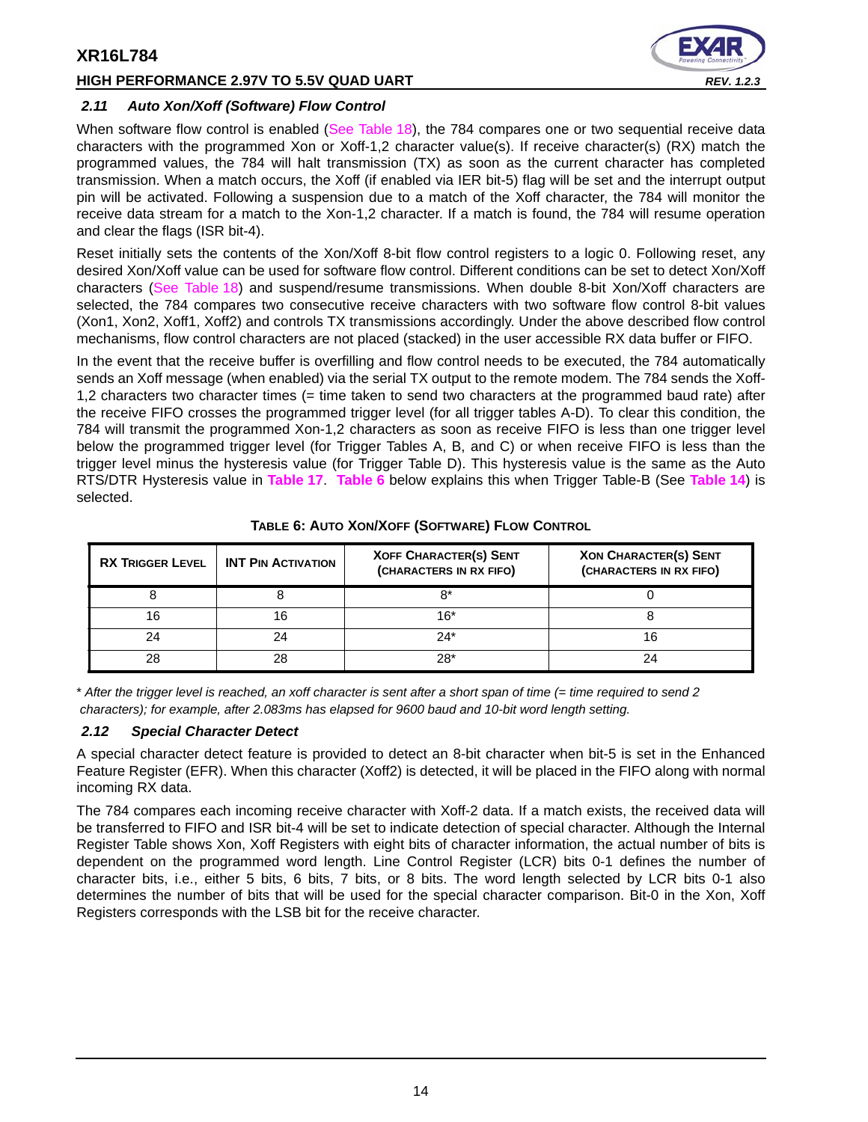# **HIGH PERFORMANCE 2.97V TO 5.5V QUAD UART** *REV. 1.2.3*



#### <span id="page-13-1"></span>*2.11 Auto Xon/Xoff (Software) Flow Control*

When software flow control is enabled ([See Table](#page-37-0) 18), the 784 compares one or two sequential receive data characters with the programmed Xon or Xoff-1,2 character value(s). If receive character(s) (RX) match the programmed values, the 784 will halt transmission (TX) as soon as the current character has completed transmission. When a match occurs, the Xoff (if enabled via IER bit-5) flag will be set and the interrupt output pin will be activated. Following a suspension due to a match of the Xoff character, the 784 will monitor the receive data stream for a match to the Xon-1,2 character. If a match is found, the 784 will resume operation and clear the flags (ISR bit-4).

Reset initially sets the contents of the Xon/Xoff 8-bit flow control registers to a logic 0. Following reset, any desired Xon/Xoff value can be used for software flow control. Different conditions can be set to detect Xon/Xoff characters [\(See Table](#page-37-0) 18) and suspend/resume transmissions. When double 8-bit Xon/Xoff characters are selected, the 784 compares two consecutive receive characters with two software flow control 8-bit values (Xon1, Xon2, Xoff1, Xoff2) and controls TX transmissions accordingly. Under the above described flow control mechanisms, flow control characters are not placed (stacked) in the user accessible RX data buffer or FIFO.

In the event that the receive buffer is overfilling and flow control needs to be executed, the 784 automatically sends an Xoff message (when enabled) via the serial TX output to the remote modem. The 784 sends the Xoff-1,2 characters two character times (= time taken to send two characters at the programmed baud rate) after the receive FIFO crosses the programmed trigger level (for all trigger tables A-D). To clear this condition, the 784 will transmit the programmed Xon-1,2 characters as soon as receive FIFO is less than one trigger level below the programmed trigger level (for Trigger Tables A, B, and C) or when receive FIFO is less than the trigger level minus the hysteresis value (for Trigger Table D). This hysteresis value is the same as the Auto RTS/DTR Hysteresis value in **[Table](#page-36-0) 17**. **[Table](#page-13-0) 6** below explains this when Trigger Table-B (See **[Table](#page-30-0) 14**) is selected.

<span id="page-13-0"></span>

| <b>RX TRIGGER LEVEL</b> | <b>INT PIN ACTIVATION</b> | <b>XOFF CHARACTER(S) SENT</b><br>(CHARACTERS IN RX FIFO) | <b>XON CHARACTER(S) SENT</b><br>(CHARACTERS IN RX FIFO) |
|-------------------------|---------------------------|----------------------------------------------------------|---------------------------------------------------------|
|                         |                           | R*                                                       |                                                         |
| 16                      |                           | 16*                                                      |                                                         |
| 24                      |                           | $24*$                                                    |                                                         |
| 28                      | റാ                        | $28*$                                                    |                                                         |

#### **TABLE 6: AUTO XON/XOFF (SOFTWARE) FLOW CONTROL**

\* *After the trigger level is reached, an xoff character is sent after a short span of time (= time required to send 2 characters); for example, after 2.083ms has elapsed for 9600 baud and 10-bit word length setting.*

#### <span id="page-13-2"></span>*2.12 Special Character Detect*

A special character detect feature is provided to detect an 8-bit character when bit-5 is set in the Enhanced Feature Register (EFR). When this character (Xoff2) is detected, it will be placed in the FIFO along with normal incoming RX data.

The 784 compares each incoming receive character with Xoff-2 data. If a match exists, the received data will be transferred to FIFO and ISR bit-4 will be set to indicate detection of special character. Although the Internal Register Table shows Xon, Xoff Registers with eight bits of character information, the actual number of bits is dependent on the programmed word length. Line Control Register (LCR) bits 0-1 defines the number of character bits, i.e., either 5 bits, 6 bits, 7 bits, or 8 bits. The word length selected by LCR bits 0-1 also determines the number of bits that will be used for the special character comparison. Bit-0 in the Xon, Xoff Registers corresponds with the LSB bit for the receive character.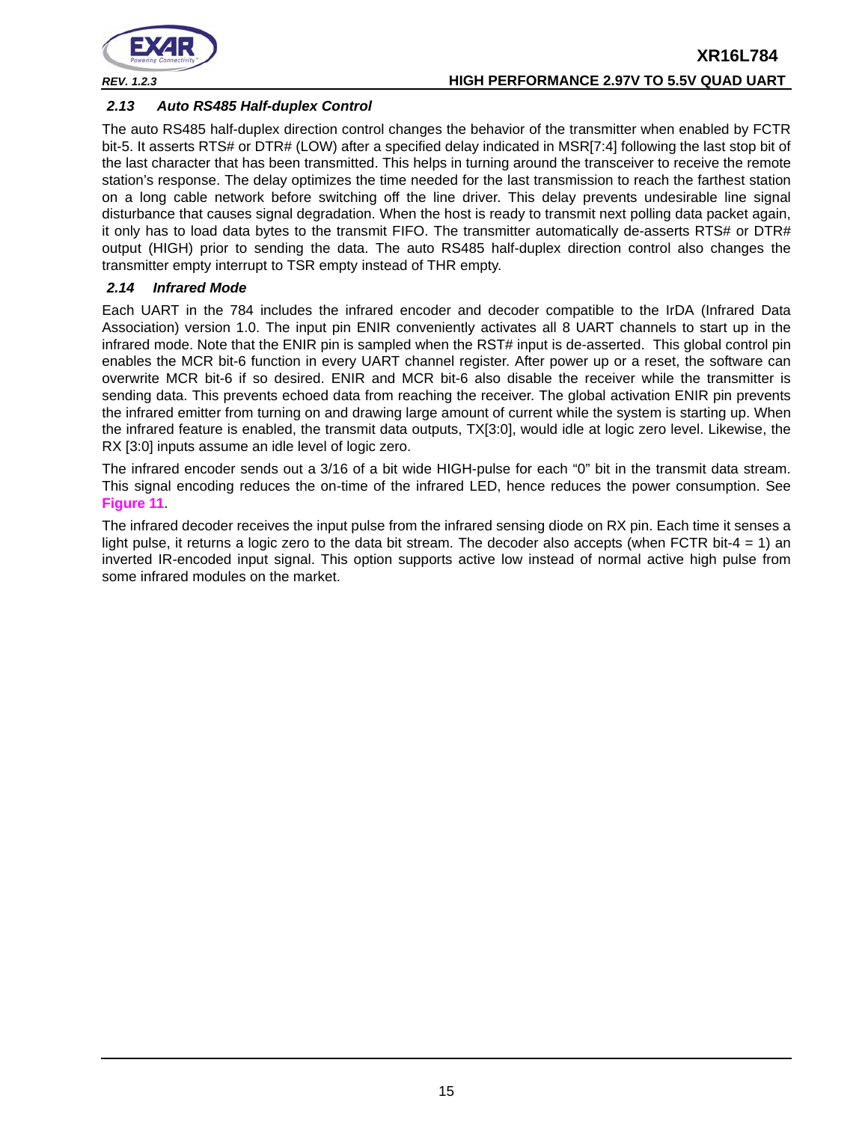

# **XR16L784** *REV. 1.2.3* **HIGH PERFORMANCE 2.97V TO 5.5V QUAD UART**

# <span id="page-14-0"></span>*2.13 Auto RS485 Half-duplex Control*

The auto RS485 half-duplex direction control changes the behavior of the transmitter when enabled by FCTR bit-5. It asserts RTS# or DTR# (LOW) after a specified delay indicated in MSR[7:4] following the last stop bit of the last character that has been transmitted. This helps in turning around the transceiver to receive the remote station's response. The delay optimizes the time needed for the last transmission to reach the farthest station on a long cable network before switching off the line driver. This delay prevents undesirable line signal disturbance that causes signal degradation. When the host is ready to transmit next polling data packet again, it only has to load data bytes to the transmit FIFO. The transmitter automatically de-asserts RTS# or DTR# output (HIGH) prior to sending the data. The auto RS485 half-duplex direction control also changes the transmitter empty interrupt to TSR empty instead of THR empty.

# <span id="page-14-1"></span>*2.14 Infrared Mode*

Each UART in the 784 includes the infrared encoder and decoder compatible to the IrDA (Infrared Data Association) version 1.0. The input pin ENIR conveniently activates all 8 UART channels to start up in the infrared mode. Note that the ENIR pin is sampled when the RST# input is de-asserted. This global control pin enables the MCR bit-6 function in every UART channel register. After power up or a reset, the software can overwrite MCR bit-6 if so desired. ENIR and MCR bit-6 also disable the receiver while the transmitter is sending data. This prevents echoed data from reaching the receiver. The global activation ENIR pin prevents the infrared emitter from turning on and drawing large amount of current while the system is starting up. When the infrared feature is enabled, the transmit data outputs, TX[3:0], would idle at logic zero level. Likewise, the RX [3:0] inputs assume an idle level of logic zero.

The infrared encoder sends out a 3/16 of a bit wide HIGH-pulse for each "0" bit in the transmit data stream. This signal encoding reduces the on-time of the infrared LED, hence reduces the power consumption. See **[Figure](#page-15-0) 11**.

The infrared decoder receives the input pulse from the infrared sensing diode on RX pin. Each time it senses a light pulse, it returns a logic zero to the data bit stream. The decoder also accepts (when FCTR bit-4 = 1) an inverted IR-encoded input signal. This option supports active low instead of normal active high pulse from some infrared modules on the market.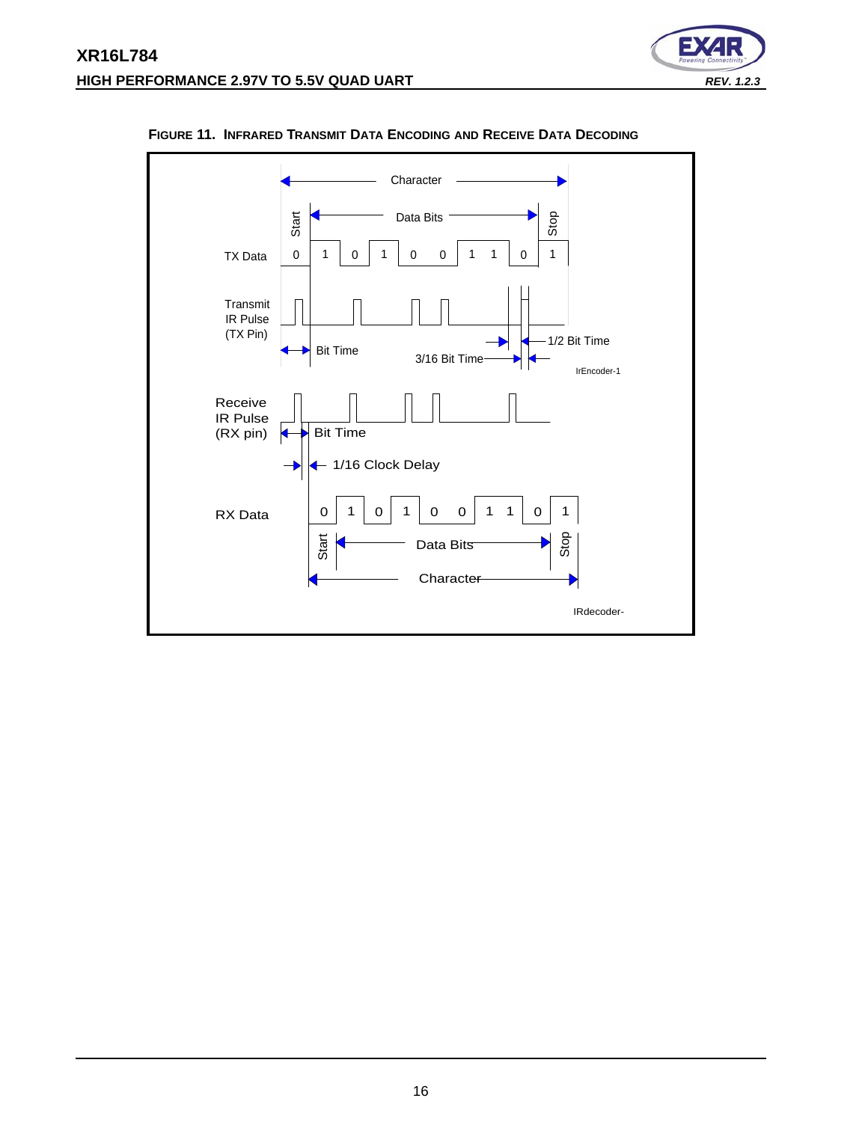



#### <span id="page-15-0"></span>**FIGURE 11. INFRARED TRANSMIT DATA ENCODING AND RECEIVE DATA DECODING**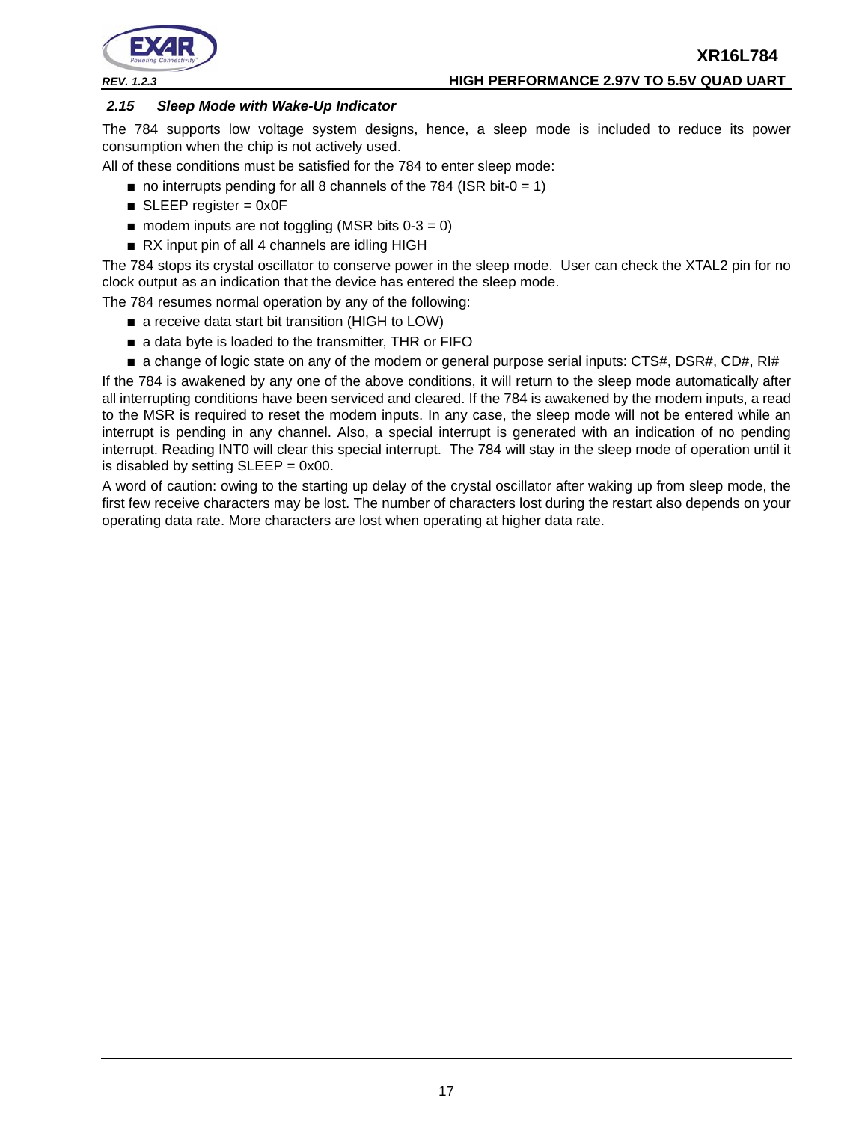



# *REV. 1.2.3* **HIGH PERFORMANCE 2.97V TO 5.5V QUAD UART**

# <span id="page-16-0"></span>*2.15 Sleep Mode with Wake-Up Indicator*

The 784 supports low voltage system designs, hence, a sleep mode is included to reduce its power consumption when the chip is not actively used.

All of these conditions must be satisfied for the 784 to enter sleep mode:

- $\blacksquare$  no interrupts pending for all 8 channels of the 784 (ISR bit-0 = 1)
- $\blacksquare$  SLEEP register = 0x0F
- $\blacksquare$  modem inputs are not toggling (MSR bits 0-3 = 0)
- RX input pin of all 4 channels are idling HIGH

The 784 stops its crystal oscillator to conserve power in the sleep mode. User can check the XTAL2 pin for no clock output as an indication that the device has entered the sleep mode.

The 784 resumes normal operation by any of the following:

- a receive data start bit transition (HIGH to LOW)
- a data byte is loaded to the transmitter, THR or FIFO
- a change of logic state on any of the modem or general purpose serial inputs: CTS#, DSR#, CD#, RI#

If the 784 is awakened by any one of the above conditions, it will return to the sleep mode automatically after all interrupting conditions have been serviced and cleared. If the 784 is awakened by the modem inputs, a read to the MSR is required to reset the modem inputs. In any case, the sleep mode will not be entered while an interrupt is pending in any channel. Also, a special interrupt is generated with an indication of no pending interrupt. Reading INT0 will clear this special interrupt. The 784 will stay in the sleep mode of operation until it is disabled by setting  $SLEEP = 0x00$ .

A word of caution: owing to the starting up delay of the crystal oscillator after waking up from sleep mode, the first few receive characters may be lost. The number of characters lost during the restart also depends on your operating data rate. More characters are lost when operating at higher data rate.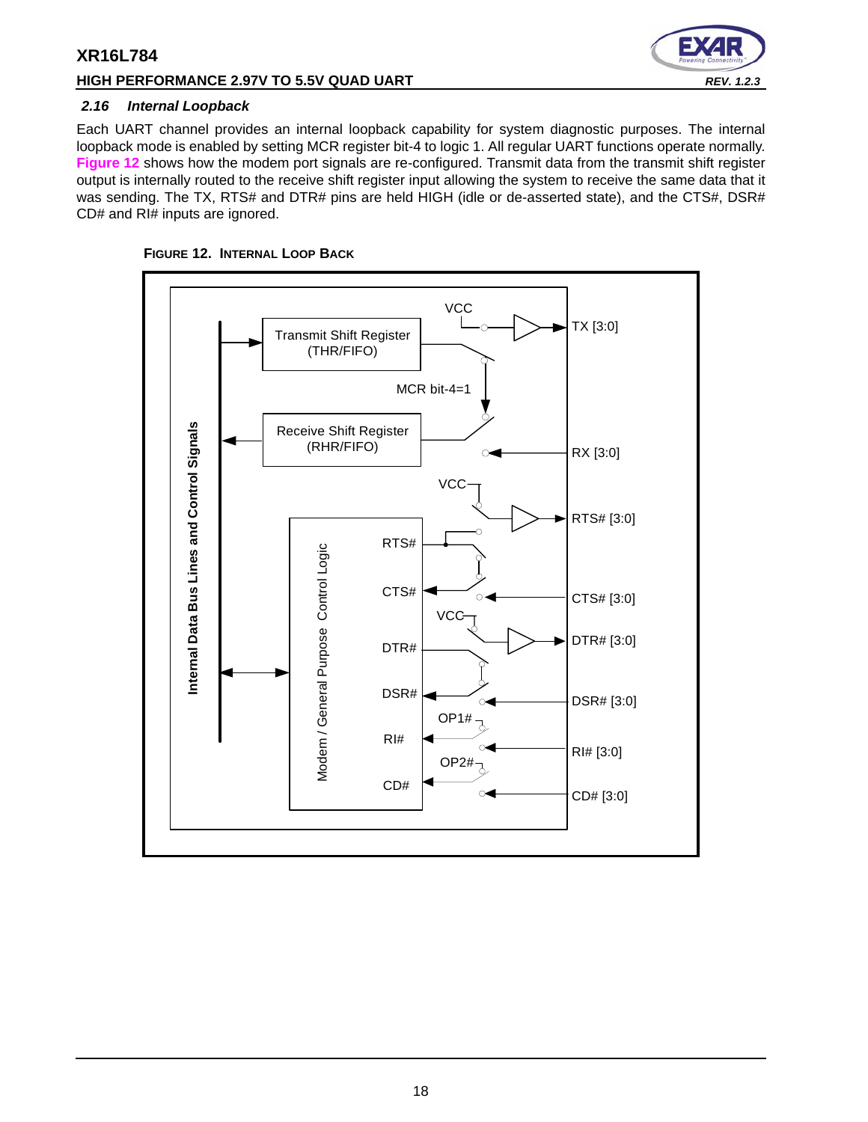# **HIGH PERFORMANCE 2.97V TO 5.5V QUAD UART** *REV. 1.2.3*



#### <span id="page-17-1"></span>*2.16 Internal Loopback*

Each UART channel provides an internal loopback capability for system diagnostic purposes. The internal loopback mode is enabled by setting MCR register bit-4 to logic 1. All regular UART functions operate normally. **[Figure](#page-17-0) 12** shows how the modem port signals are re-configured. Transmit data from the transmit shift register output is internally routed to the receive shift register input allowing the system to receive the same data that it was sending. The TX, RTS# and DTR# pins are held HIGH (idle or de-asserted state), and the CTS#, DSR# CD# and RI# inputs are ignored.

<span id="page-17-0"></span>

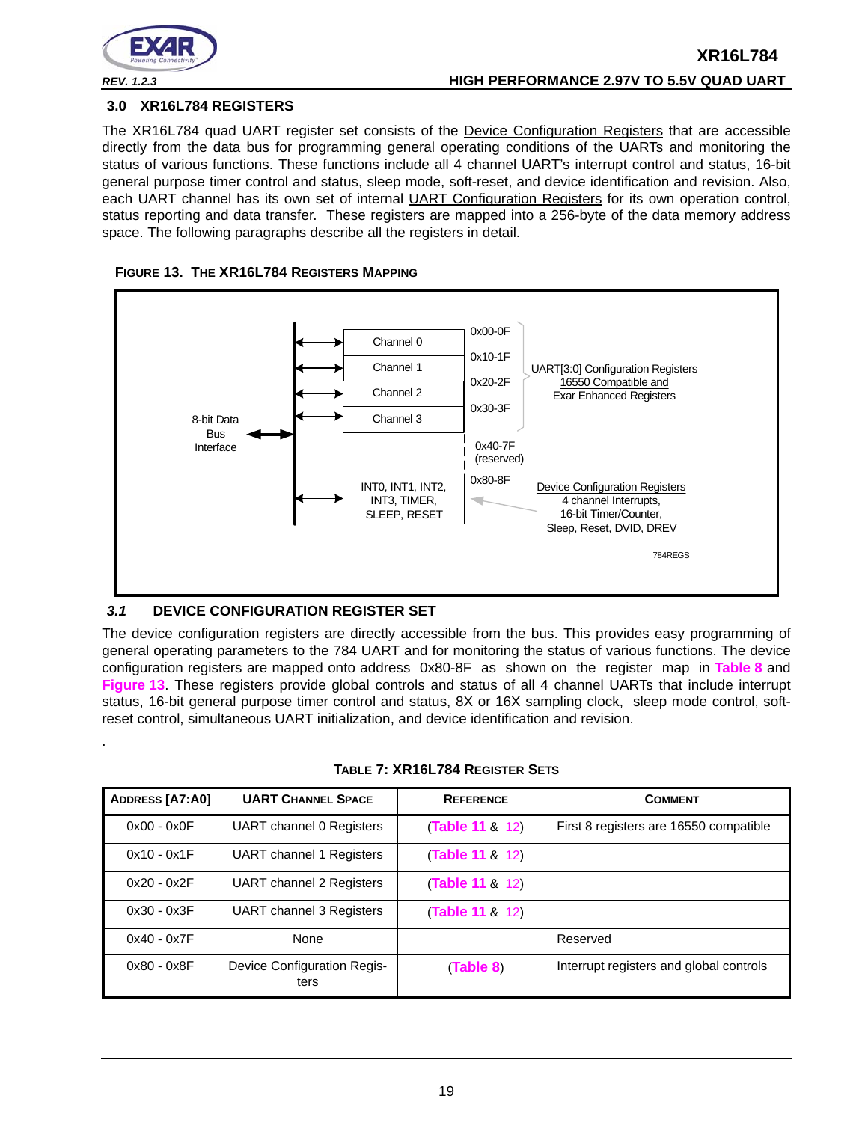

<span id="page-18-3"></span>.

#### <span id="page-18-1"></span>**3.0 XR16L784 REGISTERS**

The XR16L784 quad UART register set consists of the Device Configuration Registers that are accessible directly from the data bus for programming general operating conditions of the UARTs and monitoring the status of various functions. These functions include all 4 channel UART's interrupt control and status, 16-bit general purpose timer control and status, sleep mode, soft-reset, and device identification and revision. Also, each UART channel has its own set of internal UART Configuration Registers for its own operation control, status reporting and data transfer. These registers are mapped into a 256-byte of the data memory address space. The following paragraphs describe all the registers in detail.

<span id="page-18-0"></span>



# <span id="page-18-2"></span>*3.1* **DEVICE CONFIGURATION REGISTER SET**

The device configuration registers are directly accessible from the bus. This provides easy programming of general operating parameters to the 784 UART and for monitoring the status of various functions. The device configuration registers are mapped onto address 0x80-8F as shown on the register map in **[Table](#page-19-0) 8** and **[Figure](#page-18-0) 13**. These registers provide global controls and status of all 4 channel UARTs that include interrupt status, 16-bit general purpose timer control and status, 8X or 16X sampling clock, sleep mode control, softreset control, simultaneous UART initialization, and device identification and revision.

| ADDRESS [A7:A0] | <b>UART CHANNEL SPACE</b>                  | <b>REFERENCE</b> | <b>COMMENT</b>                          |
|-----------------|--------------------------------------------|------------------|-----------------------------------------|
| $0x00 - 0x0F$   | <b>UART</b> channel 0 Registers            | (Table 11 & 12)  | First 8 registers are 16550 compatible  |
| $0x10 - 0x1F$   | <b>UART</b> channel 1 Registers            | (Table 11 & 12)  |                                         |
| $0x20 - 0x2F$   | <b>UART</b> channel 2 Registers            | (Table 11 8 12)  |                                         |
| $0x30 - 0x3F$   | UART channel 3 Registers                   | (Table 11 8 12)  |                                         |
| $0x40 - 0x7F$   | None                                       |                  | Reserved                                |
| $0x80 - 0x8F$   | <b>Device Configuration Regis-</b><br>ters | (Table 8)        | Interrupt registers and global controls |

| TABLE 7: XR16L784 REGISTER SETS |  |
|---------------------------------|--|
|---------------------------------|--|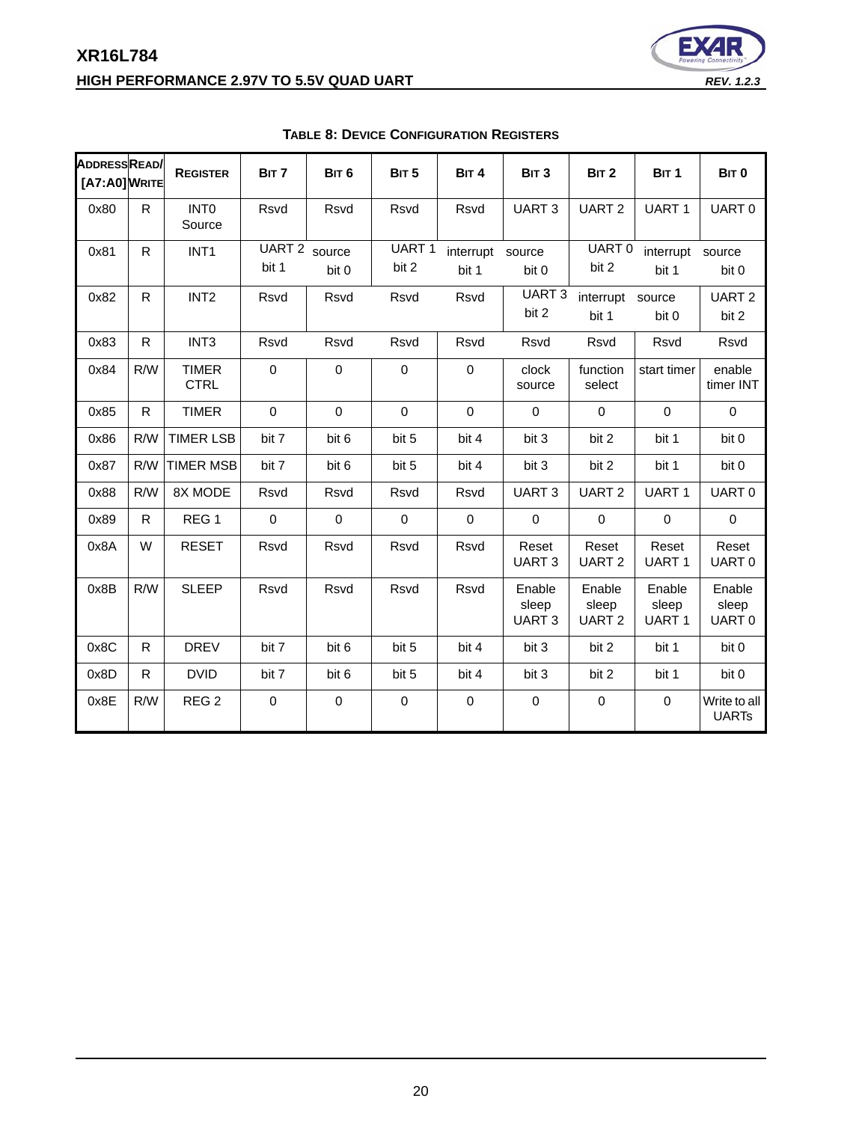# **XR16L784 HIGH PERFORMANCE 2.97V TO 5.5V QUAD UART** *REV. 1.2.3*



<span id="page-19-0"></span>

| ADDRESSREAD<br>[A7:A0] WRITE |              | <b>REGISTER</b>             | BIT 7                  | BIT <sub>6</sub> | BIT <sub>5</sub>      | BIT <sub>4</sub>   | BIT <sub>3</sub>                     | BIT <sub>2</sub>                     | BIT <sub>1</sub>                     | BIT <sub>0</sub>             |
|------------------------------|--------------|-----------------------------|------------------------|------------------|-----------------------|--------------------|--------------------------------------|--------------------------------------|--------------------------------------|------------------------------|
| 0x80                         | R            | <b>INTO</b><br>Source       | <b>Rsvd</b>            | Rsvd             | <b>Rsvd</b>           | Rsvd               | UART <sub>3</sub>                    | UART <sub>2</sub>                    | UART <sub>1</sub>                    | UART0                        |
| 0x81                         | R            | INT <sub>1</sub>            | UART 2 source<br>bit 1 | bit 0            | <b>UART1</b><br>bit 2 | interrupt<br>bit 1 | source<br>bit 0                      | UART0<br>bit 2                       | interrupt<br>bit 1                   | source<br>bit 0              |
| 0x82                         | R.           | INT <sub>2</sub>            | Rsvd                   | Rsvd             | Rsvd                  | Rsvd               | UART <sub>3</sub><br>bit 2           | interrupt<br>bit 1                   | source<br>bit 0                      | UART <sub>2</sub><br>bit 2   |
| 0x83                         | $\mathsf{R}$ | INT <sub>3</sub>            | <b>Rsvd</b>            | Rsvd             | <b>Rsvd</b>           | Rsvd               | <b>Rsvd</b>                          | Rsvd                                 | Rsvd                                 | Rsvd                         |
| 0x84                         | R/W          | <b>TIMER</b><br><b>CTRL</b> | $\Omega$               | $\Omega$         | $\mathbf 0$           | $\mathbf 0$        | clock<br>source                      | function<br>select                   | start timer                          | enable<br>timer INT          |
| 0x85                         | R.           | <b>TIMER</b>                | $\Omega$               | $\mathbf 0$      | $\mathbf 0$           | $\mathbf 0$        | $\mathbf 0$                          | $\mathbf 0$                          | $\mathbf 0$                          | $\mathbf 0$                  |
| 0x86                         | R/W          | <b>TIMER LSB</b>            | bit 7                  | bit 6            | bit 5                 | bit 4              | bit 3                                | bit 2                                | bit 1                                | bit 0                        |
| 0x87                         | R/W          | <b>TIMER MSB</b>            | bit 7                  | bit 6            | bit 5                 | bit 4              | bit 3                                | bit 2                                | bit 1                                | bit 0                        |
| 0x88                         | R/W          | 8X MODE                     | Rsvd                   | Rsvd             | Rsvd                  | <b>Rsvd</b>        | UART <sub>3</sub>                    | UART <sub>2</sub>                    | UART1                                | UART <sub>0</sub>            |
| 0x89                         | $\mathsf{R}$ | REG <sub>1</sub>            | $\mathbf 0$            | $\mathbf 0$      | $\mathbf 0$           | $\pmb{0}$          | 0                                    | $\mathbf 0$                          | $\pmb{0}$                            | $\mathbf 0$                  |
| 0x8A                         | W            | <b>RESET</b>                | Rsvd                   | Rsvd             | Rsvd                  | Rsvd               | Reset<br><b>UART3</b>                | Reset<br><b>UART2</b>                | Reset<br>UART <sub>1</sub>           | Reset<br>UART <sub>0</sub>   |
| 0x8B                         | R/W          | <b>SLEEP</b>                | <b>Rsvd</b>            | <b>Rsvd</b>      | <b>Rsvd</b>           | Rsvd               | Enable<br>sleep<br>UART <sub>3</sub> | Enable<br>sleep<br>UART <sub>2</sub> | Enable<br>sleep<br>UART <sub>1</sub> | Enable<br>sleep<br>UART 0    |
| 0x8C                         | R.           | <b>DREV</b>                 | bit 7                  | bit 6            | bit 5                 | bit 4              | bit 3                                | bit 2                                | bit 1                                | bit 0                        |
| 0x8D                         | $\mathsf{R}$ | <b>DVID</b>                 | bit 7                  | bit 6            | bit 5                 | bit 4              | bit 3                                | bit 2                                | bit 1                                | bit 0                        |
| 0x8E                         | R/W          | REG <sub>2</sub>            | $\mathbf 0$            | $\mathbf 0$      | $\mathbf 0$           | $\mathbf 0$        | $\mathbf 0$                          | $\mathbf 0$                          | $\mathbf 0$                          | Write to all<br><b>UARTs</b> |

# **TABLE 8: DEVICE CONFIGURATION REGISTERS**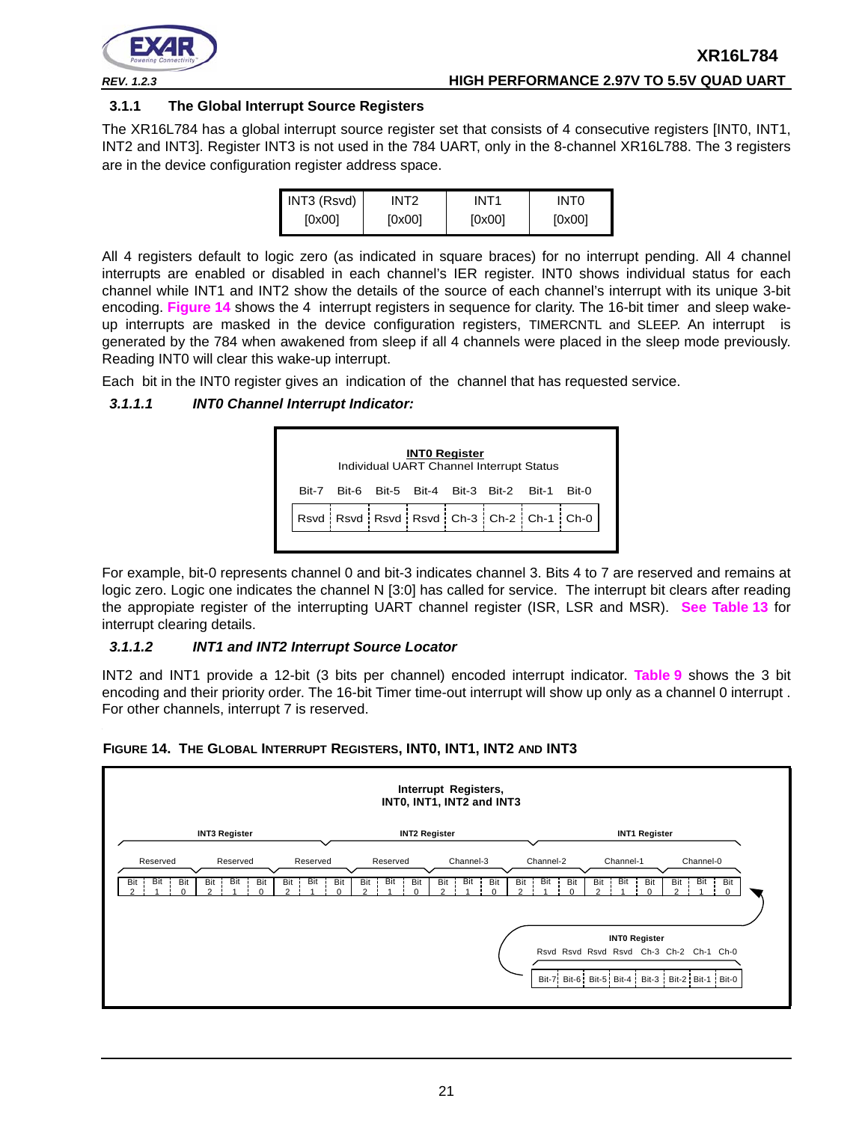

# **3.1.1 The Global Interrupt Source Registers**

The XR16L784 has a global interrupt source register set that consists of 4 consecutive registers [INT0, INT1, INT2 and INT3]. Register INT3 is not used in the 784 UART, only in the 8-channel XR16L788. The 3 registers are in the device configuration register address space.

| INT3 (Rsvd) | INT2   | INT <sub>1</sub> | INT <sub>0</sub> |
|-------------|--------|------------------|------------------|
| [0x00]      | [0x00] | [0x00]           | [0x00]           |

All 4 registers default to logic zero (as indicated in square braces) for no interrupt pending. All 4 channel interrupts are enabled or disabled in each channel's IER register. INT0 shows individual status for each channel while INT1 and INT2 show the details of the source of each channel's interrupt with its unique 3-bit encoding. **[Figure](#page-20-0) 14** shows the 4 interrupt registers in sequence for clarity. The 16-bit timer and sleep wakeup interrupts are masked in the device configuration registers, TIMERCNTL and SLEEP. An interrupt is generated by the 784 when awakened from sleep if all 4 channels were placed in the sleep mode previously. Reading INT0 will clear this wake-up interrupt.

Each bit in the INT0 register gives an indication of the channel that has requested service.

# *3.1.1.1 INT0 Channel Interrupt Indicator:*



For example, bit-0 represents channel 0 and bit-3 indicates channel 3. Bits 4 to 7 are reserved and remains at logic zero. Logic one indicates the channel N [3:0] has called for service. The interrupt bit clears after reading the appropiate register of the interrupting UART channel register (ISR, LSR and MSR). **[See Table](#page-28-0) 13** for interrupt clearing details.

# *3.1.1.2 INT1 and INT2 Interrupt Source Locator*

INT2 and INT1 provide a 12-bit (3 bits per channel) encoded interrupt indicator. **[Table](#page-21-0) 9** shows the 3 bit encoding and their priority order. The 16-bit Timer time-out interrupt will show up only as a channel 0 interrupt . For other channels, interrupt 7 is reserved.



#### <span id="page-20-0"></span>**FIGURE 14. THE GLOBAL INTERRUPT REGISTERS, INT0, INT1, INT2 AND INT3**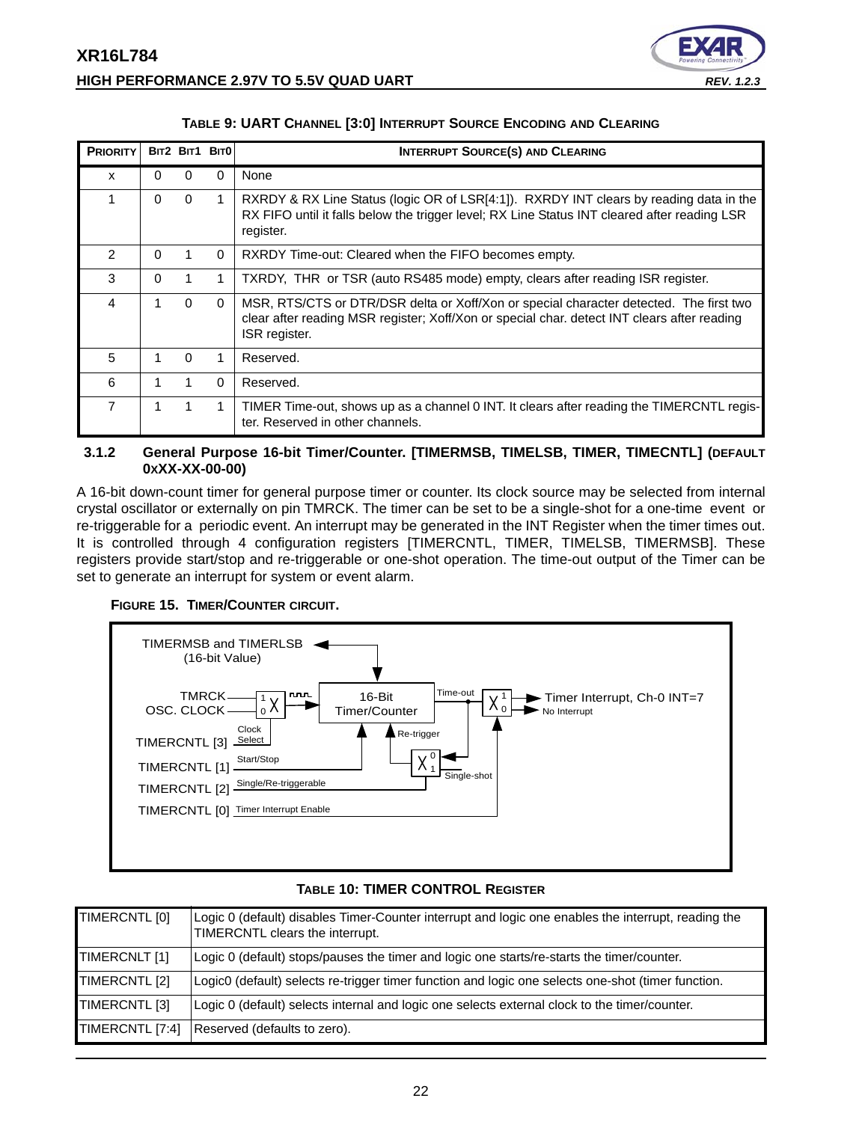

|  | TABLE 9: UART CHANNEL [3:0] INTERRUPT SOURCE ENCODING AND CLEARING |
|--|--------------------------------------------------------------------|
|--|--------------------------------------------------------------------|

<span id="page-21-0"></span>

| <b>PRIORITY</b> |          |          | BIT2 BIT1 BIT0 | <b>INTERRUPT SOURCE(S) AND CLEARING</b>                                                                                                                                                                |
|-----------------|----------|----------|----------------|--------------------------------------------------------------------------------------------------------------------------------------------------------------------------------------------------------|
| x               | $\Omega$ | U        | <sup>0</sup>   | None                                                                                                                                                                                                   |
| 1               | $\Omega$ | $\Omega$ | 1.             | RXRDY & RX Line Status (logic OR of LSR[4:1]). RXRDY INT clears by reading data in the<br>RX FIFO until it falls below the trigger level; RX Line Status INT cleared after reading LSR<br>register.    |
| $\mathcal{P}$   | $\Omega$ |          | $\Omega$       | RXRDY Time-out: Cleared when the FIFO becomes empty.                                                                                                                                                   |
| 3               | $\Omega$ |          | 1              | TXRDY, THR or TSR (auto RS485 mode) empty, clears after reading ISR register.                                                                                                                          |
| 4               | 1.       | $\Omega$ | $\Omega$       | MSR, RTS/CTS or DTR/DSR delta or Xoff/Xon or special character detected. The first two<br>clear after reading MSR register; Xoff/Xon or special char. detect INT clears after reading<br>ISR register. |
| 5               | 1        | $\Omega$ |                | Reserved.                                                                                                                                                                                              |
| 6               | 1        |          | $\Omega$       | Reserved.                                                                                                                                                                                              |
| $\overline{7}$  |          |          |                | TIMER Time-out, shows up as a channel 0 INT. It clears after reading the TIMERCNTL regis-<br>ter. Reserved in other channels.                                                                          |

# <span id="page-21-1"></span>**3.1.2 General Purpose 16-bit Timer/Counter. [TIMERMSB, TIMELSB, TIMER, TIMECNTL] (DEFAULT 0XXX-XX-00-00)**

A 16-bit down-count timer for general purpose timer or counter. Its clock source may be selected from internal crystal oscillator or externally on pin TMRCK. The timer can be set to be a single-shot for a one-time event or re-triggerable for a periodic event. An interrupt may be generated in the INT Register when the timer times out. It is controlled through 4 configuration registers [TIMERCNTL, TIMER, TIMELSB, TIMERMSB]. These registers provide start/stop and re-triggerable or one-shot operation. The time-out output of the Timer can be set to generate an interrupt for system or event alarm.

# <span id="page-21-2"></span>**FIGURE 15. TIMER/COUNTER CIRCUIT.**



# **TABLE 10: TIMER CONTROL REGISTER**

<span id="page-21-3"></span>

| TIMERCNTL [0]   | Logic 0 (default) disables Timer-Counter interrupt and logic one enables the interrupt, reading the<br>TIMERCNTL clears the interrupt. |
|-----------------|----------------------------------------------------------------------------------------------------------------------------------------|
| TIMERCNLT [1]   | Logic 0 (default) stops/pauses the timer and logic one starts/re-starts the timer/counter.                                             |
| TIMERCNTL [2]   | Logic0 (default) selects re-trigger timer function and logic one selects one-shot (timer function.                                     |
| TIMERCNTL [3]   | Logic 0 (default) selects internal and logic one selects external clock to the timer/counter.                                          |
| TIMERCNTL [7:4] | Reserved (defaults to zero).                                                                                                           |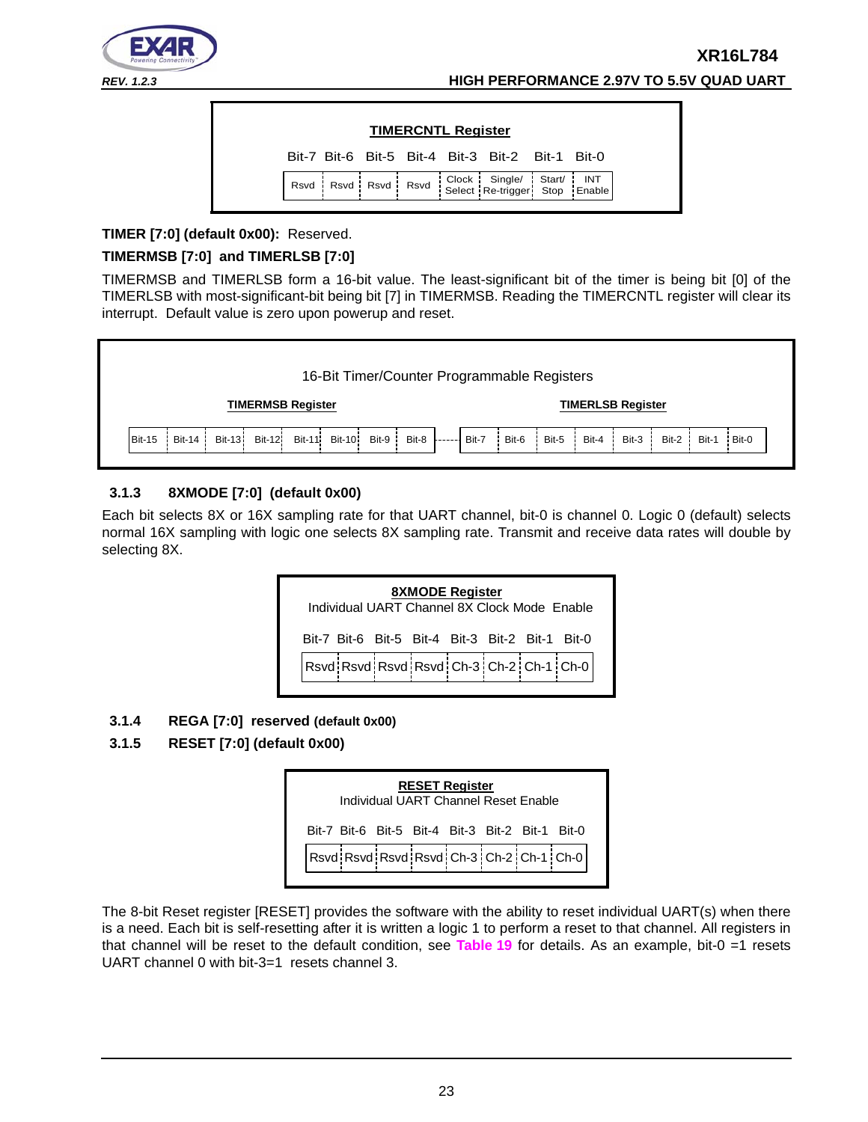

| Bit-7 Bit-6 Bit-5 Bit-4 Bit-3 Bit-2 Bit-1 Bit-0<br>Rsvd Rsvd Rsvd Rsvd Select Re-trigger Stort/ INT Rsvd Rsvd Rsvd Select Re-trigger Stop Enable |  |  | <b>TIMERCNTL Register</b> |  |  |
|--------------------------------------------------------------------------------------------------------------------------------------------------|--|--|---------------------------|--|--|
|                                                                                                                                                  |  |  |                           |  |  |
|                                                                                                                                                  |  |  |                           |  |  |

# **TIMER [7:0] (default 0x00):** Reserved.

# **TIMERMSB [7:0] and TIMERLSB [7:0]**

TIMERMSB and TIMERLSB form a 16-bit value. The least-significant bit of the timer is being bit [0] of the TIMERLSB with most-significant-bit being bit [7] in TIMERMSB. Reading the TIMERCNTL register will clear its interrupt. Default value is zero upon powerup and reset.



# <span id="page-22-1"></span>**3.1.3 8XMODE [7:0] (default 0x00)**

Each bit selects 8X or 16X sampling rate for that UART channel, bit-0 is channel 0. Logic 0 (default) selects normal 16X sampling with logic one selects 8X sampling rate. Transmit and receive data rates will double by selecting 8X.

> $Rsvd$  Rsvd Rsvd Rsvd Ch-3 Ch-2 Ch-1 Ch-0 **8XMODE Register** Individual UART Channel 8X Clock Mode Enable Bit-7 Bit-6 Bit-5 Bit-4 Bit-3 Bit-2 Bit-1 Bit-0

# <span id="page-22-2"></span>**3.1.4 REGA [7:0] reserved (default 0x00)**

# <span id="page-22-0"></span>**3.1.5 RESET [7:0] (default 0x00)**

| <b>RESET Register</b><br>Individual UART Channel Reset Fnable |                                                 |  |  |  |  |  |                                         |  |  |  |
|---------------------------------------------------------------|-------------------------------------------------|--|--|--|--|--|-----------------------------------------|--|--|--|
|                                                               | Bit-7 Bit-6 Bit-5 Bit-4 Bit-3 Bit-2 Bit-1 Bit-0 |  |  |  |  |  |                                         |  |  |  |
|                                                               |                                                 |  |  |  |  |  | Rsvd Rsvd Rsvd Rsvd Ch-3 Ch-2 Ch-1 Ch-0 |  |  |  |

The 8-bit Reset register [RESET] provides the software with the ability to reset individual UART(s) when there is a need. Each bit is self-resetting after it is written a logic 1 to perform a reset to that channel. All registers in that channel will be reset to the default condition, see **[Table](#page-39-0) 19** for details. As an example, bit-0 =1 resets UART channel 0 with bit-3=1 resets channel 3.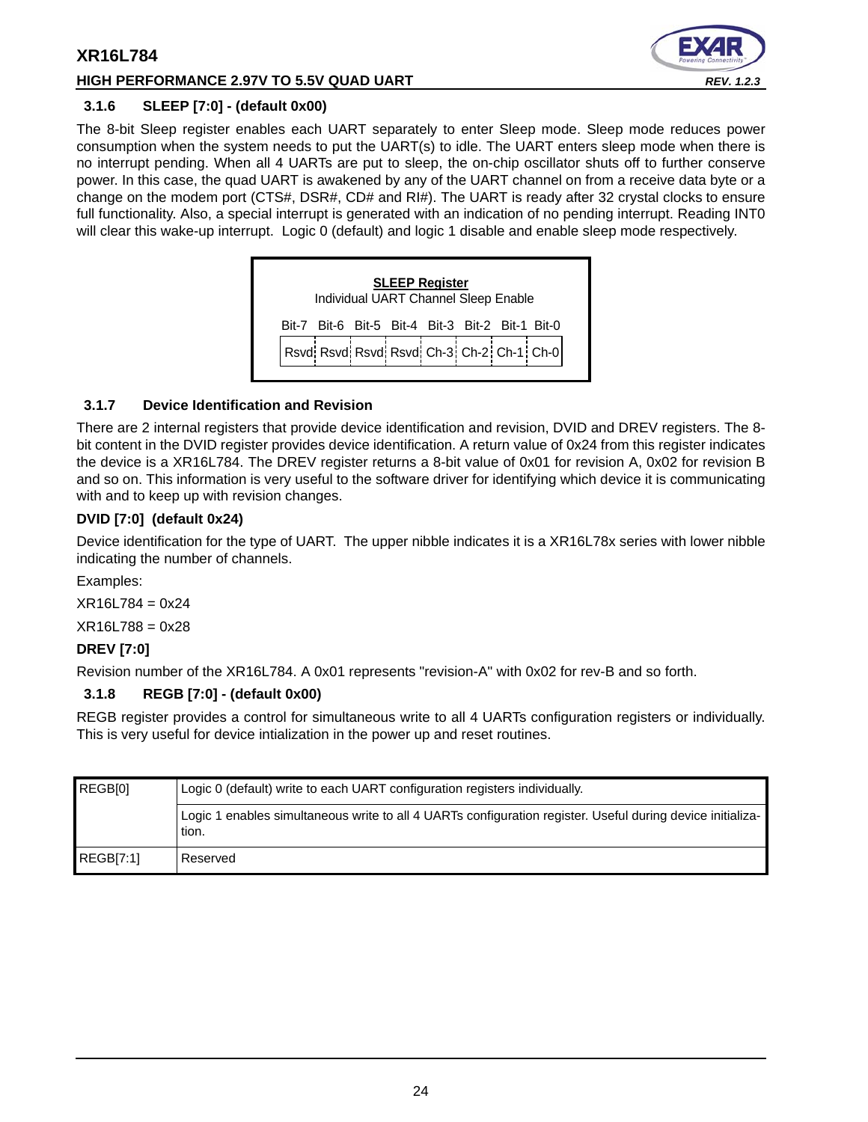# **HIGH PERFORMANCE 2.97V TO 5.5V QUAD UART** *REV. 1.2.3*



# <span id="page-23-0"></span>**3.1.6 SLEEP [7:0] - (default 0x00)**

The 8-bit Sleep register enables each UART separately to enter Sleep mode. Sleep mode reduces power consumption when the system needs to put the UART(s) to idle. The UART enters sleep mode when there is no interrupt pending. When all 4 UARTs are put to sleep, the on-chip oscillator shuts off to further conserve power. In this case, the quad UART is awakened by any of the UART channel on from a receive data byte or a change on the modem port (CTS#, DSR#, CD# and RI#). The UART is ready after 32 crystal clocks to ensure full functionality. Also, a special interrupt is generated with an indication of no pending interrupt. Reading INT0 will clear this wake-up interrupt. Logic 0 (default) and logic 1 disable and enable sleep mode respectively.



# <span id="page-23-1"></span>**3.1.7 Device Identification and Revision**

There are 2 internal registers that provide device identification and revision, DVID and DREV registers. The 8 bit content in the DVID register provides device identification. A return value of 0x24 from this register indicates the device is a XR16L784. The DREV register returns a 8-bit value of 0x01 for revision A, 0x02 for revision B and so on. This information is very useful to the software driver for identifying which device it is communicating with and to keep up with revision changes.

# **DVID [7:0] (default 0x24)**

Device identification for the type of UART. The upper nibble indicates it is a XR16L78x series with lower nibble indicating the number of channels.

Examples:

 $XR16L784 = 0x24$ 

 $XR16L788 = 0x28$ 

# **DREV [7:0]**

Revision number of the XR16L784. A 0x01 represents "revision-A" with 0x02 for rev-B and so forth.

# <span id="page-23-2"></span>**3.1.8 REGB [7:0] - (default 0x00)**

REGB register provides a control for simultaneous write to all 4 UARTs configuration registers or individually. This is very useful for device intialization in the power up and reset routines.

| REGBI01   | Logic 0 (default) write to each UART configuration registers individually.                                          |
|-----------|---------------------------------------------------------------------------------------------------------------------|
|           | Logic 1 enables simultaneous write to all 4 UARTs configuration register. Useful during device initializa-<br>tion. |
| REGBI7:11 | Reserved                                                                                                            |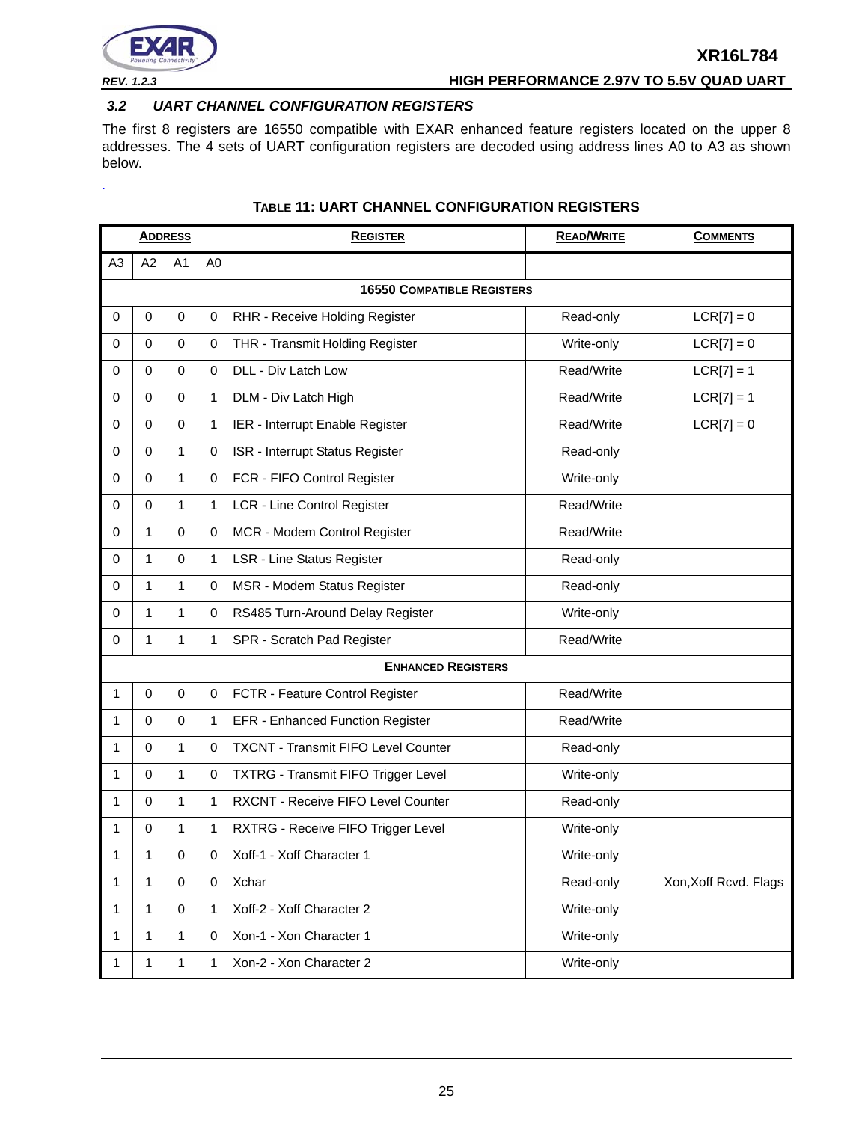

<span id="page-24-0"></span>.

# *REV. 1.2.3* **HIGH PERFORMANCE 2.97V TO 5.5V QUAD UART**

# <span id="page-24-1"></span>*3.2 UART CHANNEL CONFIGURATION REGISTERS*

The first 8 registers are 16550 compatible with EXAR enhanced feature registers located on the upper 8 addresses. The 4 sets of UART configuration registers are decoded using address lines A0 to A3 as shown below.

|                |              | <b>ADDRESS</b> |                | <b>REGISTER</b>                            | <b>READ/WRITE</b> | <b>COMMENTS</b>       |
|----------------|--------------|----------------|----------------|--------------------------------------------|-------------------|-----------------------|
| A <sub>3</sub> | A2           | A1             | A <sub>0</sub> |                                            |                   |                       |
|                |              |                |                | <b>16550 COMPATIBLE REGISTERS</b>          |                   |                       |
| 0              | $\mathbf 0$  | 0              | $\mathbf 0$    | RHR - Receive Holding Register             | Read-only         | $LCR[7] = 0$          |
| 0              | 0            | $\mathbf 0$    | 0              | THR - Transmit Holding Register            | Write-only        | $LCR[7] = 0$          |
| 0              | 0            | $\mathbf 0$    | $\mathbf 0$    | DLL - Div Latch Low                        | Read/Write        | $LCR[7] = 1$          |
| 0              | 0            | $\mathbf 0$    | 1              | DLM - Div Latch High                       | Read/Write        | $LCR[7] = 1$          |
| 0              | $\Omega$     | $\mathbf 0$    | 1              | IER - Interrupt Enable Register            | Read/Write        | $LCR[7] = 0$          |
| 0              | 0            | 1              | $\pmb{0}$      | ISR - Interrupt Status Register            | Read-only         |                       |
| 0              | $\mathbf 0$  | 1              | $\pmb{0}$      | FCR - FIFO Control Register                | Write-only        |                       |
| 0              | 0            | 1              | 1              | LCR - Line Control Register                | Read/Write        |                       |
| 0              | 1            | $\mathbf 0$    | 0              | MCR - Modem Control Register               | Read/Write        |                       |
| 0              | 1            | $\mathbf 0$    | 1              | <b>LSR - Line Status Register</b>          | Read-only         |                       |
| 0              | 1            | 1              | 0              | MSR - Modem Status Register                | Read-only         |                       |
| 0              | 1            | 1              | 0              | RS485 Turn-Around Delay Register           | Write-only        |                       |
| 0              | $\mathbf{1}$ | $\mathbf{1}$   | $\mathbf{1}$   | SPR - Scratch Pad Register                 | Read/Write        |                       |
|                |              |                |                | <b>ENHANCED REGISTERS</b>                  |                   |                       |
| 1              | $\mathbf 0$  | $\mathbf 0$    | $\mathbf 0$    | FCTR - Feature Control Register            | Read/Write        |                       |
| 1              | 0            | $\mathbf 0$    | 1              | EFR - Enhanced Function Register           | Read/Write        |                       |
| 1              | $\Omega$     | 1              | 0              | <b>TXCNT - Transmit FIFO Level Counter</b> | Read-only         |                       |
| 1              | $\Omega$     | $\mathbf{1}$   | $\mathbf 0$    | <b>TXTRG - Transmit FIFO Trigger Level</b> | Write-only        |                       |
| 1              | 0            | 1              | 1              | RXCNT - Receive FIFO Level Counter         | Read-only         |                       |
| 1              | 0            | 1              | 1              | RXTRG - Receive FIFO Trigger Level         | Write-only        |                       |
| 1              | 1            | 0              | 0              | Xoff-1 - Xoff Character 1                  | Write-only        |                       |
| 1              | 1            | $\mathbf 0$    | $\mathbf 0$    | <b>Xchar</b>                               | Read-only         | Xon, Xoff Rcvd. Flags |
| 1              | $\mathbf{1}$ | $\mathbf 0$    | 1              | Xoff-2 - Xoff Character 2                  | Write-only        |                       |
| 1              | 1            | 1              | $\pmb{0}$      | Xon-1 - Xon Character 1                    | Write-only        |                       |
| 1              | 1            | 1              | $\mathbf{1}$   | Xon-2 - Xon Character 2                    | Write-only        |                       |

# **TABLE 11: UART CHANNEL CONFIGURATION REGISTERS**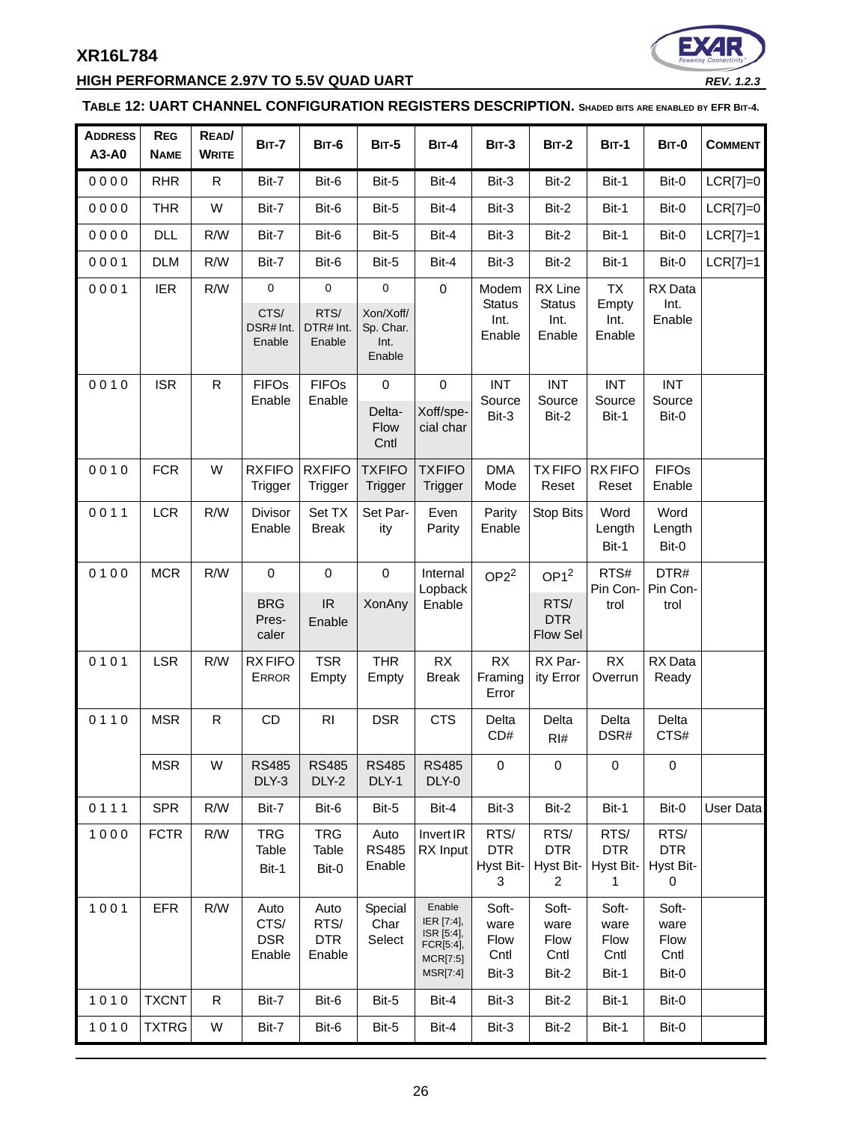# **HIGH PERFORMANCE 2.97V TO 5.5V QUAD UART** *REV. 1.2.3*



# <span id="page-25-0"></span>**TABLE 12: UART CHANNEL CONFIGURATION REGISTERS DESCRIPTION. SHADED BITS ARE ENABLED BY EFR BIT-4.**

| <b>ADDRESS</b><br>A3-A0 | <b>REG</b><br><b>NAME</b> | READ/<br><b>WRITE</b> | <b>BIT-7</b>                              | <b>BIT-6</b>                         | <b>BIT-5</b>                                            | <b>BIT-4</b>                                                                   | <b>BIT-3</b>                             | <b>BIT-2</b>                                       | <b>BIT-1</b>                                    | <b>BIT-0</b>                                   | <b>COMMENT</b> |
|-------------------------|---------------------------|-----------------------|-------------------------------------------|--------------------------------------|---------------------------------------------------------|--------------------------------------------------------------------------------|------------------------------------------|----------------------------------------------------|-------------------------------------------------|------------------------------------------------|----------------|
| 0000                    | <b>RHR</b>                | $\mathsf{R}$          | Bit-7                                     | Bit-6                                | Bit-5                                                   | Bit-4                                                                          | Bit-3                                    | Bit-2                                              | Bit-1                                           | Bit-0                                          | $LCR[7]=0$     |
| 0000                    | <b>THR</b>                | W                     | Bit-7                                     | Bit-6                                | Bit-5                                                   | Bit-4                                                                          | Bit-3                                    | Bit-2                                              | Bit-1                                           | Bit-0                                          | $LCR[7]=0$     |
| 0000                    | <b>DLL</b>                | R/W                   | Bit-7                                     | Bit-6                                | Bit-5                                                   | Bit-4                                                                          | Bit-3                                    | Bit-2                                              | Bit-1                                           | Bit-0                                          | $LCR[7]=1$     |
| 0001                    | <b>DLM</b>                | R/W                   | Bit-7                                     | Bit-6                                | Bit-5                                                   | Bit-4                                                                          | Bit-3                                    | Bit-2                                              | Bit-1                                           | Bit-0                                          | $LCR[7]=1$     |
| 0001                    | <b>IER</b>                | R/W                   | $\pmb{0}$<br>CTS/<br>DSR# Int.<br>Enable  | 0<br>RTS/<br>DTR# Int.<br>Enable     | $\mathsf 0$<br>Xon/Xoff/<br>Sp. Char.<br>Int.<br>Enable | $\pmb{0}$                                                                      | Modem<br><b>Status</b><br>Int.<br>Enable | RX Line<br><b>Status</b><br>Int.<br>Enable         | <b>TX</b><br>Empty<br>Int.<br>Enable            | RX Data<br>Int.<br>Enable                      |                |
| 0010                    | <b>ISR</b>                | $\mathsf{R}$          | <b>FIFOs</b><br>Enable                    | <b>FIFOs</b><br>Enable               | $\pmb{0}$<br>Delta-<br>Flow<br>Cntl                     | $\mathbf 0$<br>Xoff/spe-<br>cial char                                          | <b>INT</b><br>Source<br>Bit-3            | <b>INT</b><br>Source<br>Bit-2                      | <b>INT</b><br>Source<br>Bit-1                   | <b>INT</b><br>Source<br>Bit-0                  |                |
| 0010                    | <b>FCR</b>                | W                     | <b>RXFIFO</b><br>Trigger                  | <b>RXFIFO</b><br>Trigger             | <b>TXFIFO</b><br>Trigger                                | <b>TXFIFO</b><br>Trigger                                                       | <b>DMA</b><br>Mode                       | <b>TXFIFO</b><br>Reset                             | <b>RXFIFO</b><br>Reset                          | <b>FIFOs</b><br>Enable                         |                |
| 0011                    | <b>LCR</b>                | R/W                   | Divisor<br>Enable                         | Set TX<br><b>Break</b>               | Set Par-<br>ity                                         | Even<br>Parity                                                                 | Parity<br>Enable                         | Stop Bits                                          | Word<br>Length<br>Bit-1                         | Word<br>Length<br>Bit-0                        |                |
| 0100                    | <b>MCR</b>                | R/W                   | $\pmb{0}$<br><b>BRG</b><br>Pres-<br>caler | $\pmb{0}$<br>IR<br>Enable            | $\pmb{0}$<br><b>XonAny</b>                              | Internal<br>Lopback<br>Enable                                                  | OP2 <sup>2</sup>                         | OP1 <sup>2</sup><br>RTS/<br><b>DTR</b><br>Flow Sel | RTS#<br>Pin Con-<br>trol                        | DTR#<br>Pin Con-<br>trol                       |                |
| 0101                    | <b>LSR</b>                | R/W                   | <b>RXFIFO</b><br><b>ERROR</b>             | <b>TSR</b><br>Empty                  | <b>THR</b><br>Empty                                     | RX<br><b>Break</b>                                                             | <b>RX</b><br>Framing<br>Error            | RX Par-<br>ity Error                               | RX<br>Overrun                                   | RX Data<br>Ready                               |                |
| 0110                    | <b>MSR</b>                | $\mathsf{R}$          | CD                                        | R <sub>l</sub>                       | <b>DSR</b>                                              | <b>CTS</b>                                                                     | Delta<br>CD#                             | Delta<br>RI#                                       | Delta<br>DSR#                                   | Delta<br>CTS#                                  |                |
|                         | <b>MSR</b>                | W                     | <b>RS485</b><br>DLY-3                     | <b>RS485</b><br>DLY-2                | <b>RS485</b><br>DLY-1                                   | <b>RS485</b><br>DLY-0                                                          | $\mathsf 0$                              | $\pmb{0}$                                          | $\mathbf 0$                                     | 0                                              |                |
| 0111                    | <b>SPR</b>                | R/W                   | Bit-7                                     | Bit-6                                | Bit-5                                                   | Bit-4                                                                          | Bit-3                                    | Bit-2                                              | Bit-1                                           | Bit-0                                          | User Data      |
| 1000                    | <b>FCTR</b>               | R/W                   | <b>TRG</b><br>Table<br>Bit-1              | <b>TRG</b><br>Table<br>Bit-0         | Auto<br><b>RS485</b><br>Enable                          | Invert IR<br>RX Input                                                          | RTS/<br><b>DTR</b><br>Hyst Bit-<br>3     | RTS/<br><b>DTR</b><br>Hyst Bit-<br>$\overline{2}$  | RTS/<br><b>DTR</b><br>Hyst Bit-<br>$\mathbf{1}$ | RTS/<br><b>DTR</b><br>Hyst Bit-<br>$\mathbf 0$ |                |
| 1001                    | <b>EFR</b>                | R/W                   | Auto<br>CTS/<br><b>DSR</b><br>Enable      | Auto<br>RTS/<br><b>DTR</b><br>Enable | Special<br>Char<br>Select                               | Enable<br>IER [7:4],<br>ISR [5:4],<br>FCR[5:4],<br>MCR[7:5]<br><b>MSR[7:4]</b> | Soft-<br>ware<br>Flow<br>Cntl<br>Bit-3   | Soft-<br>ware<br>Flow<br>Cntl<br>Bit-2             | Soft-<br>ware<br>Flow<br>Cntl<br>Bit-1          | Soft-<br>ware<br>Flow<br>Cntl<br>Bit-0         |                |
| 1010                    | <b>TXCNT</b>              | $\mathsf{R}$          | Bit-7                                     | Bit-6                                | Bit-5                                                   | Bit-4                                                                          | Bit-3                                    | Bit-2                                              | Bit-1                                           | Bit-0                                          |                |
| 1010                    | <b>TXTRG</b>              | W                     | Bit-7                                     | Bit-6                                | Bit-5                                                   | Bit-4                                                                          | Bit-3                                    | Bit-2                                              | Bit-1                                           | Bit-0                                          |                |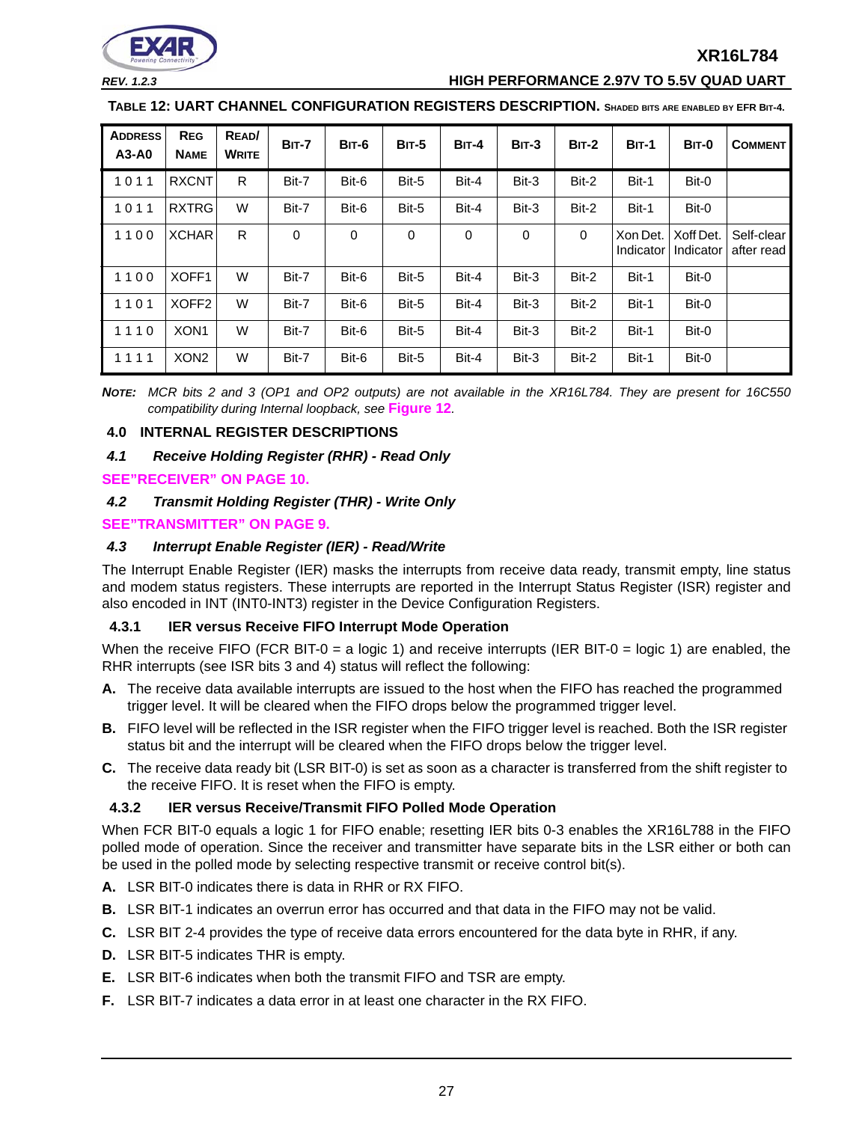

#### *REV. 1.2.3* **HIGH PERFORMANCE 2.97V TO 5.5V QUAD UART**

**TABLE 12: UART CHANNEL CONFIGURATION REGISTERS DESCRIPTION. SHADED BITS ARE ENABLED BY EFR BIT-4.**

| <b>ADDRESS</b><br>$A3-A0$ | <b>REG</b><br><b>NAME</b> | READ/<br><b>WRITE</b> | <b>BIT-7</b> | BIT-6 | <b>BIT-5</b> | <b>BIT-4</b> | $BIT-3$ | $BIT-2$ | <b>BIT-1</b>          | BIT-0                  | <b>COMMENT</b>           |
|---------------------------|---------------------------|-----------------------|--------------|-------|--------------|--------------|---------|---------|-----------------------|------------------------|--------------------------|
| 1011                      | <b>RXCNT</b>              | R.                    | Bit-7        | Bit-6 | Bit-5        | Bit-4        | Bit-3   | Bit-2   | Bit-1                 | Bit-0                  |                          |
| 1011                      | <b>RXTRG</b>              | W                     | Bit-7        | Bit-6 | Bit-5        | Bit-4        | Bit-3   | Bit-2   | Bit-1                 | Bit-0                  |                          |
| 1100                      | <b>XCHAR</b>              | R.                    | 0            | 0     | 0            | 0            | 0       | 0       | Xon Det.<br>Indicator | Xoff Det.<br>Indicator | Self-clear<br>after read |
| 1100                      | XOFF1                     | W                     | Bit-7        | Bit-6 | Bit-5        | Bit-4        | Bit-3   | Bit-2   | Bit-1                 | Bit-0                  |                          |
| 1101                      | XOFF <sub>2</sub>         | W                     | Bit-7        | Bit-6 | Bit-5        | Bit-4        | Bit-3   | Bit-2   | Bit-1                 | Bit-0                  |                          |
| 1110                      | XON <sub>1</sub>          | W                     | Bit-7        | Bit-6 | Bit-5        | Bit-4        | Bit-3   | Bit-2   | Bit-1                 | Bit-0                  |                          |
| 1111                      | XON <sub>2</sub>          | W                     | Bit-7        | Bit-6 | Bit-5        | Bit-4        | Bit-3   | Bit-2   | Bit-1                 | Bit-0                  |                          |

*NOTE: MCR bits 2 and 3 (OP1 and OP2 outputs) are not available in the XR16L784. They are present for 16C550 compatibility during Internal loopback, see* **[Figure](#page-17-0) 12***.* 

#### <span id="page-26-0"></span>**4.0 INTERNAL REGISTER DESCRIPTIONS**

#### <span id="page-26-1"></span>*4.1 Receive Holding Register (RHR) - Read Only*

#### **[SEE"RECEIVER" ON PAGE](#page-9-0) 10.**

#### <span id="page-26-2"></span>*4.2 Transmit Holding Register (THR) - Write Only*

#### **[SEE"TRANSMITTER" ON PAGE](#page-8-1) 9.**

#### <span id="page-26-3"></span>*4.3 Interrupt Enable Register (IER) - Read/Write*

The Interrupt Enable Register (IER) masks the interrupts from receive data ready, transmit empty, line status and modem status registers. These interrupts are reported in the Interrupt Status Register (ISR) register and also encoded in INT (INT0-INT3) register in the Device Configuration Registers.

#### <span id="page-26-4"></span>**4.3.1 IER versus Receive FIFO Interrupt Mode Operation**

When the receive FIFO (FCR BIT-0 = a logic 1) and receive interrupts (IER BIT-0 = logic 1) are enabled, the RHR interrupts (see ISR bits 3 and 4) status will reflect the following:

- **A.** The receive data available interrupts are issued to the host when the FIFO has reached the programmed trigger level. It will be cleared when the FIFO drops below the programmed trigger level.
- **B.** FIFO level will be reflected in the ISR register when the FIFO trigger level is reached. Both the ISR register status bit and the interrupt will be cleared when the FIFO drops below the trigger level.
- **C.** The receive data ready bit (LSR BIT-0) is set as soon as a character is transferred from the shift register to the receive FIFO. It is reset when the FIFO is empty.

#### <span id="page-26-5"></span>**4.3.2 IER versus Receive/Transmit FIFO Polled Mode Operation**

When FCR BIT-0 equals a logic 1 for FIFO enable; resetting IER bits 0-3 enables the XR16L788 in the FIFO polled mode of operation. Since the receiver and transmitter have separate bits in the LSR either or both can be used in the polled mode by selecting respective transmit or receive control bit(s).

- **A.** LSR BIT-0 indicates there is data in RHR or RX FIFO.
- **B.** LSR BIT-1 indicates an overrun error has occurred and that data in the FIFO may not be valid.
- **C.** LSR BIT 2-4 provides the type of receive data errors encountered for the data byte in RHR, if any.
- **D.** LSR BIT-5 indicates THR is empty.
- **E.** LSR BIT-6 indicates when both the transmit FIFO and TSR are empty.
- **F.** LSR BIT-7 indicates a data error in at least one character in the RX FIFO.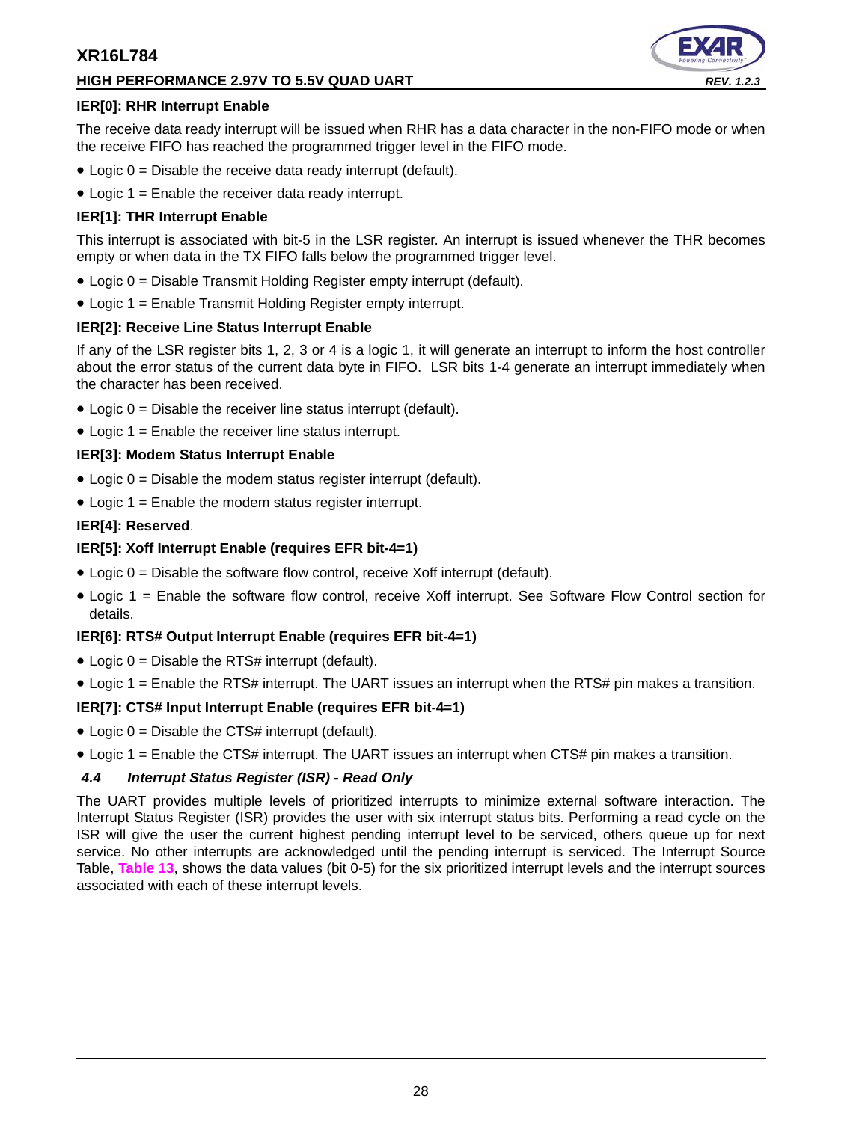# **HIGH PERFORMANCE 2.97V TO 5.5V QUAD UART** *REV. 1.2.3*



# **IER[0]: RHR Interrupt Enable**

The receive data ready interrupt will be issued when RHR has a data character in the non-FIFO mode or when the receive FIFO has reached the programmed trigger level in the FIFO mode.

- Logic 0 = Disable the receive data ready interrupt (default).
- Logic 1 = Enable the receiver data ready interrupt.

# **IER[1]: THR Interrupt Enable**

This interrupt is associated with bit-5 in the LSR register. An interrupt is issued whenever the THR becomes empty or when data in the TX FIFO falls below the programmed trigger level.

- Logic 0 = Disable Transmit Holding Register empty interrupt (default).
- Logic 1 = Enable Transmit Holding Register empty interrupt.

# **IER[2]: Receive Line Status Interrupt Enable**

If any of the LSR register bits 1, 2, 3 or 4 is a logic 1, it will generate an interrupt to inform the host controller about the error status of the current data byte in FIFO. LSR bits 1-4 generate an interrupt immediately when the character has been received.

- $\bullet$  Logic  $0 =$  Disable the receiver line status interrupt (default).
- Logic 1 = Enable the receiver line status interrupt.

# **IER[3]: Modem Status Interrupt Enable**

- $\bullet$  Logic 0 = Disable the modem status register interrupt (default).
- Logic 1 = Enable the modem status register interrupt.

# **IER[4]: Reserved**.

# **IER[5]: Xoff Interrupt Enable (requires EFR bit-4=1)**

- $\bullet$  Logic 0 = Disable the software flow control, receive Xoff interrupt (default).
- Logic 1 = Enable the software flow control, receive Xoff interrupt. See Software Flow Control section for details.

# **IER[6]: RTS# Output Interrupt Enable (requires EFR bit-4=1)**

- $\bullet$  Logic 0 = Disable the RTS# interrupt (default).
- Logic 1 = Enable the RTS# interrupt. The UART issues an interrupt when the RTS# pin makes a transition.

# **IER[7]: CTS# Input Interrupt Enable (requires EFR bit-4=1)**

- $\bullet$  Logic  $0 =$  Disable the CTS# interrupt (default).
- Logic 1 = Enable the CTS# interrupt. The UART issues an interrupt when CTS# pin makes a transition.

# <span id="page-27-0"></span>*4.4 Interrupt Status Register (ISR) - Read Only*

The UART provides multiple levels of prioritized interrupts to minimize external software interaction. The Interrupt Status Register (ISR) provides the user with six interrupt status bits. Performing a read cycle on the ISR will give the user the current highest pending interrupt level to be serviced, others queue up for next service. No other interrupts are acknowledged until the pending interrupt is serviced. The Interrupt Source Table, **[Table](#page-28-0) 13**, shows the data values (bit 0-5) for the six prioritized interrupt levels and the interrupt sources associated with each of these interrupt levels.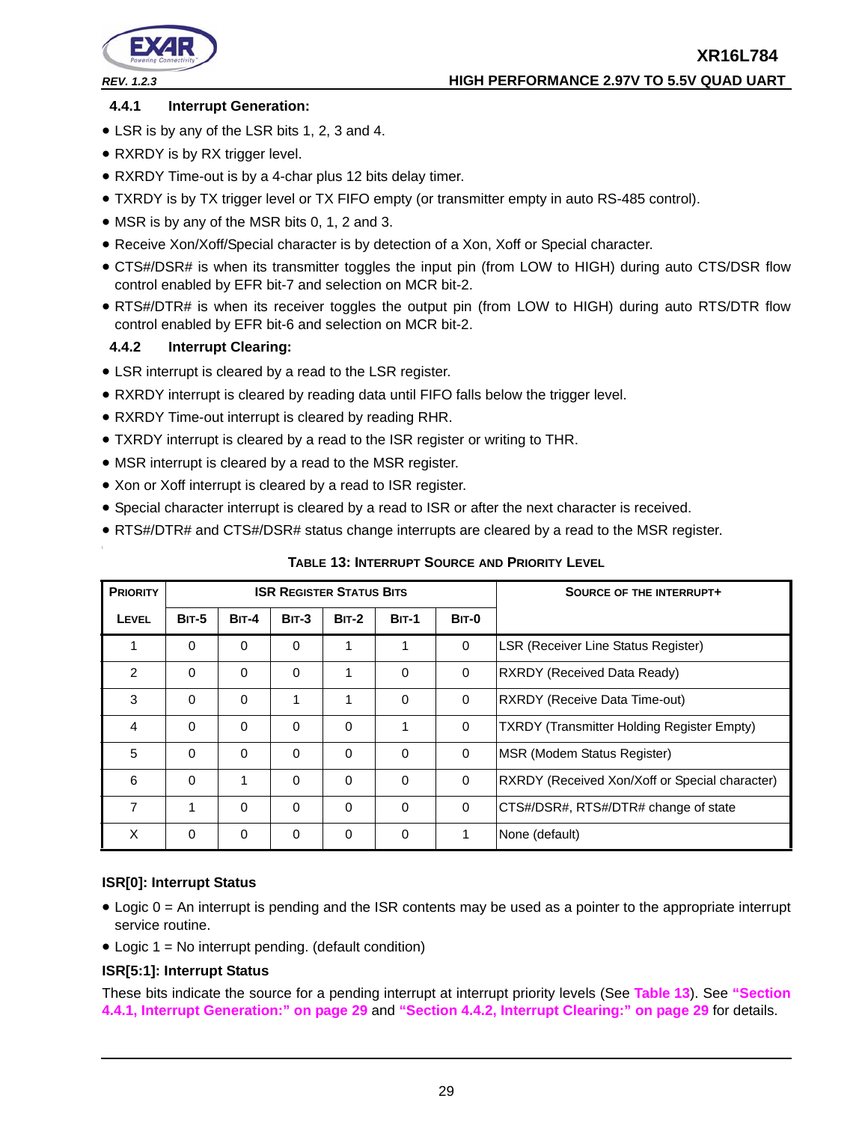

# <span id="page-28-1"></span>**4.4.1 Interrupt Generation:**

- LSR is by any of the LSR bits 1, 2, 3 and 4.
- RXRDY is by RX trigger level.
- RXRDY Time-out is by a 4-char plus 12 bits delay timer.
- TXRDY is by TX trigger level or TX FIFO empty (or transmitter empty in auto RS-485 control).
- MSR is by any of the MSR bits 0, 1, 2 and 3.
- Receive Xon/Xoff/Special character is by detection of a Xon, Xoff or Special character.
- CTS#/DSR# is when its transmitter toggles the input pin (from LOW to HIGH) during auto CTS/DSR flow control enabled by EFR bit-7 and selection on MCR bit-2.
- RTS#/DTR# is when its receiver toggles the output pin (from LOW to HIGH) during auto RTS/DTR flow control enabled by EFR bit-6 and selection on MCR bit-2.

# <span id="page-28-2"></span>**4.4.2 Interrupt Clearing:**

- LSR interrupt is cleared by a read to the LSR register.
- RXRDY interrupt is cleared by reading data until FIFO falls below the trigger level.
- RXRDY Time-out interrupt is cleared by reading RHR.
- TXRDY interrupt is cleared by a read to the ISR register or writing to THR.
- MSR interrupt is cleared by a read to the MSR register.
- Xon or Xoff interrupt is cleared by a read to ISR register.
- Special character interrupt is cleared by a read to ISR or after the next character is received.
- RTS#/DTR# and CTS#/DSR# status change interrupts are cleared by a read to the MSR register.

<span id="page-28-0"></span>

| <b>PRIORITY</b> |              |              | <b>ISR REGISTER STATUS BITS</b> |              |              | <b>SOURCE OF THE INTERRUPT+</b> |                                                   |
|-----------------|--------------|--------------|---------------------------------|--------------|--------------|---------------------------------|---------------------------------------------------|
| LEVEL           | <b>BIT-5</b> | <b>BIT-4</b> | $BIT-3$                         | <b>BIT-2</b> | <b>BIT-1</b> | <b>BIT-0</b>                    |                                                   |
|                 | 0            | $\Omega$     | 0                               |              |              | $\mathbf 0$                     | <b>LSR (Receiver Line Status Register)</b>        |
| $\overline{2}$  | 0            | $\Omega$     | $\Omega$                        | 1            | 0            | $\Omega$                        | <b>RXRDY (Received Data Ready)</b>                |
| 3               | $\Omega$     | $\Omega$     |                                 | 1            | $\Omega$     | $\Omega$                        | <b>RXRDY (Receive Data Time-out)</b>              |
| 4               | $\Omega$     | $\Omega$     | 0                               | 0            | 1            | $\mathbf 0$                     | <b>TXRDY (Transmitter Holding Register Empty)</b> |
| 5               | $\Omega$     | $\Omega$     | $\Omega$                        | 0            | 0            | $\mathbf 0$                     | MSR (Modem Status Register)                       |
| 6               | $\Omega$     | 1            | $\Omega$                        | 0            | $\Omega$     | $\Omega$                        | RXRDY (Received Xon/Xoff or Special character)    |
| 7               | 1            | $\Omega$     | 0                               | 0            | 0            | $\Omega$                        | CTS#/DSR#, RTS#/DTR# change of state              |
| X               | 0            | $\Omega$     | 0                               | 0            | 0            |                                 | None (default)                                    |

**TABLE 13: INTERRUPT SOURCE AND PRIORITY LEVEL**

# **ISR[0]: Interrupt Status**

- Logic 0 = An interrupt is pending and the ISR contents may be used as a pointer to the appropriate interrupt service routine.
- Logic 1 = No interrupt pending. (default condition)

# **ISR[5:1]: Interrupt Status**

These bits indicate the source for a pending interrupt at interrupt priority levels (See **[Table](#page-28-0) 13**). See **["Section](#page-28-1)  [4.4.1, Interrupt Generation:" on page](#page-28-1) 29** and **["Section 4.4.2, Interrupt Clearing:" on page](#page-28-2) 29** for details.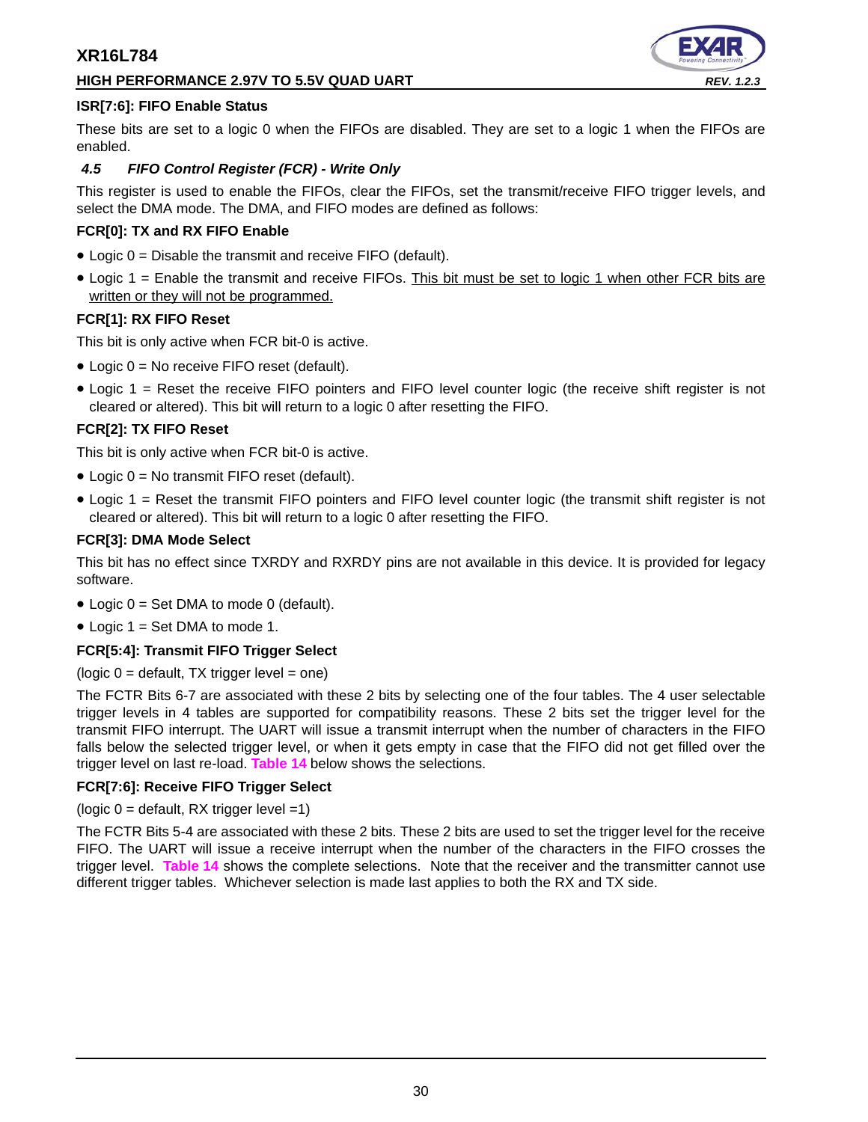# **HIGH PERFORMANCE 2.97V TO 5.5V QUAD UART** *REV. 1.2.3*



# **ISR[7:6]: FIFO Enable Status**

These bits are set to a logic 0 when the FIFOs are disabled. They are set to a logic 1 when the FIFOs are enabled.

# <span id="page-29-0"></span>*4.5 FIFO Control Register (FCR) - Write Only*

This register is used to enable the FIFOs, clear the FIFOs, set the transmit/receive FIFO trigger levels, and select the DMA mode. The DMA, and FIFO modes are defined as follows:

#### **FCR[0]: TX and RX FIFO Enable**

- Logic 0 = Disable the transmit and receive FIFO (default).
- Logic 1 = Enable the transmit and receive FIFOs. This bit must be set to logic 1 when other FCR bits are written or they will not be programmed.

# **FCR[1]: RX FIFO Reset**

This bit is only active when FCR bit-0 is active.

- Logic 0 = No receive FIFO reset (default).
- Logic 1 = Reset the receive FIFO pointers and FIFO level counter logic (the receive shift register is not cleared or altered). This bit will return to a logic 0 after resetting the FIFO.

# **FCR[2]: TX FIFO Reset**

This bit is only active when FCR bit-0 is active.

- Logic 0 = No transmit FIFO reset (default).
- Logic 1 = Reset the transmit FIFO pointers and FIFO level counter logic (the transmit shift register is not cleared or altered). This bit will return to a logic 0 after resetting the FIFO.

# **FCR[3]: DMA Mode Select**

This bit has no effect since TXRDY and RXRDY pins are not available in this device. It is provided for legacy software.

- Logic  $0 = Set$  DMA to mode 0 (default).
- Logic  $1 = Set$  DMA to mode 1.

#### **FCR[5:4]: Transmit FIFO Trigger Select**

#### $(logic 0 =$  default, TX trigger level = one)

The FCTR Bits 6-7 are associated with these 2 bits by selecting one of the four tables. The 4 user selectable trigger levels in 4 tables are supported for compatibility reasons. These 2 bits set the trigger level for the transmit FIFO interrupt. The UART will issue a transmit interrupt when the number of characters in the FIFO falls below the selected trigger level, or when it gets empty in case that the FIFO did not get filled over the trigger level on last re-load. **[Table](#page-30-0) 14** below shows the selections.

#### **FCR[7:6]: Receive FIFO Trigger Select**

( $logic 0 =$  default, RX trigger level =1)

The FCTR Bits 5-4 are associated with these 2 bits. These 2 bits are used to set the trigger level for the receive FIFO. The UART will issue a receive interrupt when the number of the characters in the FIFO crosses the trigger level. **[Table](#page-30-0) 14** shows the complete selections. Note that the receiver and the transmitter cannot use different trigger tables. Whichever selection is made last applies to both the RX and TX side.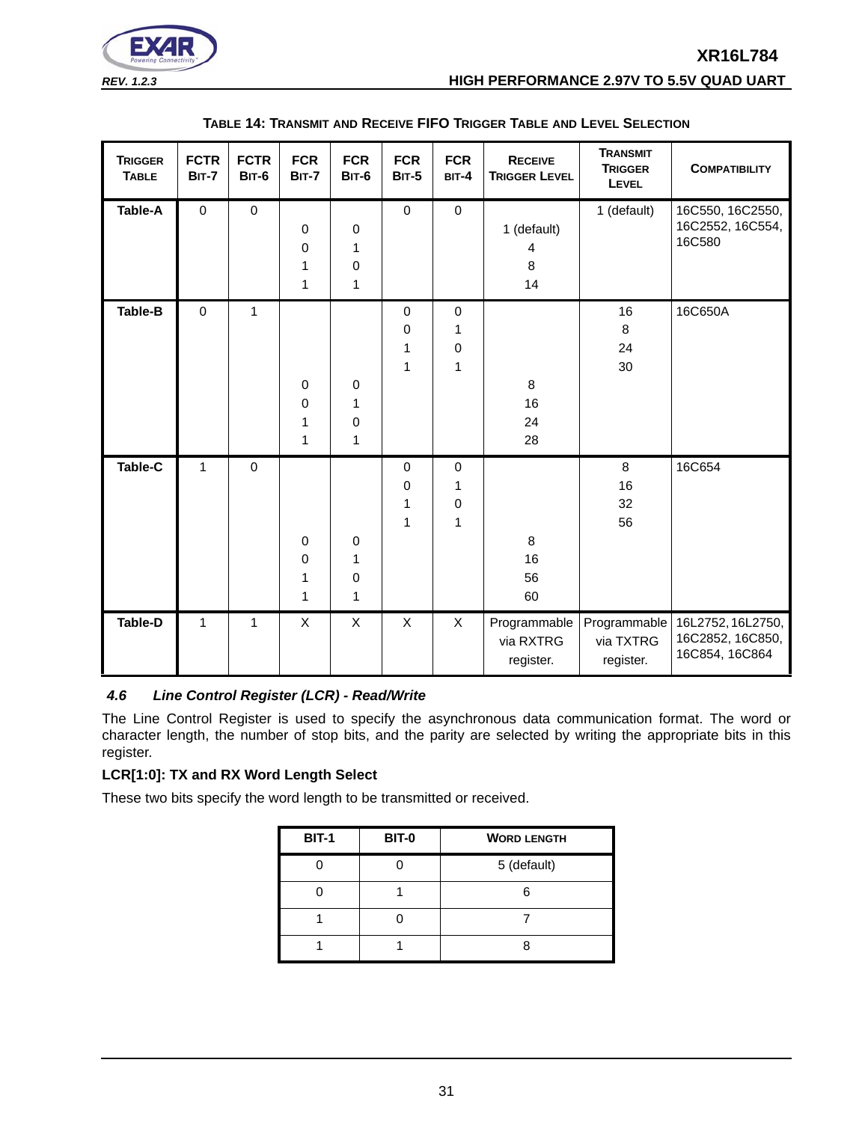

<span id="page-30-0"></span>

| <b>TRIGGER</b><br><b>TABLE</b> | <b>FCTR</b><br><b>BIT-7</b> | <b>FCTR</b><br><b>BIT-6</b> | <b>FCR</b><br><b>BIT-7</b> | <b>FCR</b><br><b>BIT-6</b>                             | <b>FCR</b><br><b>BIT-5</b>           | <b>FCR</b><br>$BIT-4$                 | <b>TRANSMIT</b><br><b>RECEIVE</b><br><b>TRIGGER</b><br><b>TRIGGER LEVEL</b><br>LEVEL |                                        | <b>COMPATIBILITY</b>                                    |
|--------------------------------|-----------------------------|-----------------------------|----------------------------|--------------------------------------------------------|--------------------------------------|---------------------------------------|--------------------------------------------------------------------------------------|----------------------------------------|---------------------------------------------------------|
| Table-A                        | $\mathbf 0$                 | $\pmb{0}$                   | $\pmb{0}$<br>0<br>1<br>1   | $\pmb{0}$<br>$\mathbf{1}$<br>$\pmb{0}$<br>$\mathbf{1}$ | $\pmb{0}$                            | $\mathbf 0$                           | 1 (default)<br>4<br>8<br>14                                                          | 1 (default)                            | 16C550, 16C2550,<br>16C2552, 16C554,<br>16C580          |
| <b>Table-B</b>                 | $\mathbf 0$                 | $\mathbf{1}$                | $\mathbf 0$<br>0<br>1<br>1 | 0<br>$\mathbf{1}$<br>$\pmb{0}$<br>$\mathbf{1}$         | $\pmb{0}$<br>$\pmb{0}$<br>1<br>1     | $\mathbf 0$<br>1<br>0<br>$\mathbf{1}$ | 8<br>16<br>24<br>28                                                                  | 16<br>$\,8\,$<br>24<br>30              | 16C650A                                                 |
| Table-C                        | $\mathbf{1}$                | $\mathbf 0$                 | $\pmb{0}$<br>0<br>1<br>1   | $\pmb{0}$<br>$\mathbf{1}$<br>$\pmb{0}$<br>1            | $\mathbf 0$<br>$\mathbf 0$<br>1<br>1 | $\mathbf 0$<br>1<br>0<br>1            | 8<br>16<br>56<br>60                                                                  | 8<br>16<br>32<br>56                    | 16C654                                                  |
| <b>Table-D</b>                 | 1                           | $\mathbf{1}$                | X                          | X                                                      | X                                    | X                                     | Programmable<br>via RXTRG<br>register.                                               | Programmable<br>via TXTRG<br>register. | 16L2752, 16L2750,<br>16C2852, 16C850,<br>16C854, 16C864 |

#### **TABLE 14: TRANSMIT AND RECEIVE FIFO TRIGGER TABLE AND LEVEL SELECTION**

# <span id="page-30-1"></span>*4.6 Line Control Register (LCR) - Read/Write*

The Line Control Register is used to specify the asynchronous data communication format. The word or character length, the number of stop bits, and the parity are selected by writing the appropriate bits in this register.

# **LCR[1:0]: TX and RX Word Length Select**

These two bits specify the word length to be transmitted or received.

| <b>BIT-1</b> | <b>BIT-0</b> | <b>WORD LENGTH</b> |  |  |  |  |
|--------------|--------------|--------------------|--|--|--|--|
|              |              | 5 (default)        |  |  |  |  |
|              |              |                    |  |  |  |  |
|              |              |                    |  |  |  |  |
|              |              |                    |  |  |  |  |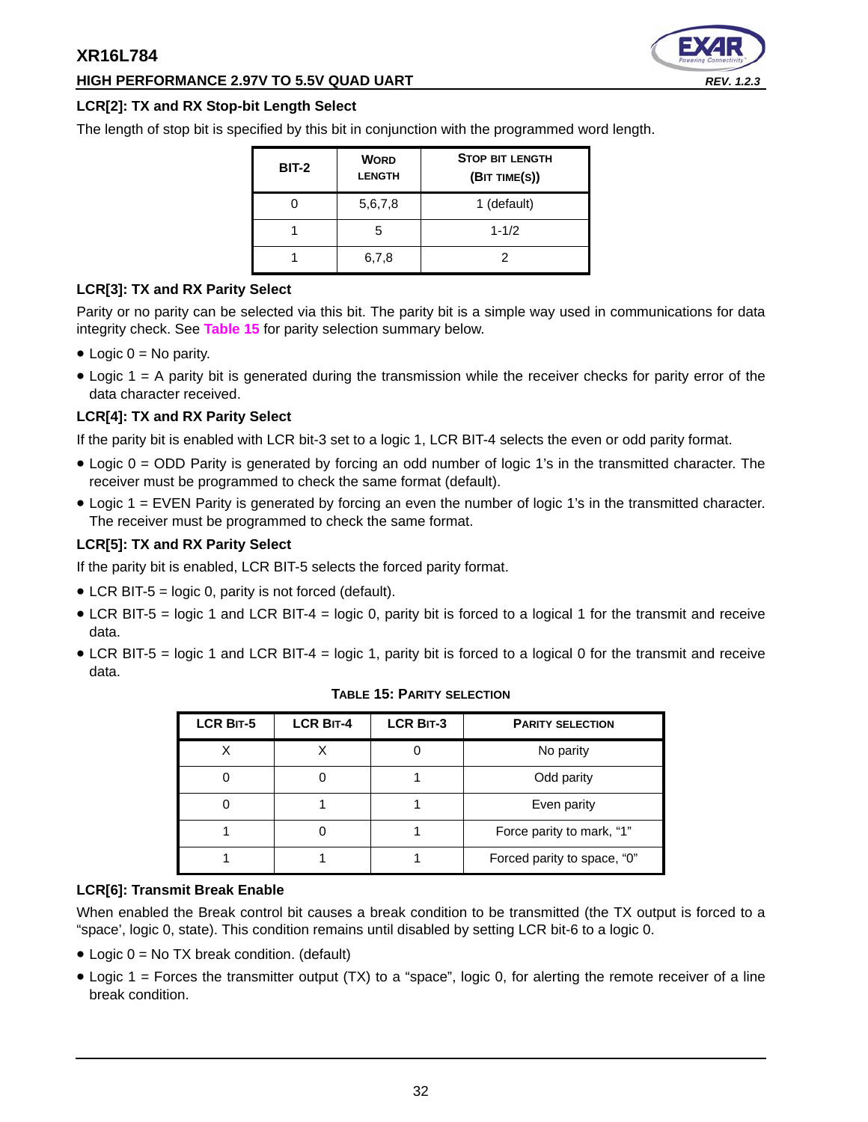# **HIGH PERFORMANCE 2.97V TO 5.5V QUAD UART** *REV. 1.2.3*



# **LCR[2]: TX and RX Stop-bit Length Select**

The length of stop bit is specified by this bit in conjunction with the programmed word length.

| <b>BIT-2</b> | <b>WORD</b><br><b>LENGTH</b> | <b>STOP BIT LENGTH</b><br>(BIT TIME(S)) |
|--------------|------------------------------|-----------------------------------------|
|              | 5,6,7,8                      | 1 (default)                             |
|              | 5                            | $1 - 1/2$                               |
|              | 6,7,8                        |                                         |

# **LCR[3]: TX and RX Parity Select**

Parity or no parity can be selected via this bit. The parity bit is a simple way used in communications for data integrity check. See **[Table](#page-31-0) 15** for parity selection summary below.

- $\bullet$  Logic  $0 = No$  parity.
- Logic 1 = A parity bit is generated during the transmission while the receiver checks for parity error of the data character received.

# **LCR[4]: TX and RX Parity Select**

If the parity bit is enabled with LCR bit-3 set to a logic 1, LCR BIT-4 selects the even or odd parity format.

- Logic 0 = ODD Parity is generated by forcing an odd number of logic 1's in the transmitted character. The receiver must be programmed to check the same format (default).
- Logic 1 = EVEN Parity is generated by forcing an even the number of logic 1's in the transmitted character. The receiver must be programmed to check the same format.

# **LCR[5]: TX and RX Parity Select**

If the parity bit is enabled, LCR BIT-5 selects the forced parity format.

- LCR BIT-5 = logic 0, parity is not forced (default).
- LCR BIT-5 = logic 1 and LCR BIT-4 = logic 0, parity bit is forced to a logical 1 for the transmit and receive data.
- <span id="page-31-0"></span>• LCR BIT-5 = logic 1 and LCR BIT-4 = logic 1, parity bit is forced to a logical 0 for the transmit and receive data.

| LCR BIT-5 | <b>LCR BIT-4</b> | <b>LCR BIT-3</b> | <b>PARITY SELECTION</b>     |  |  |  |
|-----------|------------------|------------------|-----------------------------|--|--|--|
|           |                  |                  | No parity                   |  |  |  |
|           |                  |                  | Odd parity                  |  |  |  |
|           |                  |                  | Even parity                 |  |  |  |
|           |                  |                  | Force parity to mark, "1"   |  |  |  |
|           |                  |                  | Forced parity to space, "0" |  |  |  |

#### **TABLE 15: PARITY SELECTION**

#### **LCR[6]: Transmit Break Enable**

When enabled the Break control bit causes a break condition to be transmitted (the TX output is forced to a "space', logic 0, state). This condition remains until disabled by setting LCR bit-6 to a logic 0.

- $\bullet$  Logic 0 = No TX break condition. (default)
- Logic  $1 =$  Forces the transmitter output (TX) to a "space", logic 0, for alerting the remote receiver of a line break condition.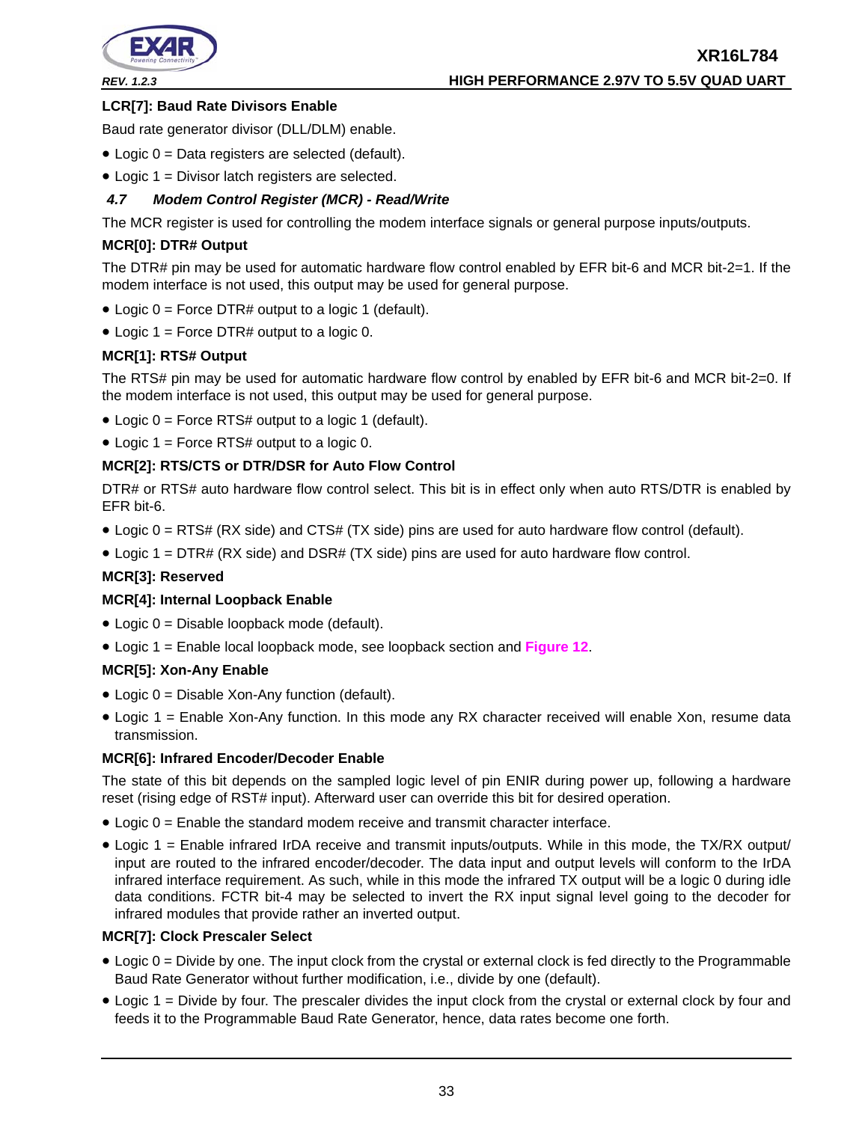

# **LCR[7]: Baud Rate Divisors Enable**

Baud rate generator divisor (DLL/DLM) enable.

- Logic 0 = Data registers are selected (default).
- Logic 1 = Divisor latch registers are selected.

# <span id="page-32-0"></span>*4.7 Modem Control Register (MCR) - Read/Write*

The MCR register is used for controlling the modem interface signals or general purpose inputs/outputs.

# **MCR[0]: DTR# Output**

The DTR# pin may be used for automatic hardware flow control enabled by EFR bit-6 and MCR bit-2=1. If the modem interface is not used, this output may be used for general purpose.

- Logic 0 = Force DTR# output to a logic 1 (default).
- Logic  $1 =$  Force DTR# output to a logic 0.

# **MCR[1]: RTS# Output**

The RTS# pin may be used for automatic hardware flow control by enabled by EFR bit-6 and MCR bit-2=0. If the modem interface is not used, this output may be used for general purpose.

- Logic 0 = Force RTS# output to a logic 1 (default).
- Logic 1 = Force RTS# output to a logic 0.

# **MCR[2]: RTS/CTS or DTR/DSR for Auto Flow Control**

DTR# or RTS# auto hardware flow control select. This bit is in effect only when auto RTS/DTR is enabled by EFR bit-6.

- Logic 0 = RTS# (RX side) and CTS# (TX side) pins are used for auto hardware flow control (default).
- Logic 1 = DTR# (RX side) and DSR# (TX side) pins are used for auto hardware flow control.

# **MCR[3]: Reserved**

# **MCR[4]: Internal Loopback Enable**

- Logic 0 = Disable loopback mode (default).
- Logic 1 = Enable local loopback mode, see loopback section and **[Figure](#page-17-0) 12**.

# **MCR[5]: Xon-Any Enable**

- Logic 0 = Disable Xon-Any function (default).
- Logic 1 = Enable Xon-Any function. In this mode any RX character received will enable Xon, resume data transmission.

# **MCR[6]: Infrared Encoder/Decoder Enable**

The state of this bit depends on the sampled logic level of pin ENIR during power up, following a hardware reset (rising edge of RST# input). Afterward user can override this bit for desired operation.

- Logic 0 = Enable the standard modem receive and transmit character interface.
- Logic 1 = Enable infrared IrDA receive and transmit inputs/outputs. While in this mode, the TX/RX output/ input are routed to the infrared encoder/decoder. The data input and output levels will conform to the IrDA infrared interface requirement. As such, while in this mode the infrared TX output will be a logic 0 during idle data conditions. FCTR bit-4 may be selected to invert the RX input signal level going to the decoder for infrared modules that provide rather an inverted output.

# **MCR[7]: Clock Prescaler Select**

- Logic 0 = Divide by one. The input clock from the crystal or external clock is fed directly to the Programmable Baud Rate Generator without further modification, i.e., divide by one (default).
- Logic 1 = Divide by four. The prescaler divides the input clock from the crystal or external clock by four and feeds it to the Programmable Baud Rate Generator, hence, data rates become one forth.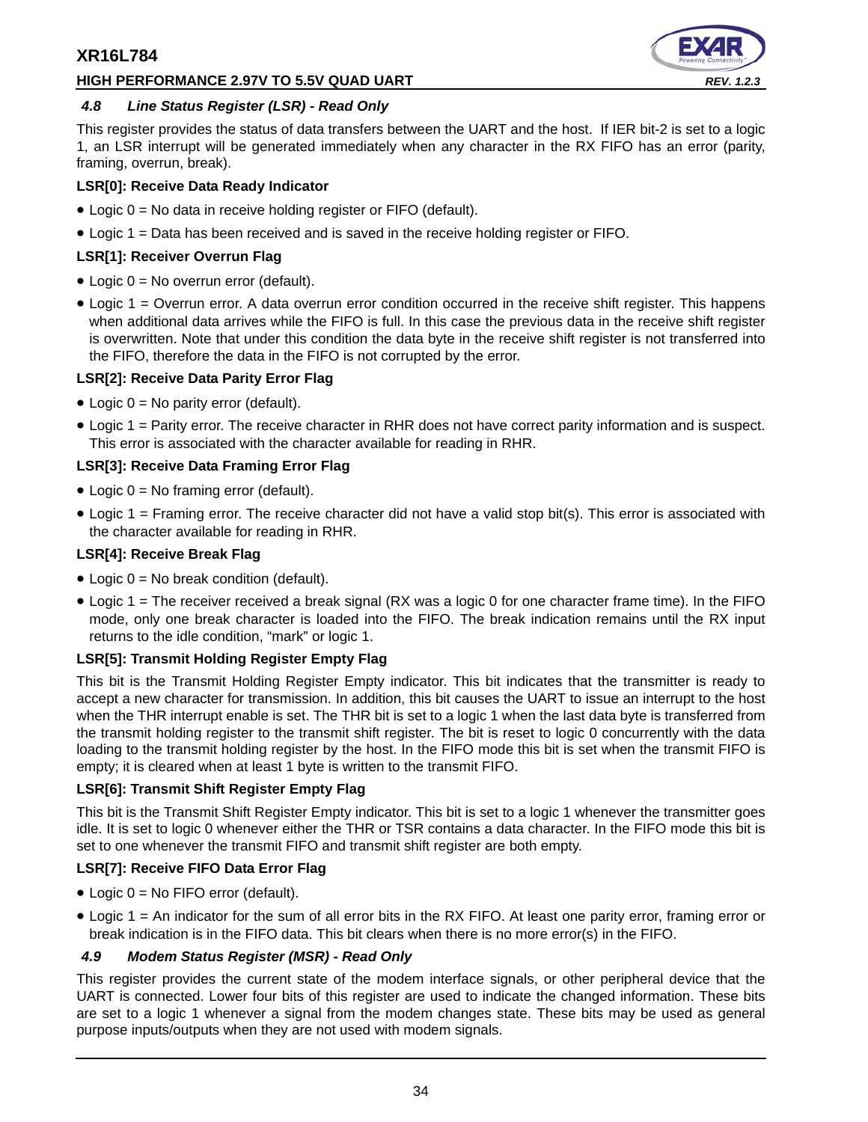# **HIGH PERFORMANCE 2.97V TO 5.5V QUAD UART** *REV. 1.2.3*



# <span id="page-33-0"></span>*4.8 Line Status Register (LSR) - Read Only*

This register provides the status of data transfers between the UART and the host. If IER bit-2 is set to a logic 1, an LSR interrupt will be generated immediately when any character in the RX FIFO has an error (parity, framing, overrun, break).

# **LSR[0]: Receive Data Ready Indicator**

- Logic 0 = No data in receive holding register or FIFO (default).
- Logic 1 = Data has been received and is saved in the receive holding register or FIFO.

# **LSR[1]: Receiver Overrun Flag**

- Logic 0 = No overrun error (default).
- Logic 1 = Overrun error. A data overrun error condition occurred in the receive shift register. This happens when additional data arrives while the FIFO is full. In this case the previous data in the receive shift register is overwritten. Note that under this condition the data byte in the receive shift register is not transferred into the FIFO, therefore the data in the FIFO is not corrupted by the error.

# **LSR[2]: Receive Data Parity Error Flag**

- Logic 0 = No parity error (default).
- Logic 1 = Parity error. The receive character in RHR does not have correct parity information and is suspect. This error is associated with the character available for reading in RHR.

# **LSR[3]: Receive Data Framing Error Flag**

- Logic 0 = No framing error (default).
- Logic 1 = Framing error. The receive character did not have a valid stop bit(s). This error is associated with the character available for reading in RHR.

# **LSR[4]: Receive Break Flag**

- Logic  $0 = No$  break condition (default).
- Logic 1 = The receiver received a break signal (RX was a logic 0 for one character frame time). In the FIFO mode, only one break character is loaded into the FIFO. The break indication remains until the RX input returns to the idle condition, "mark" or logic 1.

# **LSR[5]: Transmit Holding Register Empty Flag**

This bit is the Transmit Holding Register Empty indicator. This bit indicates that the transmitter is ready to accept a new character for transmission. In addition, this bit causes the UART to issue an interrupt to the host when the THR interrupt enable is set. The THR bit is set to a logic 1 when the last data byte is transferred from the transmit holding register to the transmit shift register. The bit is reset to logic 0 concurrently with the data loading to the transmit holding register by the host. In the FIFO mode this bit is set when the transmit FIFO is empty; it is cleared when at least 1 byte is written to the transmit FIFO.

# **LSR[6]: Transmit Shift Register Empty Flag**

This bit is the Transmit Shift Register Empty indicator. This bit is set to a logic 1 whenever the transmitter goes idle. It is set to logic 0 whenever either the THR or TSR contains a data character. In the FIFO mode this bit is set to one whenever the transmit FIFO and transmit shift register are both empty.

# **LSR[7]: Receive FIFO Data Error Flag**

- Logic 0 = No FIFO error (default).
- Logic 1 = An indicator for the sum of all error bits in the RX FIFO. At least one parity error, framing error or break indication is in the FIFO data. This bit clears when there is no more error(s) in the FIFO.

# <span id="page-33-1"></span>*4.9 Modem Status Register (MSR) - Read Only*

This register provides the current state of the modem interface signals, or other peripheral device that the UART is connected. Lower four bits of this register are used to indicate the changed information. These bits are set to a logic 1 whenever a signal from the modem changes state. These bits may be used as general purpose inputs/outputs when they are not used with modem signals.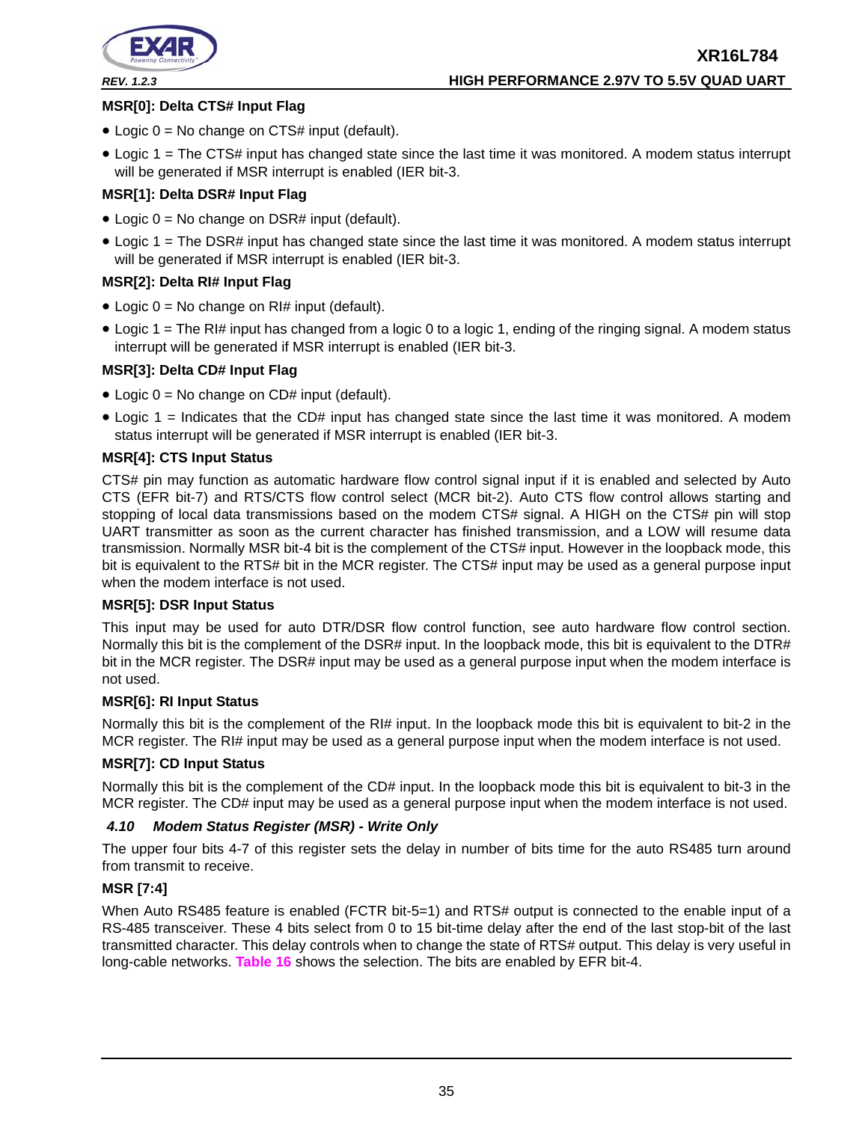

# **XR16L784** *REV. 1.2.3* **HIGH PERFORMANCE 2.97V TO 5.5V QUAD UART**

# **MSR[0]: Delta CTS# Input Flag**

- Logic  $0 = No$  change on CTS# input (default).
- Logic 1 = The CTS# input has changed state since the last time it was monitored. A modem status interrupt will be generated if MSR interrupt is enabled (IER bit-3.

# **MSR[1]: Delta DSR# Input Flag**

- Logic  $0 = No$  change on DSR# input (default).
- Logic 1 = The DSR# input has changed state since the last time it was monitored. A modem status interrupt will be generated if MSR interrupt is enabled (IER bit-3.

# **MSR[2]: Delta RI# Input Flag**

- Logic  $0 = No$  change on RI# input (default).
- Logic 1 = The RI# input has changed from a logic 0 to a logic 1, ending of the ringing signal. A modem status interrupt will be generated if MSR interrupt is enabled (IER bit-3.

# **MSR[3]: Delta CD# Input Flag**

- Logic  $0 = No$  change on CD# input (default).
- Logic 1 = Indicates that the CD# input has changed state since the last time it was monitored. A modem status interrupt will be generated if MSR interrupt is enabled (IER bit-3.

# **MSR[4]: CTS Input Status**

CTS# pin may function as automatic hardware flow control signal input if it is enabled and selected by Auto CTS (EFR bit-7) and RTS/CTS flow control select (MCR bit-2). Auto CTS flow control allows starting and stopping of local data transmissions based on the modem CTS# signal. A HIGH on the CTS# pin will stop UART transmitter as soon as the current character has finished transmission, and a LOW will resume data transmission. Normally MSR bit-4 bit is the complement of the CTS# input. However in the loopback mode, this bit is equivalent to the RTS# bit in the MCR register. The CTS# input may be used as a general purpose input when the modem interface is not used.

# **MSR[5]: DSR Input Status**

This input may be used for auto DTR/DSR flow control function, see auto hardware flow control section. Normally this bit is the complement of the DSR# input. In the loopback mode, this bit is equivalent to the DTR# bit in the MCR register. The DSR# input may be used as a general purpose input when the modem interface is not used.

# **MSR[6]: RI Input Status**

Normally this bit is the complement of the RI# input. In the loopback mode this bit is equivalent to bit-2 in the MCR register. The RI# input may be used as a general purpose input when the modem interface is not used.

# **MSR[7]: CD Input Status**

Normally this bit is the complement of the CD# input. In the loopback mode this bit is equivalent to bit-3 in the MCR register. The CD# input may be used as a general purpose input when the modem interface is not used.

# <span id="page-34-0"></span>*4.10 Modem Status Register (MSR) - Write Only*

The upper four bits 4-7 of this register sets the delay in number of bits time for the auto RS485 turn around from transmit to receive.

# **MSR [7:4]**

When Auto RS485 feature is enabled (FCTR bit-5=1) and RTS# output is connected to the enable input of a RS-485 transceiver. These 4 bits select from 0 to 15 bit-time delay after the end of the last stop-bit of the last transmitted character. This delay controls when to change the state of RTS# output. This delay is very useful in long-cable networks. **[Table](#page-35-0) 16** shows the selection. The bits are enabled by EFR bit-4.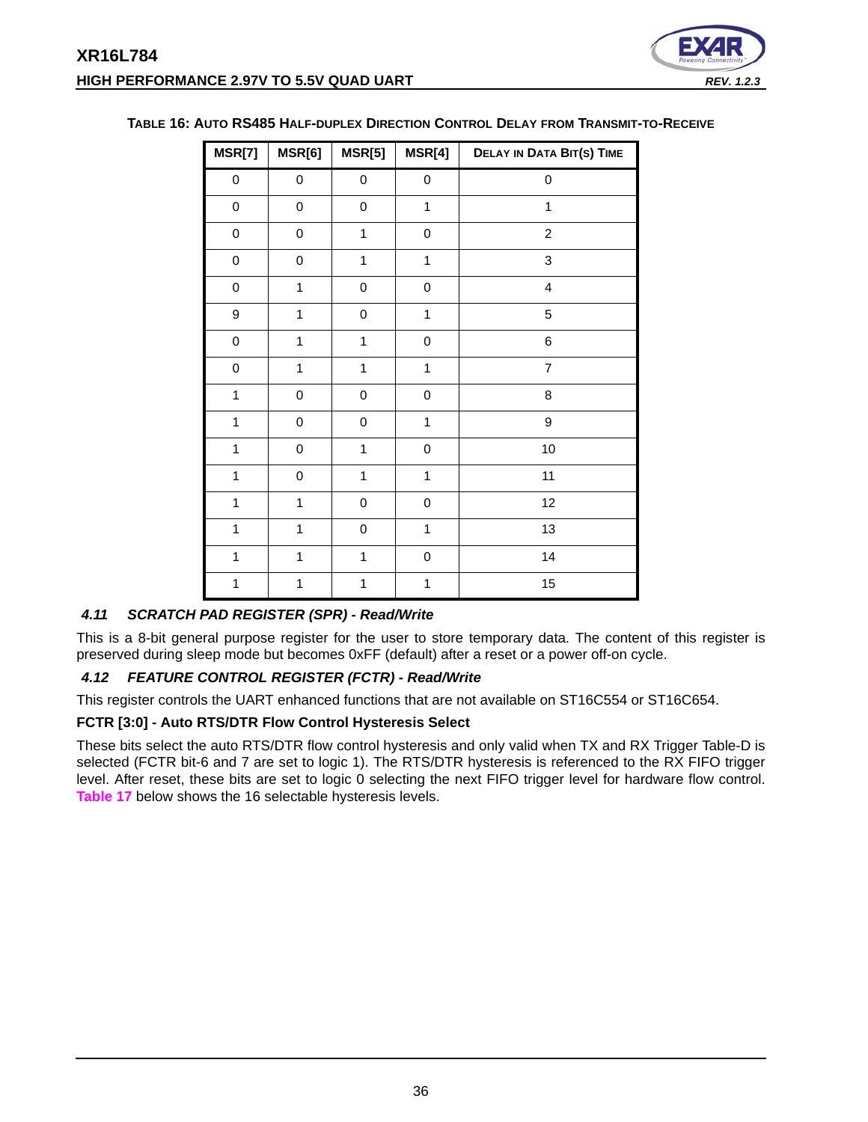

| MSR[7]           | MSR[6]              | MSR[5]       | MSR[4]              | <b>DELAY IN DATA BIT(S) TIME</b> |
|------------------|---------------------|--------------|---------------------|----------------------------------|
| $\mathbf 0$      | 0                   | 0            | $\pmb{0}$           | 0                                |
| $\mathbf 0$      | $\mathsf{O}\xspace$ | 0            | $\mathbf{1}$        | $\mathbf{1}$                     |
| $\mathbf 0$      | 0                   | $\mathbf{1}$ | $\mathbf 0$         | $\overline{2}$                   |
| $\pmb{0}$        | 0                   | $\mathbf{1}$ | $\mathbf{1}$        | 3                                |
| $\mathbf 0$      | 1                   | 0            | $\mathbf 0$         | $\overline{\mathbf{4}}$          |
| $\boldsymbol{9}$ | $\mathbf{1}$        | 0            | $\mathbf{1}$        | 5                                |
| $\pmb{0}$        | $\overline{1}$      | $\mathbf 1$  | $\pmb{0}$           | 6                                |
| $\mathbf 0$      | $\mathbf{1}$        | $\mathbf 1$  | $\mathbf{1}$        | $\overline{7}$                   |
| $\mathbf{1}$     | 0                   | $\pmb{0}$    | $\mathbf 0$         | $\bf8$                           |
| $\mathbf{1}$     | $\pmb{0}$           | 0            | $\mathbf{1}$        | 9                                |
| $\mathbf{1}$     | $\mathsf{O}\xspace$ | $\mathbf 1$  | $\mathsf{O}\xspace$ | 10                               |
| $\mathbf{1}$     | $\pmb{0}$           | $\mathbf{1}$ | $\mathbf{1}$        | 11                               |
| $\mathbf{1}$     | $\mathbf{1}$        | $\mathbf 0$  | $\mathbf 0$         | 12                               |
| $\mathbf{1}$     | $\mathbf{1}$        | 0            | $\mathbf{1}$        | 13                               |
| $\mathbf{1}$     | 1                   | $\mathbf{1}$ | $\pmb{0}$           | 14                               |
| $\mathbf{1}$     | $\mathbf{1}$        | $\mathbf{1}$ | $\mathbf{1}$        | 15                               |

# <span id="page-35-0"></span>**TABLE 16: AUTO RS485 HALF-DUPLEX DIRECTION CONTROL DELAY FROM TRANSMIT-TO-RECEIVE**

# *4.11 SCRATCH PAD REGISTER (SPR) - Read/Write*

This is a 8-bit general purpose register for the user to store temporary data. The content of this register is preserved during sleep mode but becomes 0xFF (default) after a reset or a power off-on cycle.

# <span id="page-35-1"></span>*4.12 FEATURE CONTROL REGISTER (FCTR) - Read/Write*

This register controls the UART enhanced functions that are not available on ST16C554 or ST16C654.

#### **FCTR [3:0] - Auto RTS/DTR Flow Control Hysteresis Select**

These bits select the auto RTS/DTR flow control hysteresis and only valid when TX and RX Trigger Table-D is selected (FCTR bit-6 and 7 are set to logic 1). The RTS/DTR hysteresis is referenced to the RX FIFO trigger level. After reset, these bits are set to logic 0 selecting the next FIFO trigger level for hardware flow control. **[Table](#page-36-0) 17** below shows the 16 selectable hysteresis levels.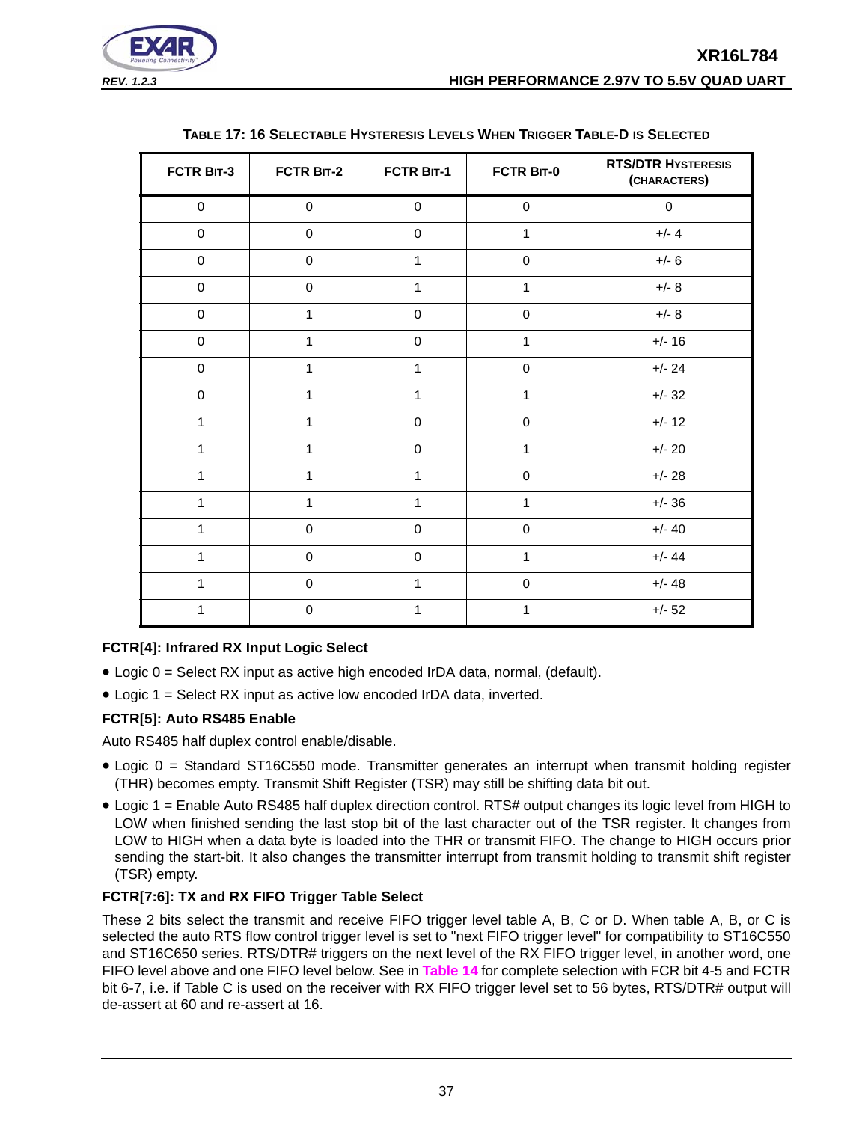

<span id="page-36-0"></span>

| FCTR BIT-3   | FCTR BIT-2   | FCTR BIT-1   | FCTR BIT-0          | <b>RTS/DTR HYSTERESIS</b><br>(CHARACTERS) |
|--------------|--------------|--------------|---------------------|-------------------------------------------|
| $\mathbf 0$  | $\mathbf 0$  | $\mathbf 0$  | $\mathbf 0$         | $\mathbf 0$                               |
| $\mathbf 0$  | $\mathbf 0$  | $\mathbf 0$  | $\mathbf{1}$        | $+/- 4$                                   |
| $\mathbf 0$  | $\pmb{0}$    | $\mathbf{1}$ | $\mathbf 0$         | $+/- 6$                                   |
| $\pmb{0}$    | $\pmb{0}$    | $\mathbf{1}$ | $\mathbf{1}$        | $+/- 8$                                   |
| $\pmb{0}$    | $\mathbf{1}$ | $\mathbf 0$  | $\pmb{0}$           | $+/- 8$                                   |
| $\pmb{0}$    | $\mathbf{1}$ | $\pmb{0}$    | $\mathbf{1}$        | $+/- 16$                                  |
| $\pmb{0}$    | $\mathbf{1}$ | $\mathbf{1}$ | $\mathbf 0$         | $+/- 24$                                  |
| $\pmb{0}$    | $\mathbf{1}$ | $\mathbf{1}$ | $\mathbf{1}$        | $+/- 32$                                  |
| 1            | $\mathbf{1}$ | $\mathbf 0$  | $\mathbf 0$         | $+/- 12$                                  |
| 1            | $\mathbf{1}$ | $\mathbf 0$  | 1                   | $+/- 20$                                  |
| 1            | $\mathbf{1}$ | $\mathbf{1}$ | $\mathbf 0$         | $+/- 28$                                  |
| 1            | $\mathbf{1}$ | $\mathbf{1}$ | $\mathbf{1}$        | $+/- 36$                                  |
| $\mathbf{1}$ | $\pmb{0}$    | $\pmb{0}$    | $\mathsf{O}\xspace$ | $+/- 40$                                  |
| 1            | $\pmb{0}$    | $\mathbf 0$  | $\mathbf{1}$        | $+/- 44$                                  |
| 1            | $\pmb{0}$    | $\mathbf{1}$ | $\pmb{0}$           | $+/- 48$                                  |
| 1            | $\mathbf 0$  | 1            | 1                   | $+/- 52$                                  |

# **TABLE 17: 16 SELECTABLE HYSTERESIS LEVELS WHEN TRIGGER TABLE-D IS SELECTED**

# **FCTR[4]: Infrared RX Input Logic Select**

- Logic 0 = Select RX input as active high encoded IrDA data, normal, (default).
- Logic 1 = Select RX input as active low encoded IrDA data, inverted.

# **FCTR[5]: Auto RS485 Enable**

Auto RS485 half duplex control enable/disable.

- Logic 0 = Standard ST16C550 mode. Transmitter generates an interrupt when transmit holding register (THR) becomes empty. Transmit Shift Register (TSR) may still be shifting data bit out.
- Logic 1 = Enable Auto RS485 half duplex direction control. RTS# output changes its logic level from HIGH to LOW when finished sending the last stop bit of the last character out of the TSR register. It changes from LOW to HIGH when a data byte is loaded into the THR or transmit FIFO. The change to HIGH occurs prior sending the start-bit. It also changes the transmitter interrupt from transmit holding to transmit shift register (TSR) empty.

# **FCTR[7:6]: TX and RX FIFO Trigger Table Select**

These 2 bits select the transmit and receive FIFO trigger level table A, B, C or D. When table A, B, or C is selected the auto RTS flow control trigger level is set to "next FIFO trigger level" for compatibility to ST16C550 and ST16C650 series. RTS/DTR# triggers on the next level of the RX FIFO trigger level, in another word, one FIFO level above and one FIFO level below. See in **[Table](#page-30-0) 14** for complete selection with FCR bit 4-5 and FCTR bit 6-7, i.e. if Table C is used on the receiver with RX FIFO trigger level set to 56 bytes, RTS/DTR# output will de-assert at 60 and re-assert at 16.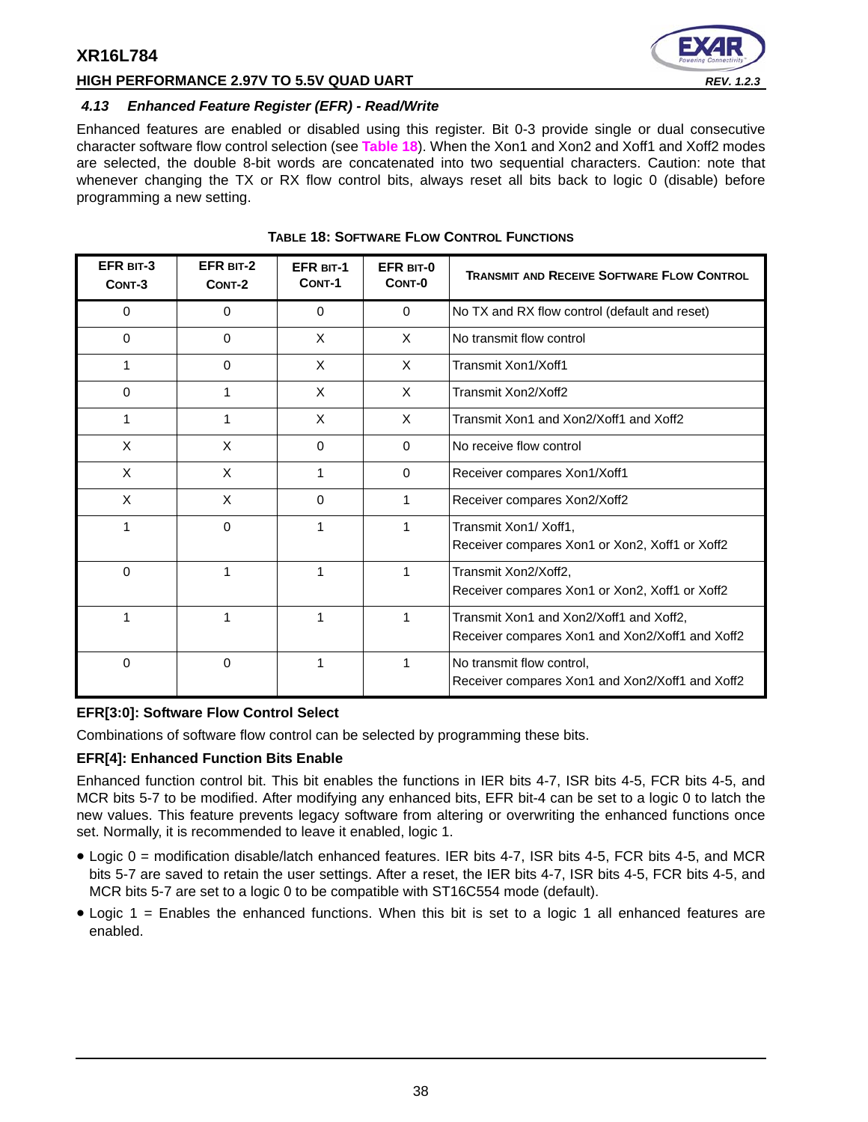

# **HIGH PERFORMANCE 2.97V TO 5.5V QUAD UART** *REV. 1.2.3*

# <span id="page-37-1"></span>*4.13 Enhanced Feature Register (EFR) - Read/Write*

Enhanced features are enabled or disabled using this register. Bit 0-3 provide single or dual consecutive character software flow control selection (see **[Table](#page-37-0) 18**). When the Xon1 and Xon2 and Xoff1 and Xoff2 modes are selected, the double 8-bit words are concatenated into two sequential characters. Caution: note that whenever changing the TX or RX flow control bits, always reset all bits back to logic 0 (disable) before programming a new setting.

<span id="page-37-0"></span>

| EFR BIT-3<br>CONT-3 | EFR BIT-2<br>CONT-2 | <b>EFR BIT-1</b><br>CONT-1 | EFR BIT-0<br>CONT-0 | <b>TRANSMIT AND RECEIVE SOFTWARE FLOW CONTROL</b>                                          |
|---------------------|---------------------|----------------------------|---------------------|--------------------------------------------------------------------------------------------|
| 0                   | 0                   | $\Omega$                   | $\Omega$            | No TX and RX flow control (default and reset)                                              |
| $\Omega$            | $\Omega$            | X                          | $\times$            | No transmit flow control                                                                   |
| 1                   | $\Omega$            | X                          | $\times$            | Transmit Xon1/Xoff1                                                                        |
| 0                   | 1                   | X                          | X                   | Transmit Xon2/Xoff2                                                                        |
| 1                   | 1                   | X                          | $\times$            | Transmit Xon1 and Xon2/Xoff1 and Xoff2                                                     |
| X                   | X                   | $\mathbf 0$                | $\Omega$            | No receive flow control                                                                    |
| X                   | X                   | 1                          | $\Omega$            | Receiver compares Xon1/Xoff1                                                               |
| X                   | X                   | $\Omega$                   | 1                   | Receiver compares Xon2/Xoff2                                                               |
| 1                   | 0                   | 1                          | 1                   | Transmit Xon1/ Xoff1,<br>Receiver compares Xon1 or Xon2, Xoff1 or Xoff2                    |
| 0                   | 1                   | 1                          | 1                   | Transmit Xon2/Xoff2,<br>Receiver compares Xon1 or Xon2, Xoff1 or Xoff2                     |
| 1                   | 1                   | 1                          |                     | Transmit Xon1 and Xon2/Xoff1 and Xoff2,<br>Receiver compares Xon1 and Xon2/Xoff1 and Xoff2 |
| $\Omega$            | $\Omega$            | 1                          | 1                   | No transmit flow control,<br>Receiver compares Xon1 and Xon2/Xoff1 and Xoff2               |

| TABLE 18: SOFTWARE FLOW CONTROL FUNCTIONS |
|-------------------------------------------|
|                                           |

#### **EFR[3:0]: Software Flow Control Select**

Combinations of software flow control can be selected by programming these bits.

#### **EFR[4]: Enhanced Function Bits Enable**

Enhanced function control bit. This bit enables the functions in IER bits 4-7, ISR bits 4-5, FCR bits 4-5, and MCR bits 5-7 to be modified. After modifying any enhanced bits, EFR bit-4 can be set to a logic 0 to latch the new values. This feature prevents legacy software from altering or overwriting the enhanced functions once set. Normally, it is recommended to leave it enabled, logic 1.

- Logic 0 = modification disable/latch enhanced features. IER bits 4-7, ISR bits 4-5, FCR bits 4-5, and MCR bits 5-7 are saved to retain the user settings. After a reset, the IER bits 4-7, ISR bits 4-5, FCR bits 4-5, and MCR bits 5-7 are set to a logic 0 to be compatible with ST16C554 mode (default).
- Logic 1 = Enables the enhanced functions. When this bit is set to a logic 1 all enhanced features are enabled.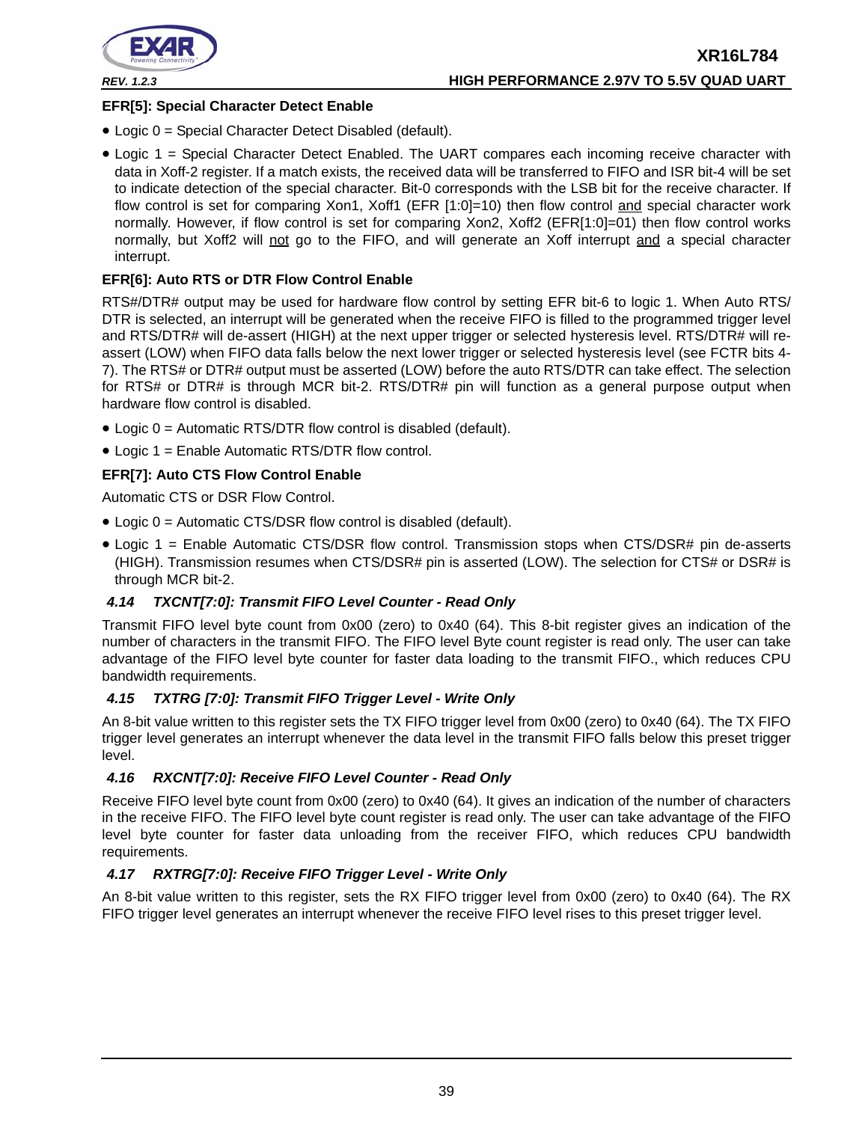

# **EFR[5]: Special Character Detect Enable**

- Logic 0 = Special Character Detect Disabled (default).
- Logic 1 = Special Character Detect Enabled. The UART compares each incoming receive character with data in Xoff-2 register. If a match exists, the received data will be transferred to FIFO and ISR bit-4 will be set to indicate detection of the special character. Bit-0 corresponds with the LSB bit for the receive character. If flow control is set for comparing Xon1, Xoff1 (EFR [1:0]=10) then flow control and special character work normally. However, if flow control is set for comparing Xon2, Xoff2 (EFR[1:0]=01) then flow control works normally, but Xoff2 will not go to the FIFO, and will generate an Xoff interrupt and a special character interrupt.

# **EFR[6]: Auto RTS or DTR Flow Control Enable**

RTS#/DTR# output may be used for hardware flow control by setting EFR bit-6 to logic 1. When Auto RTS/ DTR is selected, an interrupt will be generated when the receive FIFO is filled to the programmed trigger level and RTS/DTR# will de-assert (HIGH) at the next upper trigger or selected hysteresis level. RTS/DTR# will reassert (LOW) when FIFO data falls below the next lower trigger or selected hysteresis level (see FCTR bits 4- 7). The RTS# or DTR# output must be asserted (LOW) before the auto RTS/DTR can take effect. The selection for RTS# or DTR# is through MCR bit-2. RTS/DTR# pin will function as a general purpose output when hardware flow control is disabled.

- Logic 0 = Automatic RTS/DTR flow control is disabled (default).
- Logic 1 = Enable Automatic RTS/DTR flow control.

# **EFR[7]: Auto CTS Flow Control Enable**

Automatic CTS or DSR Flow Control.

- Logic 0 = Automatic CTS/DSR flow control is disabled (default).
- Logic 1 = Enable Automatic CTS/DSR flow control. Transmission stops when CTS/DSR# pin de-asserts (HIGH). Transmission resumes when CTS/DSR# pin is asserted (LOW). The selection for CTS# or DSR# is through MCR bit-2.

# <span id="page-38-0"></span>*4.14 TXCNT[7:0]: Transmit FIFO Level Counter - Read Only*

Transmit FIFO level byte count from 0x00 (zero) to 0x40 (64). This 8-bit register gives an indication of the number of characters in the transmit FIFO. The FIFO level Byte count register is read only. The user can take advantage of the FIFO level byte counter for faster data loading to the transmit FIFO., which reduces CPU bandwidth requirements.

#### <span id="page-38-1"></span>*4.15 TXTRG [7:0]: Transmit FIFO Trigger Level - Write Only*

An 8-bit value written to this register sets the TX FIFO trigger level from 0x00 (zero) to 0x40 (64). The TX FIFO trigger level generates an interrupt whenever the data level in the transmit FIFO falls below this preset trigger level.

# <span id="page-38-2"></span>*4.16 RXCNT[7:0]: Receive FIFO Level Counter - Read Only*

Receive FIFO level byte count from 0x00 (zero) to 0x40 (64). It gives an indication of the number of characters in the receive FIFO. The FIFO level byte count register is read only. The user can take advantage of the FIFO level byte counter for faster data unloading from the receiver FIFO, which reduces CPU bandwidth requirements.

#### *4.17 RXTRG[7:0]: Receive FIFO Trigger Level - Write Only*

An 8-bit value written to this register, sets the RX FIFO trigger level from 0x00 (zero) to 0x40 (64). The RX FIFO trigger level generates an interrupt whenever the receive FIFO level rises to this preset trigger level.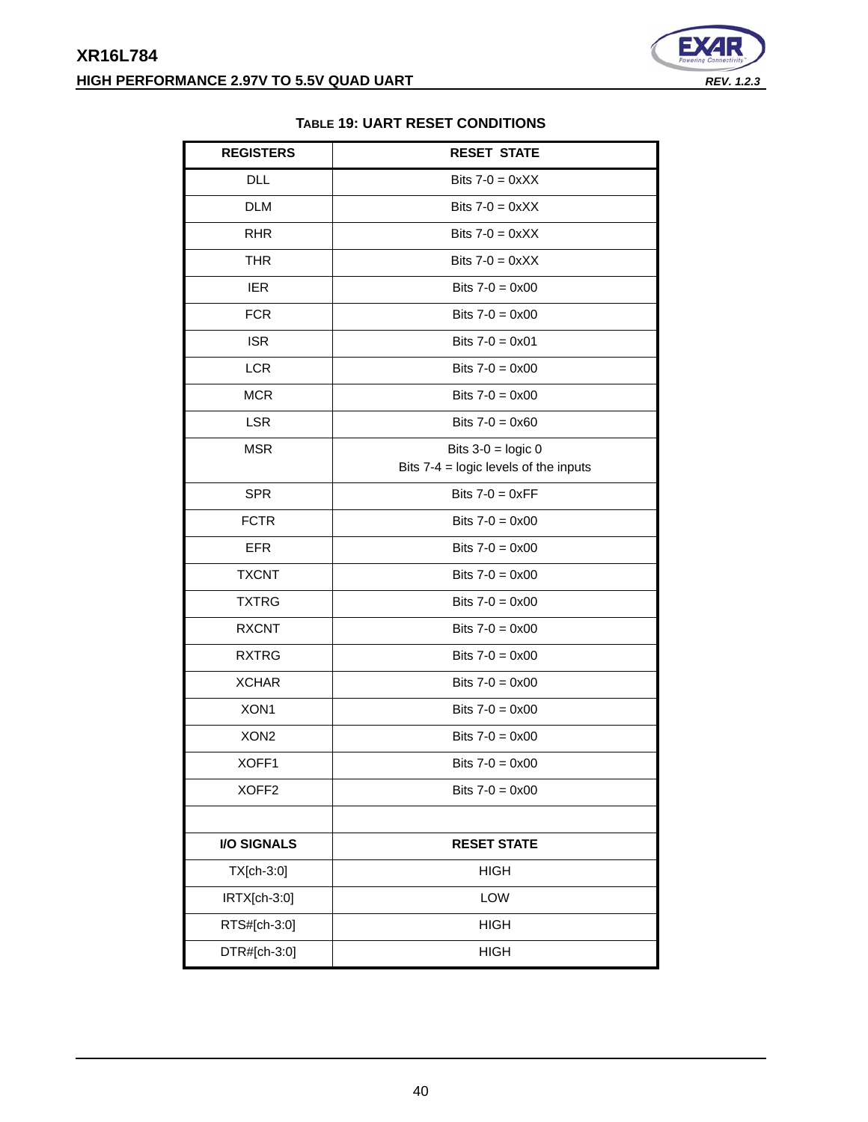

# **TABLE 19: UART RESET CONDITIONS**

<span id="page-39-0"></span>

| <b>REGISTERS</b>   | <b>RESET STATE</b>                      |
|--------------------|-----------------------------------------|
| <b>DLL</b>         | Bits $7-0 = 0 \times XX$                |
| <b>DLM</b>         | Bits $7-0 = 0 \times XX$                |
| <b>RHR</b>         | Bits $7-0 = 0 \times XX$                |
| <b>THR</b>         | Bits $7-0 = 0 \times X$                 |
| <b>IER</b>         | Bits $7 - 0 = 0 \times 00$              |
| <b>FCR</b>         | Bits $7 - 0 = 0 \times 00$              |
| <b>ISR</b>         | Bits $7 - 0 = 0 \times 01$              |
| <b>LCR</b>         | Bits $7-0 = 0 \times 00$                |
| <b>MCR</b>         | Bits $7 - 0 = 0 \times 00$              |
| <b>LSR</b>         | Bits $7 - 0 = 0 \times 60$              |
| <b>MSR</b>         | Bits $3-0 = \text{logic } 0$            |
|                    | Bits $7-4$ = logic levels of the inputs |
| <b>SPR</b>         | Bits $7-0 = 0 \times FF$                |
| <b>FCTR</b>        | Bits $7-0 = 0 \times 00$                |
| <b>EFR</b>         | Bits $7 - 0 = 0 \times 00$              |
| <b>TXCNT</b>       | Bits $7 - 0 = 0 \times 00$              |
| <b>TXTRG</b>       | Bits $7 - 0 = 0 \times 00$              |
| <b>RXCNT</b>       | Bits $7 - 0 = 0 \times 00$              |
| <b>RXTRG</b>       | Bits $7 - 0 = 0 \times 00$              |
| <b>XCHAR</b>       | Bits $7 - 0 = 0 \times 00$              |
| XON1               | Bits $7 - 0 = 0 \times 00$              |
| XON <sub>2</sub>   | Bits $7-0 = 0 \times 00$                |
| XOFF1              | Bits $7-0 = 0 \times 00$                |
| XOFF <sub>2</sub>  | Bits $7-0 = 0 \times 00$                |
|                    |                                         |
| <b>I/O SIGNALS</b> | <b>RESET STATE</b>                      |
| TX[ch-3:0]         | <b>HIGH</b>                             |
| IRTX[ch-3:0]       | LOW                                     |
| RTS#[ch-3:0]       | <b>HIGH</b>                             |
| DTR#[ch-3:0]       | <b>HIGH</b>                             |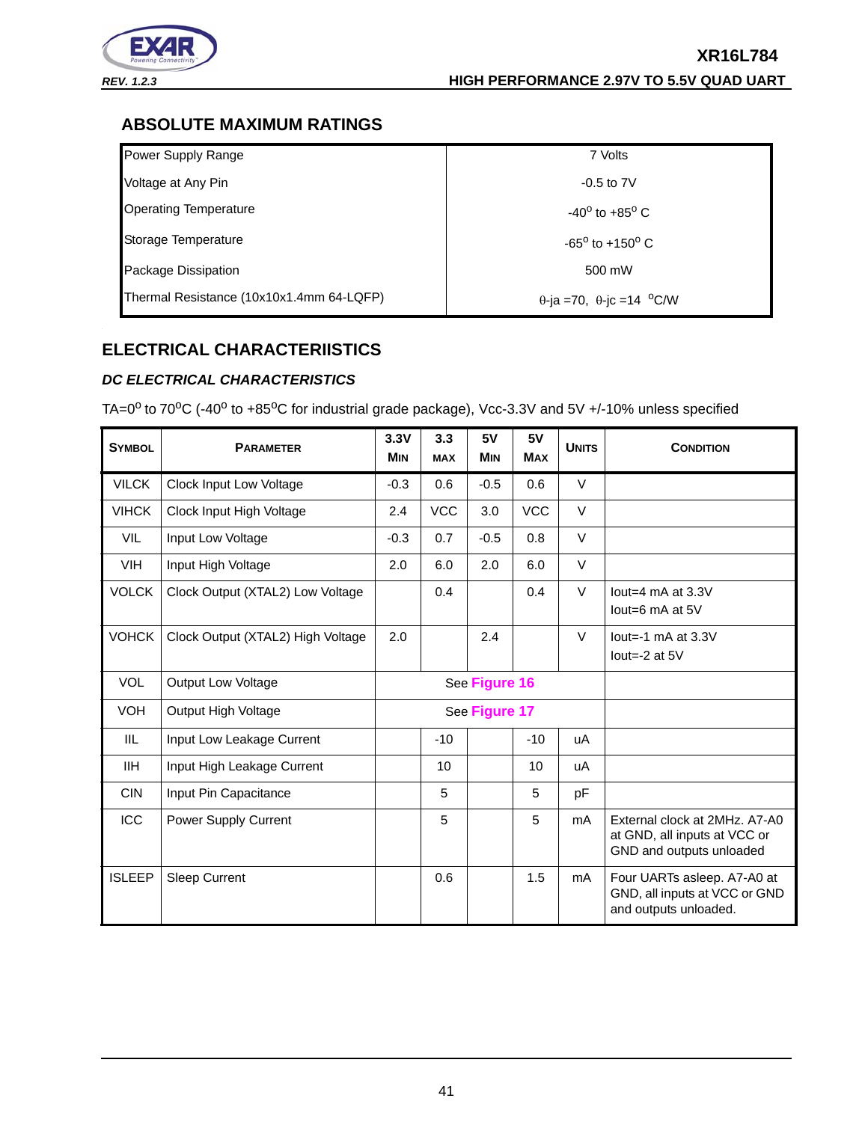

# <span id="page-40-0"></span>**ABSOLUTE MAXIMUM RATINGS**

| Power Supply Range                       | 7 Volts                                 |
|------------------------------------------|-----------------------------------------|
| Voltage at Any Pin                       | $-0.5$ to $7V$                          |
| <b>Operating Temperature</b>             | $-40^{\circ}$ to $+85^{\circ}$ C        |
| Storage Temperature                      | $-65^{\circ}$ to $+150^{\circ}$ C       |
| Package Dissipation                      | 500 mW                                  |
| Thermal Resistance (10x10x1.4mm 64-LQFP) | $\theta$ -ja =70, $\theta$ -jc =14 °C/W |

# <span id="page-40-1"></span>**ELECTRICAL CHARACTERIISTICS**

# <span id="page-40-2"></span>*DC ELECTRICAL CHARACTERISTICS*

TA=0<sup>o</sup> to 70<sup>o</sup>C (-40<sup>o</sup> to +85<sup>o</sup>C for industrial grade package), Vcc-3.3V and 5V +/-10% unless specified

| <b>SYMBOL</b> | <b>PARAMETER</b>                  | 3.3V<br><b>M<sub>IN</sub></b> | 3.3<br><b>MAX</b> | 5V<br><b>MIN</b> | 5V<br><b>MAX</b> | <b>UNITS</b> | <b>CONDITION</b>                                                                          |
|---------------|-----------------------------------|-------------------------------|-------------------|------------------|------------------|--------------|-------------------------------------------------------------------------------------------|
| <b>VILCK</b>  | Clock Input Low Voltage           | $-0.3$                        | 0.6               | $-0.5$           | 0.6              | $\vee$       |                                                                                           |
| <b>VIHCK</b>  | Clock Input High Voltage          | 2.4                           | <b>VCC</b>        | 3.0              | <b>VCC</b>       | $\vee$       |                                                                                           |
| <b>VIL</b>    | Input Low Voltage                 | $-0.3$                        | 0.7               | $-0.5$           | 0.8              | V            |                                                                                           |
| <b>VIH</b>    | Input High Voltage                | 2.0                           | 6.0               | 2.0              | 6.0              | $\vee$       |                                                                                           |
| <b>VOLCK</b>  | Clock Output (XTAL2) Low Voltage  |                               | 0.4               |                  | 0.4              | $\vee$       | lout=4 $mA$ at 3.3V<br>lout=6 $mA$ at $5V$                                                |
| <b>VOHCK</b>  | Clock Output (XTAL2) High Voltage | 2.0                           |                   | 2.4              |                  | $\vee$       | lout=-1 $mA$ at 3.3V<br>lout= $-2$ at $5V$                                                |
| <b>VOL</b>    | <b>Output Low Voltage</b>         |                               | See Figure 16     |                  |                  |              |                                                                                           |
| <b>VOH</b>    | Output High Voltage               |                               |                   | See Figure 17    |                  |              |                                                                                           |
| IIL           | Input Low Leakage Current         |                               | $-10$             |                  | $-10$            | uA           |                                                                                           |
| <b>IIH</b>    | Input High Leakage Current        |                               | 10                |                  | 10               | uA           |                                                                                           |
| <b>CIN</b>    | Input Pin Capacitance             |                               | 5                 |                  | 5                | pF           |                                                                                           |
| <b>ICC</b>    | Power Supply Current              |                               | 5                 |                  | 5                | mA           | External clock at 2MHz, A7-A0<br>at GND, all inputs at VCC or<br>GND and outputs unloaded |
| <b>ISLEEP</b> | <b>Sleep Current</b>              |                               | 0.6               |                  | 1.5              | mA           | Four UARTs asleep. A7-A0 at<br>GND, all inputs at VCC or GND<br>and outputs unloaded.     |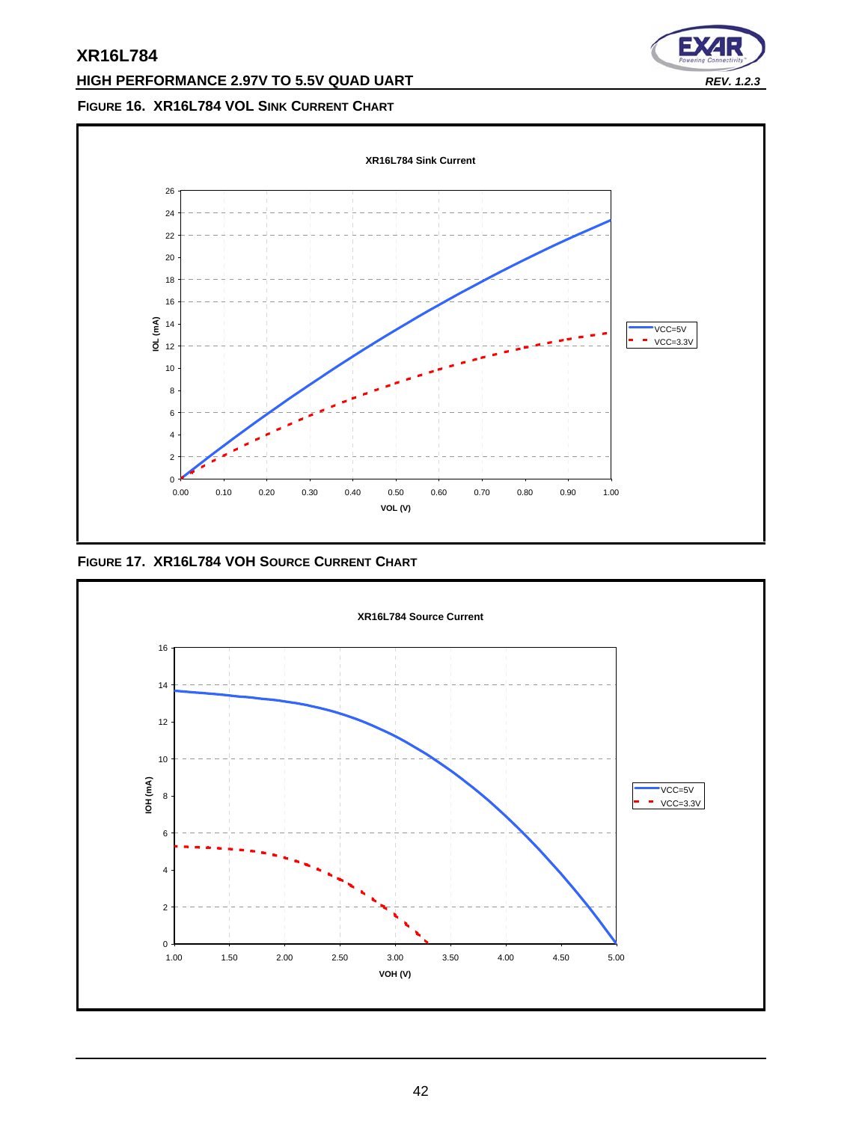# **HIGH PERFORMANCE 2.97V TO 5.5V QUAD UART** *REV. 1.2.3*



# <span id="page-41-0"></span>**FIGURE 16. XR16L784 VOL SINK CURRENT CHART**



<span id="page-41-1"></span>**FIGURE 17. XR16L784 VOH SOURCE CURRENT CHART**

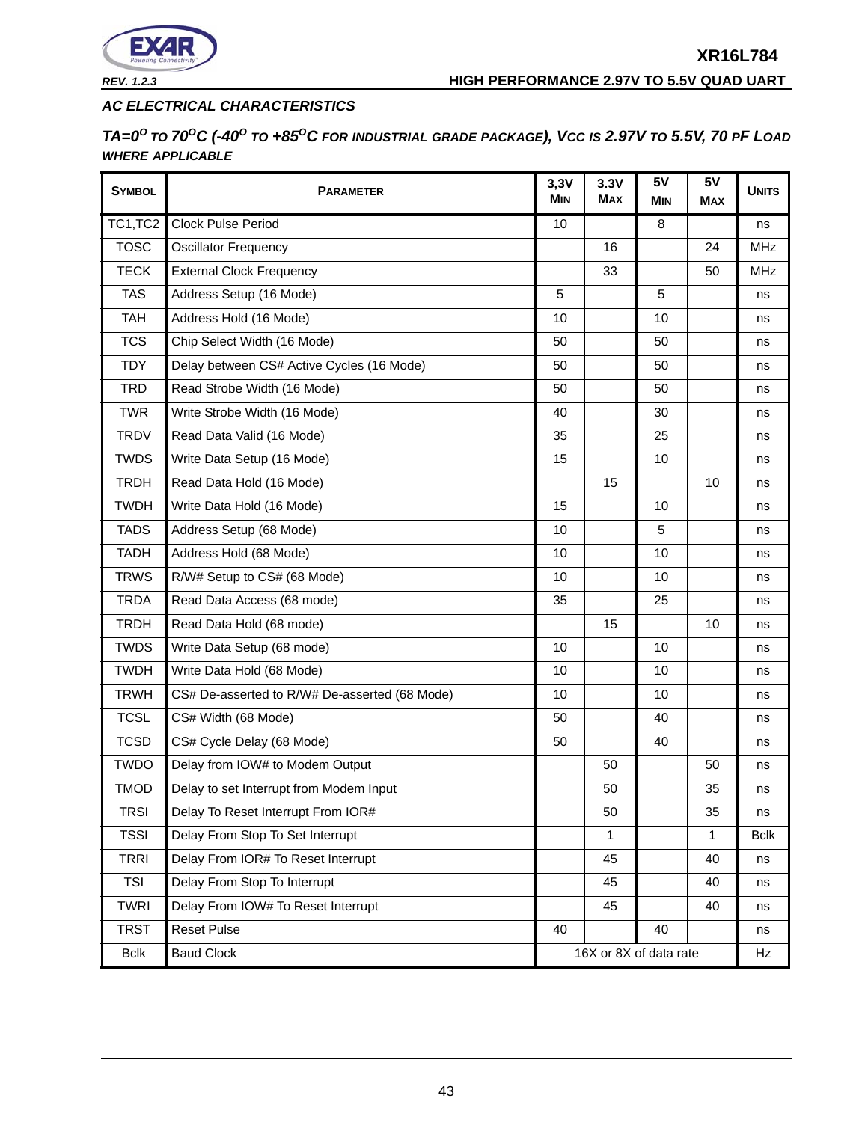

*REV. 1.2.3* **HIGH PERFORMANCE 2.97V TO 5.5V QUAD UART**

# <span id="page-42-0"></span>*AC ELECTRICAL CHARACTERISTICS*

*TA=0<sup>O</sup> TO 70OC (-40O TO +85OC FOR INDUSTRIAL GRADE PACKAGE), VCC IS 2.97V TO 5.5V, 70 PF LOAD WHERE APPLICABLE*

| <b>SYMBOL</b> | <b>PARAMETER</b>                              | 3,3V<br><b>MIN</b> | 3.3V<br><b>MAX</b>     | 5V<br><b>MIN</b> | 5V<br><b>MAX</b> | <b>UNITS</b> |
|---------------|-----------------------------------------------|--------------------|------------------------|------------------|------------------|--------------|
| TC1,TC2       | <b>Clock Pulse Period</b>                     | 10                 |                        | 8                |                  | ns           |
| <b>TOSC</b>   | <b>Oscillator Frequency</b>                   |                    | 16                     |                  | 24               | <b>MHz</b>   |
| <b>TECK</b>   | <b>External Clock Frequency</b>               |                    | 33                     |                  | 50               | <b>MHz</b>   |
| <b>TAS</b>    | Address Setup (16 Mode)                       | 5                  |                        | 5                |                  | ns           |
| <b>TAH</b>    | Address Hold (16 Mode)                        | 10                 |                        | 10               |                  | ns           |
| <b>TCS</b>    | Chip Select Width (16 Mode)                   | 50                 |                        | 50               |                  | ns           |
| <b>TDY</b>    | Delay between CS# Active Cycles (16 Mode)     | 50                 |                        | 50               |                  | ns           |
| <b>TRD</b>    | Read Strobe Width (16 Mode)                   | 50                 |                        | 50               |                  | ns           |
| <b>TWR</b>    | Write Strobe Width (16 Mode)                  | 40                 |                        | 30               |                  | ns           |
| <b>TRDV</b>   | Read Data Valid (16 Mode)                     | 35                 |                        | 25               |                  | ns           |
| <b>TWDS</b>   | Write Data Setup (16 Mode)                    | 15                 |                        | 10               |                  | ns           |
| <b>TRDH</b>   | Read Data Hold (16 Mode)                      |                    | 15                     |                  | 10               | ns           |
| <b>TWDH</b>   | Write Data Hold (16 Mode)                     | 15                 |                        | 10               |                  | ns           |
| <b>TADS</b>   | Address Setup (68 Mode)                       | 10                 |                        | 5                |                  | ns           |
| <b>TADH</b>   | Address Hold (68 Mode)                        | 10                 |                        | 10               |                  | ns           |
| <b>TRWS</b>   | R/W# Setup to CS# (68 Mode)                   | 10                 |                        | 10               |                  | ns           |
| <b>TRDA</b>   | Read Data Access (68 mode)                    | 35                 |                        | 25               |                  | ns           |
| <b>TRDH</b>   | Read Data Hold (68 mode)                      |                    | 15                     |                  | 10               | ns           |
| <b>TWDS</b>   | Write Data Setup (68 mode)                    | 10                 |                        | 10               |                  | ns           |
| <b>TWDH</b>   | Write Data Hold (68 Mode)                     | 10                 |                        | 10               |                  | ns           |
| <b>TRWH</b>   | CS# De-asserted to R/W# De-asserted (68 Mode) | 10                 |                        | 10               |                  | ns           |
| <b>TCSL</b>   | CS# Width (68 Mode)                           | 50                 |                        | 40               |                  | ns           |
| <b>TCSD</b>   | CS# Cycle Delay (68 Mode)                     | 50                 |                        | 40               |                  | ns           |
| <b>TWDO</b>   | Delay from IOW# to Modem Output               |                    | 50                     |                  | 50               | ns           |
| <b>TMOD</b>   | Delay to set Interrupt from Modem Input       |                    | 50                     |                  | 35               | ns           |
| <b>TRSI</b>   | Delay To Reset Interrupt From IOR#            |                    | 50                     |                  | 35               | ns           |
| <b>TSSI</b>   | Delay From Stop To Set Interrupt              |                    | 1                      |                  | 1                | <b>Bclk</b>  |
| <b>TRRI</b>   | Delay From IOR# To Reset Interrupt            |                    | 45                     |                  | 40               | ns           |
| <b>TSI</b>    | Delay From Stop To Interrupt                  |                    | 45                     |                  | 40               | ns           |
| <b>TWRI</b>   | Delay From IOW# To Reset Interrupt            |                    | 45                     |                  | 40               | ns           |
| <b>TRST</b>   | <b>Reset Pulse</b>                            | 40                 |                        | 40               |                  | ns           |
| <b>Bclk</b>   | <b>Baud Clock</b>                             |                    | 16X or 8X of data rate |                  |                  | Hz           |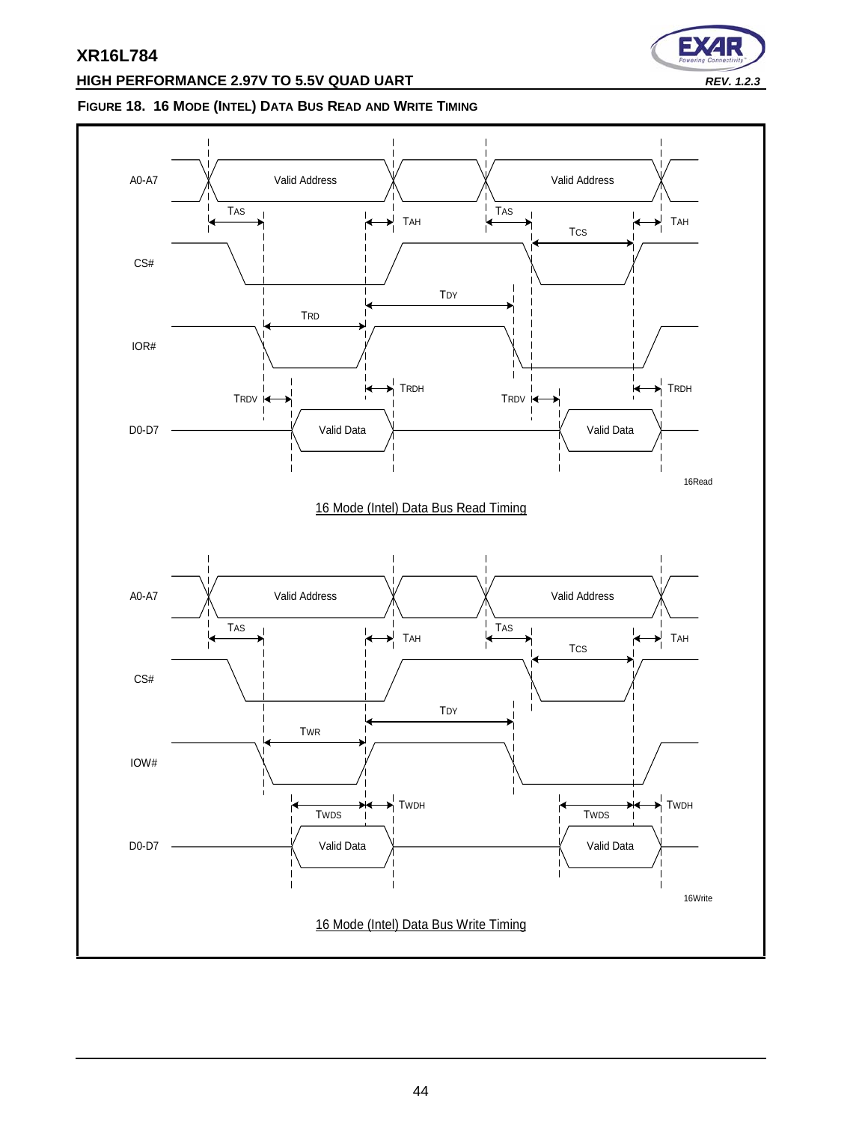# **HIGH PERFORMANCE 2.97V TO 5.5V QUAD UART** *REV. 1.2.3*

# ∍

# <span id="page-43-0"></span>**FIGURE 18. 16 MODE (INTEL) DATA BUS READ AND WRITE TIMING**

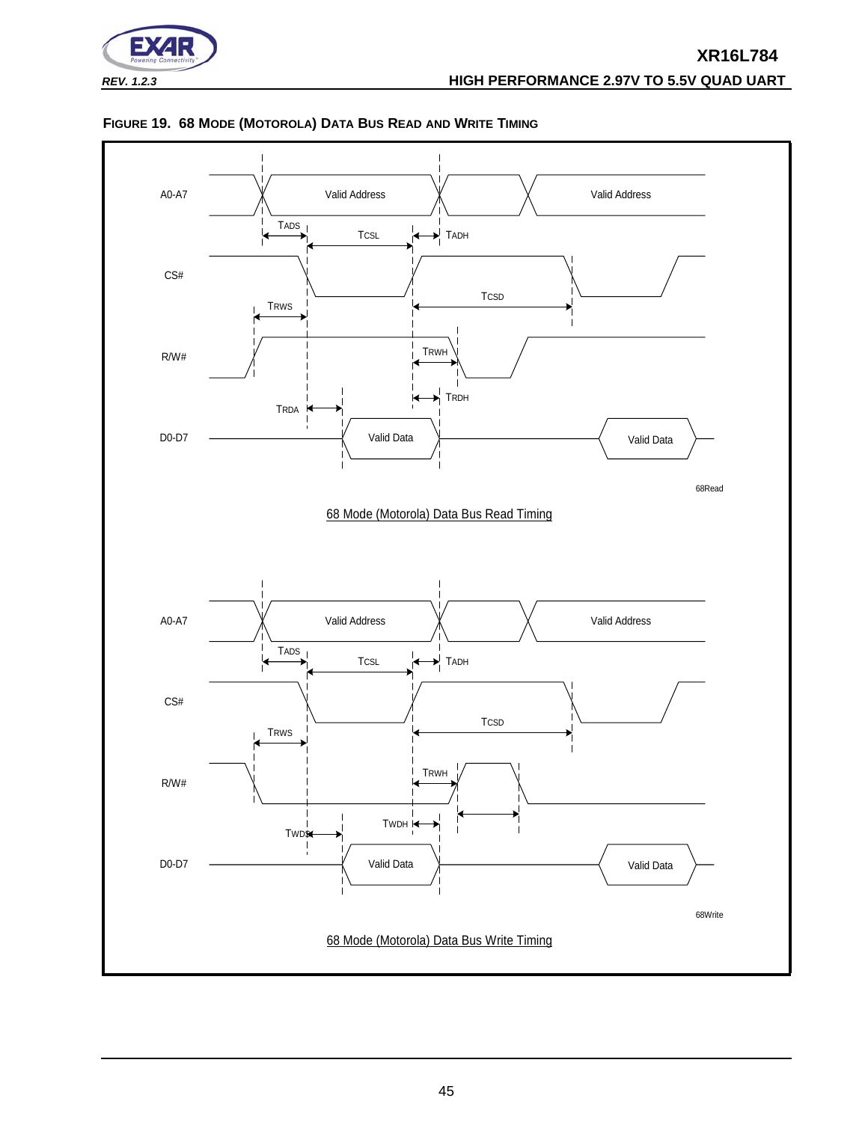



#### <span id="page-44-0"></span>**FIGURE 19. 68 MODE (MOTOROLA) DATA BUS READ AND WRITE TIMING**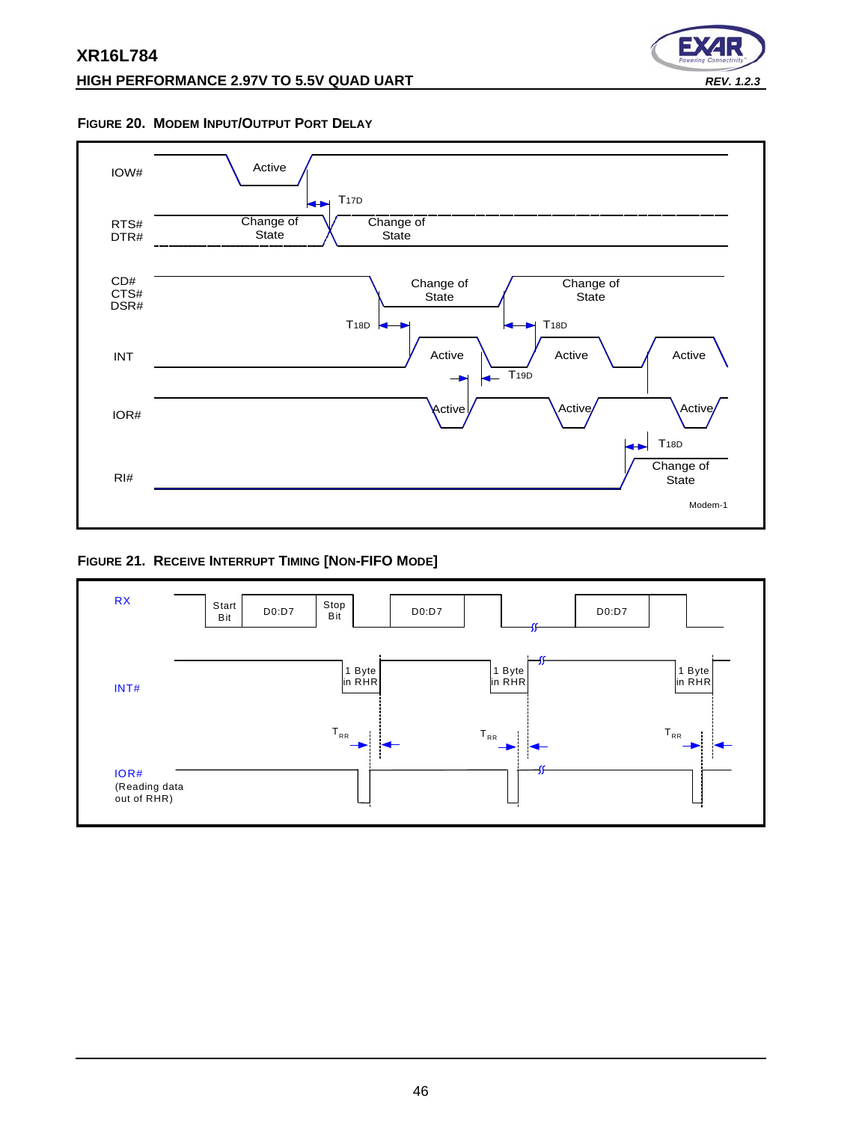# **HIGH PERFORMANCE 2.97V TO 5.5V QUAD UART** *REV. 1.2.3*



#### <span id="page-45-1"></span>**FIGURE 20. MODEM INPUT/OUTPUT PORT DELAY**



#### <span id="page-45-0"></span>**FIGURE 21. RECEIVE INTERRUPT TIMING [NON-FIFO MODE]**

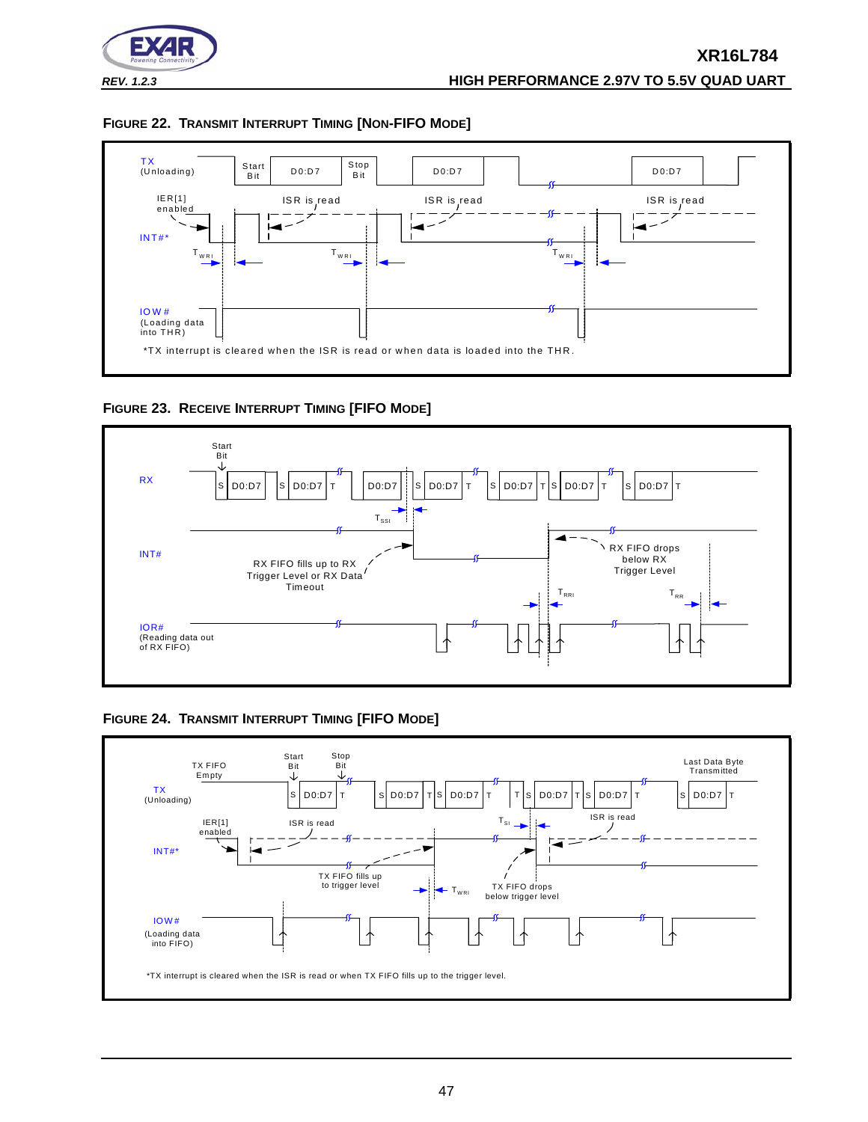

<span id="page-46-1"></span>



<span id="page-46-2"></span>**FIGURE 23. RECEIVE INTERRUPT TIMING [FIFO MODE]**



<span id="page-46-0"></span>**FIGURE 24. TRANSMIT INTERRUPT TIMING [FIFO MODE]**

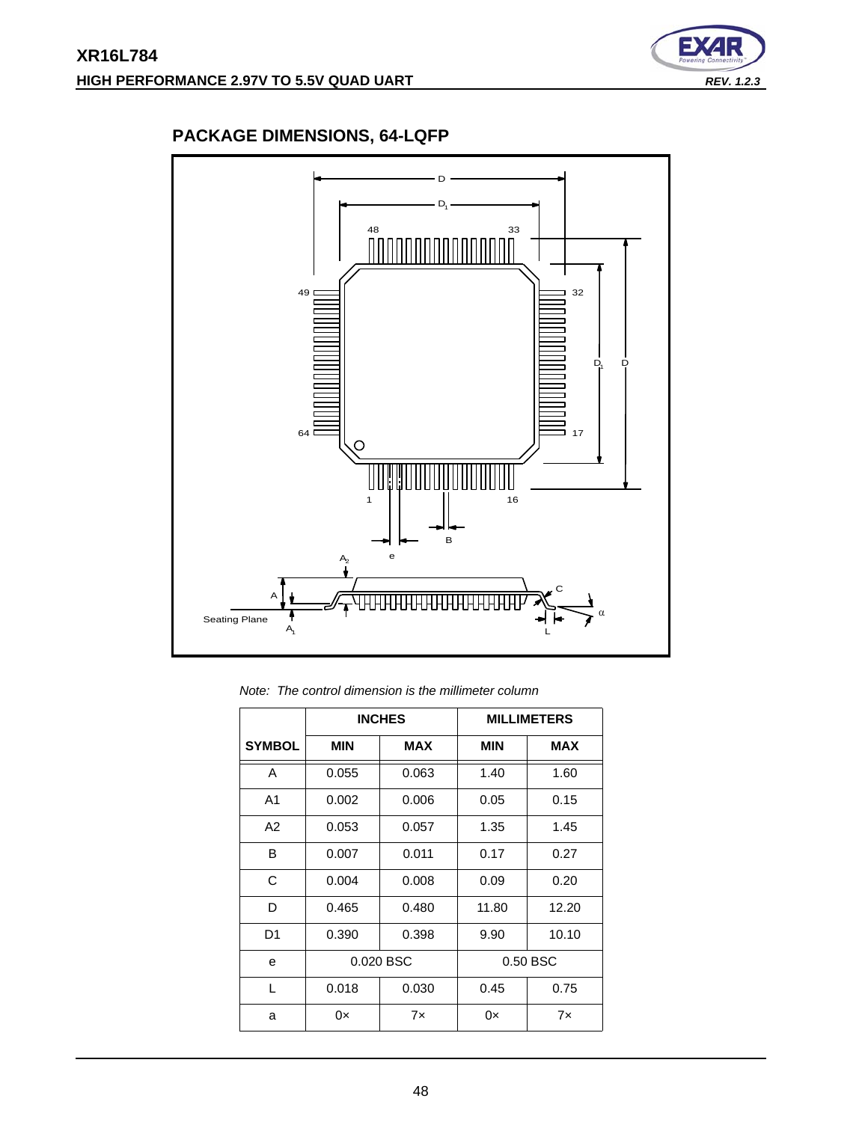

# <span id="page-47-0"></span>**PACKAGE DIMENSIONS, 64-LQFP**



*Note: The control dimension is the millimeter column*

|                | <b>INCHES</b> |            | <b>MILLIMETERS</b> |            |
|----------------|---------------|------------|--------------------|------------|
| <b>SYMBOL</b>  | <b>MIN</b>    | <b>MAX</b> | <b>MIN</b>         | <b>MAX</b> |
| A              | 0.055         | 0.063      | 1.40               | 1.60       |
| A <sub>1</sub> | 0.002         | 0.006      | 0.05               | 0.15       |
| A2             | 0.053         | 0.057      | 1.35               | 1.45       |
| B              | 0.007         | 0.011      | 0.17               | 0.27       |
| C              | 0.004         | 0.008      | 0.09               | 0.20       |
| D              | 0.465         | 0.480      | 11.80              | 12.20      |
| D1             | 0.390         | 0.398      | 9.90               | 10.10      |
| e              | 0.020 BSC     |            |                    | 0.50 BSC   |
| L              | 0.018         | 0.030      | 0.45               | 0.75       |
| a              | 0×            | 7x         | 0×                 | 7x         |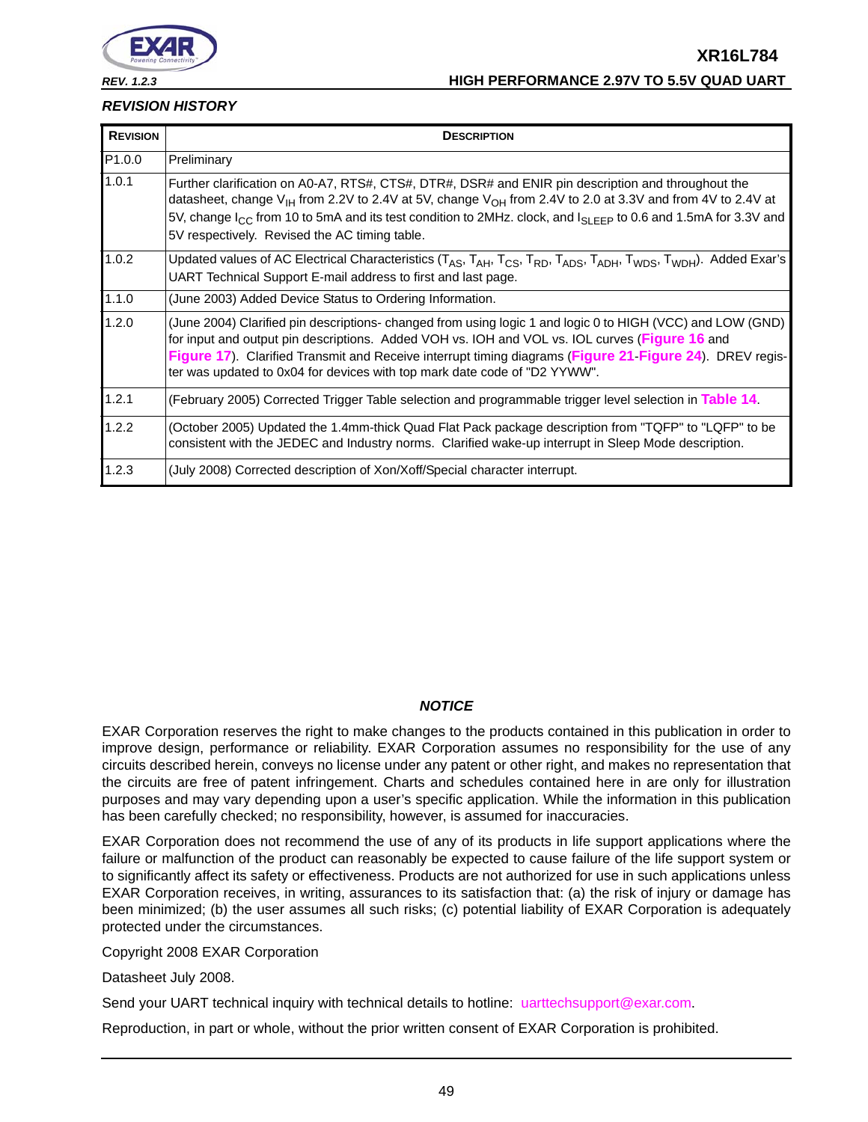

#### *REV. 1.2.3* **HIGH PERFORMANCE 2.97V TO 5.5V QUAD UART**

#### <span id="page-48-0"></span>*REVISION HISTORY*

| <b>REVISION</b> | <b>DESCRIPTION</b>                                                                                                                                                                                                                                                                                                                                                                                                                |
|-----------------|-----------------------------------------------------------------------------------------------------------------------------------------------------------------------------------------------------------------------------------------------------------------------------------------------------------------------------------------------------------------------------------------------------------------------------------|
| P1.0.0          | Preliminary                                                                                                                                                                                                                                                                                                                                                                                                                       |
| 1.0.1           | Further clarification on A0-A7, RTS#, CTS#, DTR#, DSR# and ENIR pin description and throughout the<br>datasheet, change V <sub>IH</sub> from 2.2V to 2.4V at 5V, change V <sub>OH</sub> from 2.4V to 2.0 at 3.3V and from 4V to 2.4V at<br>5V, change I <sub>CC</sub> from 10 to 5mA and its test condition to 2MHz. clock, and I <sub>SLEEP</sub> to 0.6 and 1.5mA for 3.3V and<br>5V respectively. Revised the AC timing table. |
| 1.0.2           | Updated values of AC Electrical Characteristics (T <sub>AS</sub> , T <sub>AH</sub> , T <sub>CS</sub> , T <sub>RD</sub> , T <sub>ADS</sub> , T <sub>ADH</sub> , T <sub>WDS</sub> , T <sub>WDH</sub> ). Added Exar's<br>UART Technical Support E-mail address to first and last page.                                                                                                                                               |
| 1.1.0           | (June 2003) Added Device Status to Ordering Information.                                                                                                                                                                                                                                                                                                                                                                          |
| 1.2.0           | (June 2004) Clarified pin descriptions- changed from using logic 1 and logic 0 to HIGH (VCC) and LOW (GND)<br>for input and output pin descriptions. Added VOH vs. IOH and VOL vs. IOL curves (Figure 16 and<br>Figure 17). Clarified Transmit and Receive interrupt timing diagrams (Figure 21 Figure 24). DREV regis-<br>ter was updated to 0x04 for devices with top mark date code of "D2 YYWW".                              |
| 1.2.1           | (February 2005) Corrected Trigger Table selection and programmable trigger level selection in Table 14.                                                                                                                                                                                                                                                                                                                           |
| 1.2.2           | (October 2005) Updated the 1.4mm-thick Quad Flat Pack package description from "TQFP" to "LQFP" to be<br>consistent with the JEDEC and Industry norms. Clarified wake-up interrupt in Sleep Mode description.                                                                                                                                                                                                                     |
| 1.2.3           | (July 2008) Corrected description of Xon/Xoff/Special character interrupt.                                                                                                                                                                                                                                                                                                                                                        |

# *NOTICE*

EXAR Corporation reserves the right to make changes to the products contained in this publication in order to improve design, performance or reliability. EXAR Corporation assumes no responsibility for the use of any circuits described herein, conveys no license under any patent or other right, and makes no representation that the circuits are free of patent infringement. Charts and schedules contained here in are only for illustration purposes and may vary depending upon a user's specific application. While the information in this publication has been carefully checked; no responsibility, however, is assumed for inaccuracies.

EXAR Corporation does not recommend the use of any of its products in life support applications where the failure or malfunction of the product can reasonably be expected to cause failure of the life support system or to significantly affect its safety or effectiveness. Products are not authorized for use in such applications unless EXAR Corporation receives, in writing, assurances to its satisfaction that: (a) the risk of injury or damage has been minimized; (b) the user assumes all such risks; (c) potential liability of EXAR Corporation is adequately protected under the circumstances.

Copyright 2008 EXAR Corporation

Datasheet July 2008.

Send your UART technical inquiry with technical details to hotline: uarttechsupport@exar.com.

Reproduction, in part or whole, without the prior written consent of EXAR Corporation is prohibited.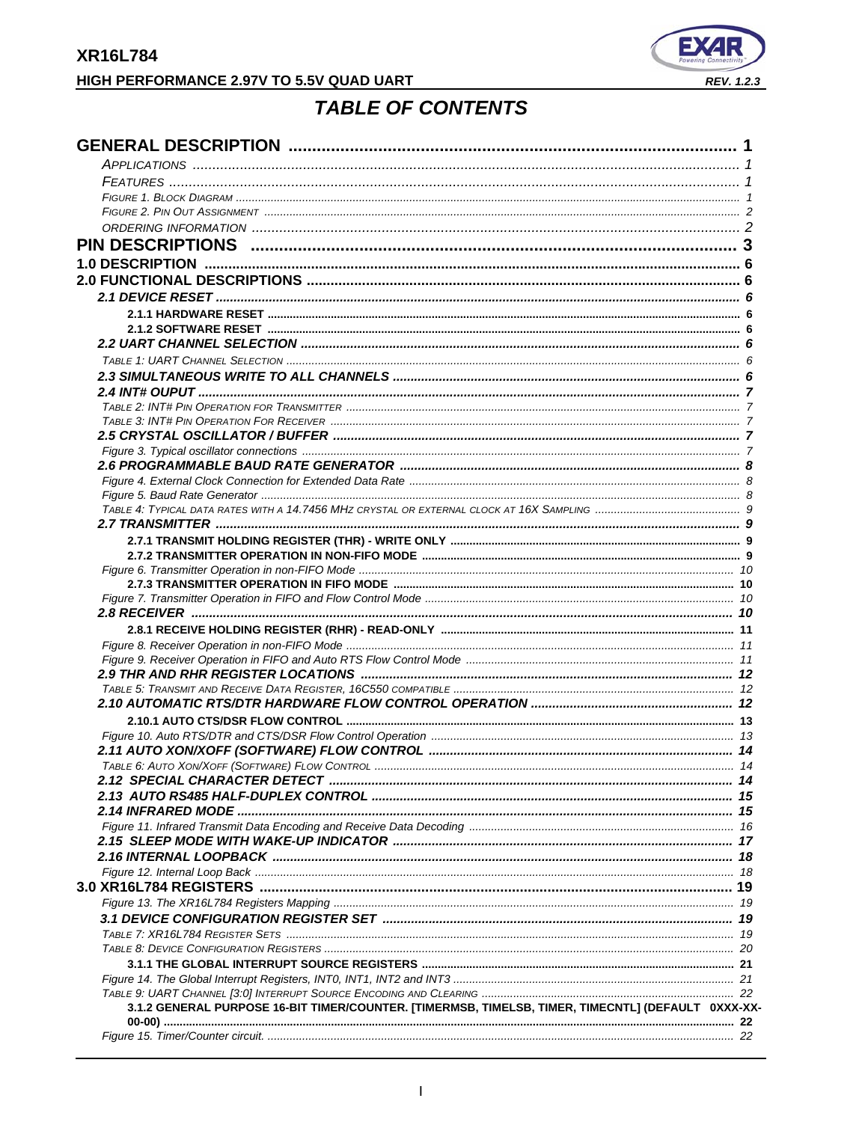# <span id="page-49-0"></span>HIGH PERFORMANCE 2.97V TO 5.5V QUAD UART



# **TABLE OF CONTENTS**

| 3.1.2 GENERAL PURPOSE 16-BIT TIMER/COUNTER. [TIMERMSB, TIMELSB, TIMER, TIMECNTL] (DEFAULT 0XXX-XX- |  |
|----------------------------------------------------------------------------------------------------|--|
|                                                                                                    |  |
|                                                                                                    |  |